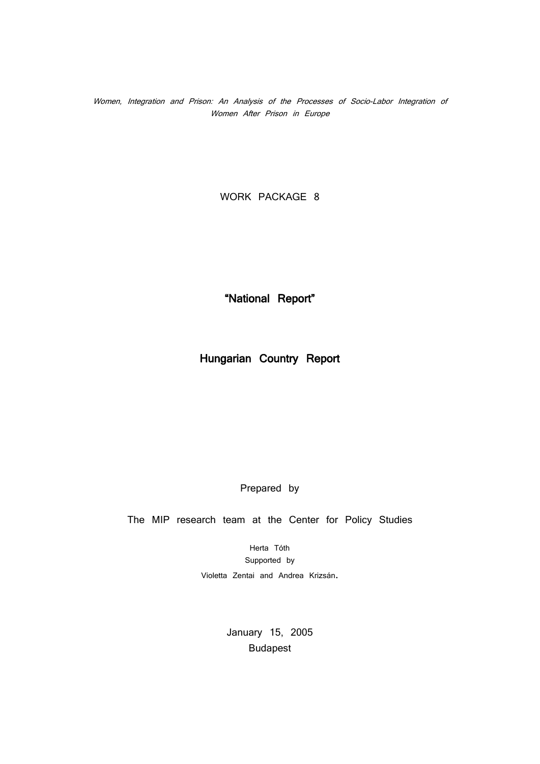Women, Integration and Prison: An Analysis of the Processes of Socio-Labor Integration of Women After Prison in Europe

WORK PACKAGE 8

"National Report"

Hungarian Country Report

Prepared by

The MIP research team at the Center for Policy Studies

Herta Tóth Supported by Violetta Zentai and Andrea Krizsán.

> January 15, 2005 Budapest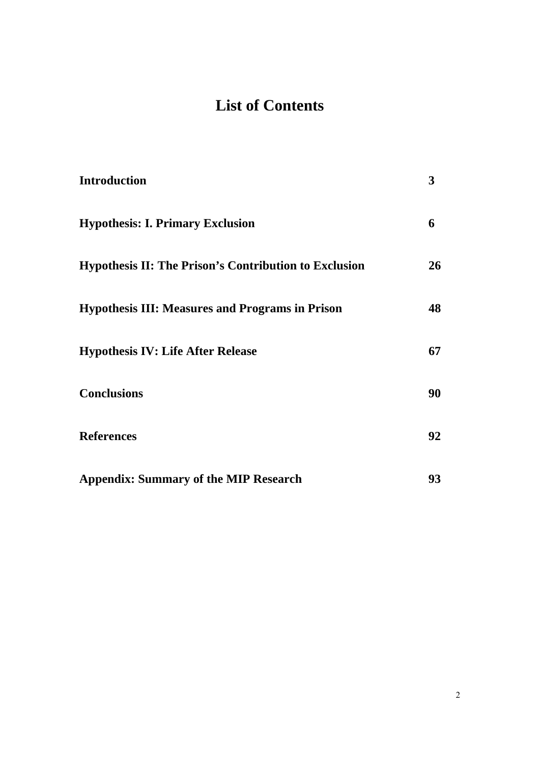# **List of Contents**

| <b>Introduction</b>                                                                                                                                                                                           | 3                   |                                                                   |    |
|---------------------------------------------------------------------------------------------------------------------------------------------------------------------------------------------------------------|---------------------|-------------------------------------------------------------------|----|
| <b>Hypothesis: I. Primary Exclusion</b><br><b>Hypothesis II: The Prison's Contribution to Exclusion</b><br><b>Hypothesis III: Measures and Programs in Prison</b><br><b>Hypothesis IV: Life After Release</b> | 6<br>26<br>48<br>67 |                                                                   |    |
|                                                                                                                                                                                                               |                     | <b>Conclusions</b>                                                | 90 |
|                                                                                                                                                                                                               |                     | <b>References</b><br><b>Appendix: Summary of the MIP Research</b> | 92 |
|                                                                                                                                                                                                               |                     |                                                                   | 93 |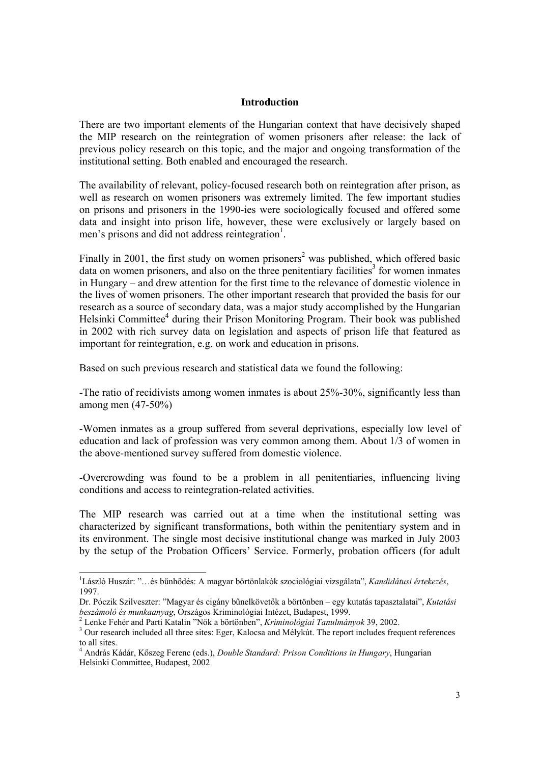#### **Introduction**

There are two important elements of the Hungarian context that have decisively shaped the MIP research on the reintegration of women prisoners after release: the lack of previous policy research on this topic, and the major and ongoing transformation of the institutional setting. Both enabled and encouraged the research.

The availability of relevant, policy-focused research both on reintegration after prison, as well as research on women prisoners was extremely limited. The few important studies on prisons and prisoners in the 1990-ies were sociologically focused and offered some data and insight into prison life, however, these were exclusively or largely based on men's prisons and did not address reintegration<sup>1</sup>.

Finally in 2001, the first study on women prisoners<sup>2</sup> was published, which offered basic data on women prisoners, and also on the three penitentiary facilities<sup>3</sup> for women inmates in Hungary – and drew attention for the first time to the relevance of domestic violence in the lives of women prisoners. The other important research that provided the basis for our research as a source of secondary data, was a major study accomplished by the Hungarian Helsinki Committee<sup>4</sup> during their Prison Monitoring Program. Their book was published in 2002 with rich survey data on legislation and aspects of prison life that featured as important for reintegration, e.g. on work and education in prisons.

Based on such previous research and statistical data we found the following:

-The ratio of recidivists among women inmates is about 25%-30%, significantly less than among men (47-50%)

-Women inmates as a group suffered from several deprivations, especially low level of education and lack of profession was very common among them. About 1/3 of women in the above-mentioned survey suffered from domestic violence.

-Overcrowding was found to be a problem in all penitentiaries, influencing living conditions and access to reintegration-related activities.

The MIP research was carried out at a time when the institutional setting was characterized by significant transformations, both within the penitentiary system and in its environment. The single most decisive institutional change was marked in July 2003 by the setup of the Probation Officers' Service. Formerly, probation officers (for adult

 1 László Huszár: "…és bűnhődés: A magyar börtönlakók szociológiai vizsgálata", *Kandidátusi értekezés*, 1997.

Dr. Póczik Szilveszter: "Magyar és cigány bűnelkövetők a börtönben – egy kutatás tapasztalatai", *Kutatási beszámoló és munkaanyag*, Országos Kriminológiai Intézet, Budapest, 1999. 2

Lenke Fehér and Parti Katalin "Nők a börtönben", *Kriminológiai Tanulmányok* 39, 2002. 3

<sup>&</sup>lt;sup>3</sup> Our research included all three sites: Eger, Kalocsa and Mélykút. The report includes frequent references to all sites.

<sup>4</sup> András Kádár, Kőszeg Ferenc (eds.), *Double Standard: Prison Conditions in Hungary*, Hungarian Helsinki Committee, Budapest, 2002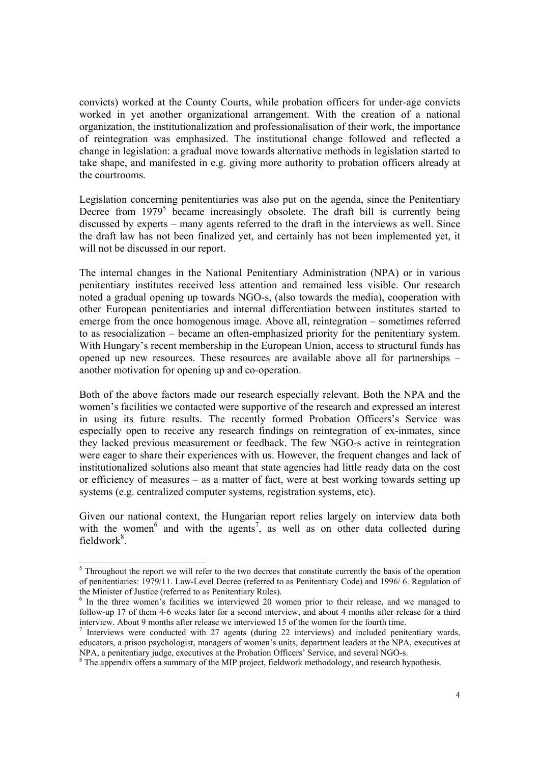convicts) worked at the County Courts, while probation officers for under-age convicts worked in yet another organizational arrangement. With the creation of a national organization, the institutionalization and professionalisation of their work, the importance of reintegration was emphasized. The institutional change followed and reflected a change in legislation: a gradual move towards alternative methods in legislation started to take shape, and manifested in e.g. giving more authority to probation officers already at the courtrooms.

Legislation concerning penitentiaries was also put on the agenda, since the Penitentiary Decree from  $1979^5$  became increasingly obsolete. The draft bill is currently being discussed by experts – many agents referred to the draft in the interviews as well. Since the draft law has not been finalized yet, and certainly has not been implemented yet, it will not be discussed in our report.

The internal changes in the National Penitentiary Administration (NPA) or in various penitentiary institutes received less attention and remained less visible. Our research noted a gradual opening up towards NGO-s, (also towards the media), cooperation with other European penitentiaries and internal differentiation between institutes started to emerge from the once homogenous image. Above all, reintegration – sometimes referred to as resocialization – became an often-emphasized priority for the penitentiary system. With Hungary's recent membership in the European Union, access to structural funds has opened up new resources. These resources are available above all for partnerships – another motivation for opening up and co-operation.

Both of the above factors made our research especially relevant. Both the NPA and the women's facilities we contacted were supportive of the research and expressed an interest in using its future results. The recently formed Probation Officers's Service was especially open to receive any research findings on reintegration of ex-inmates, since they lacked previous measurement or feedback. The few NGO-s active in reintegration were eager to share their experiences with us. However, the frequent changes and lack of institutionalized solutions also meant that state agencies had little ready data on the cost or efficiency of measures – as a matter of fact, were at best working towards setting up systems (e.g. centralized computer systems, registration systems, etc).

Given our national context, the Hungarian report relies largely on interview data both with the women<sup>6</sup> and with the agents<sup>7</sup>, as well as on other data collected during fieldwork<sup>8</sup>.

<sup>&</sup>lt;sup>5</sup> Throughout the report we will refer to the two decrees that constitute currently the basis of the operation of penitentiaries: 1979/11. Law-Level Decree (referred to as Penitentiary Code) and 1996/ 6. Regulation of the Minister of Justice (referred to as Penitentiary Rules).

<sup>&</sup>lt;sup>6</sup> In the three women's facilities we interviewed 20 women prior to their release, and we managed to follow-up 17 of them 4-6 weeks later for a second interview, and about 4 months after release for a third interview. About 9 months after release we interviewed 15 of the women for the fourth time.

 $<sup>7</sup>$  Interviews were conducted with 27 agents (during 22 interviews) and included penitentiary wards,</sup> educators, a prison psychologist, managers of women's units, department leaders at the NPA, executives at NPA, a penitentiary judge, executives at the Probation Officers' Service, and several NGO-s.

 $8$  The appendix offers a summary of the MIP project, fieldwork methodology, and research hypothesis.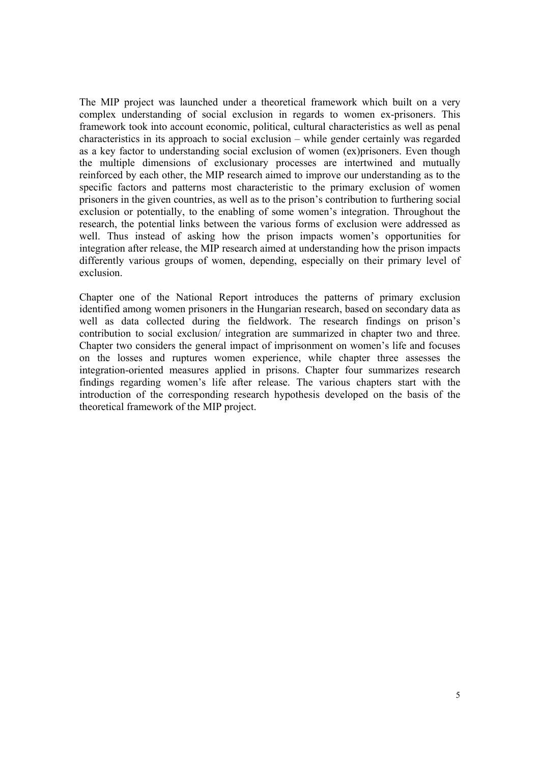The MIP project was launched under a theoretical framework which built on a very complex understanding of social exclusion in regards to women ex-prisoners. This framework took into account economic, political, cultural characteristics as well as penal characteristics in its approach to social exclusion – while gender certainly was regarded as a key factor to understanding social exclusion of women (ex)prisoners. Even though the multiple dimensions of exclusionary processes are intertwined and mutually reinforced by each other, the MIP research aimed to improve our understanding as to the specific factors and patterns most characteristic to the primary exclusion of women prisoners in the given countries, as well as to the prison's contribution to furthering social exclusion or potentially, to the enabling of some women's integration. Throughout the research, the potential links between the various forms of exclusion were addressed as well. Thus instead of asking how the prison impacts women's opportunities for integration after release, the MIP research aimed at understanding how the prison impacts differently various groups of women, depending, especially on their primary level of exclusion.

Chapter one of the National Report introduces the patterns of primary exclusion identified among women prisoners in the Hungarian research, based on secondary data as well as data collected during the fieldwork. The research findings on prison's contribution to social exclusion/ integration are summarized in chapter two and three. Chapter two considers the general impact of imprisonment on women's life and focuses on the losses and ruptures women experience, while chapter three assesses the integration-oriented measures applied in prisons. Chapter four summarizes research findings regarding women's life after release. The various chapters start with the introduction of the corresponding research hypothesis developed on the basis of the theoretical framework of the MIP project.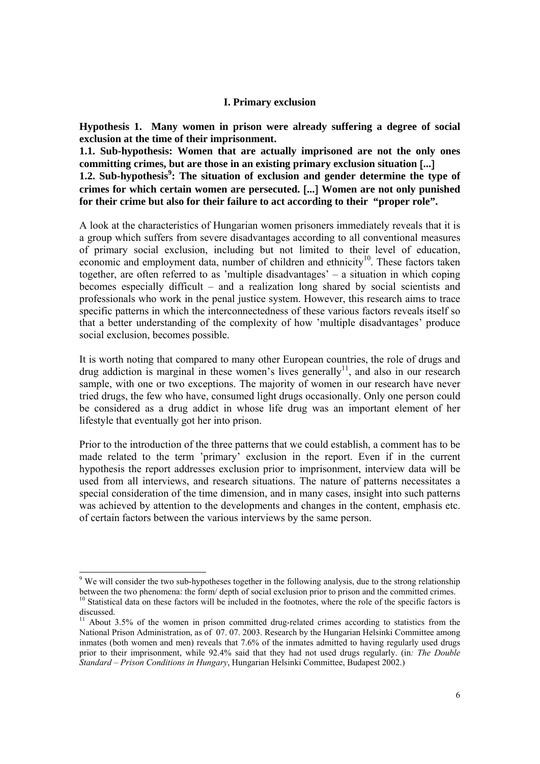#### **I. Primary exclusion**

**Hypothesis 1. Many women in prison were already suffering a degree of social exclusion at the time of their imprisonment.** 

**1.1. Sub-hypothesis: Women that are actually imprisoned are not the only ones committing crimes, but are those in an existing primary exclusion situation** [**...**] 1.2. Sub-hypothesis<sup>9</sup>: The situation of exclusion and gender determine the type of **crimes for which certain women are persecuted.** [**...**] **Women are not only punished for their crime but also for their failure to act according to their "proper role".**

A look at the characteristics of Hungarian women prisoners immediately reveals that it is a group which suffers from severe disadvantages according to all conventional measures of primary social exclusion, including but not limited to their level of education, economic and employment data, number of children and ethnicity<sup>10</sup>. These factors taken together, are often referred to as 'multiple disadvantages' – a situation in which coping becomes especially difficult – and a realization long shared by social scientists and professionals who work in the penal justice system. However, this research aims to trace specific patterns in which the interconnectedness of these various factors reveals itself so that a better understanding of the complexity of how 'multiple disadvantages' produce social exclusion, becomes possible.

It is worth noting that compared to many other European countries, the role of drugs and drug addiction is marginal in these women's lives generally<sup>11</sup>, and also in our research sample, with one or two exceptions. The majority of women in our research have never tried drugs, the few who have, consumed light drugs occasionally. Only one person could be considered as a drug addict in whose life drug was an important element of her lifestyle that eventually got her into prison.

Prior to the introduction of the three patterns that we could establish, a comment has to be made related to the term 'primary' exclusion in the report. Even if in the current hypothesis the report addresses exclusion prior to imprisonment, interview data will be used from all interviews, and research situations. The nature of patterns necessitates a special consideration of the time dimension, and in many cases, insight into such patterns was achieved by attention to the developments and changes in the content, emphasis etc. of certain factors between the various interviews by the same person.

<sup>&</sup>lt;sup>9</sup> We will consider the two sub-hypotheses together in the following analysis, due to the strong relationship between the two phenomena: the form/ depth of social exclusion prior to prison and the committed crimes.  $10$  Statistical data on these factors will be included in the footnotes, where the role of the specific factors is discussed.

 $11$  About 3.5% of the women in prison committed drug-related crimes according to statistics from the National Prison Administration, as of 07. 07. 2003. Research by the Hungarian Helsinki Committee among inmates (both women and men) reveals that 7.6% of the inmates admitted to having regularly used drugs prior to their imprisonment, while 92.4% said that they had not used drugs regularly. (in*: The Double Standard – Prison Conditions in Hungary*, Hungarian Helsinki Committee, Budapest 2002.)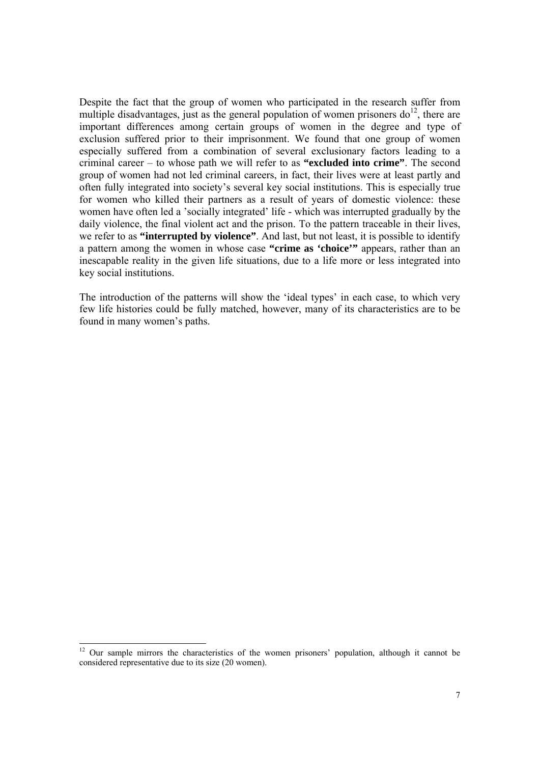Despite the fact that the group of women who participated in the research suffer from multiple disadvantages, just as the general population of women prisoners  $d\rho^{12}$ , there are important differences among certain groups of women in the degree and type of exclusion suffered prior to their imprisonment. We found that one group of women especially suffered from a combination of several exclusionary factors leading to a criminal career – to whose path we will refer to as **"excluded into crime"**. The second group of women had not led criminal careers, in fact, their lives were at least partly and often fully integrated into society's several key social institutions. This is especially true for women who killed their partners as a result of years of domestic violence: these women have often led a 'socially integrated' life - which was interrupted gradually by the daily violence, the final violent act and the prison. To the pattern traceable in their lives, we refer to as **"interrupted by violence"**. And last, but not least, it is possible to identify a pattern among the women in whose case **"crime as 'choice'"** appears, rather than an inescapable reality in the given life situations, due to a life more or less integrated into key social institutions.

The introduction of the patterns will show the 'ideal types' in each case, to which very few life histories could be fully matched, however, many of its characteristics are to be found in many women's paths.

 $\overline{a}$ 

 $12$  Our sample mirrors the characteristics of the women prisoners' population, although it cannot be considered representative due to its size (20 women).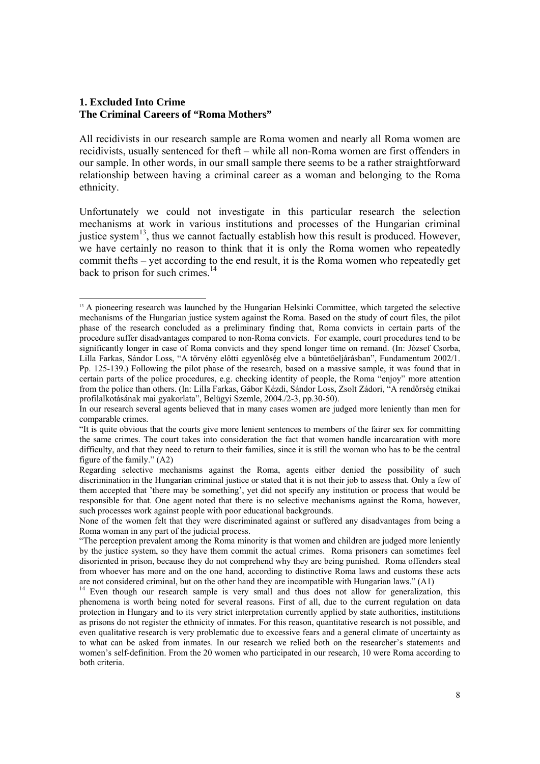## **1. Excluded Into Crime The Criminal Careers of "Roma Mothers"**

All recidivists in our research sample are Roma women and nearly all Roma women are recidivists, usually sentenced for theft – while all non-Roma women are first offenders in our sample. In other words, in our small sample there seems to be a rather straightforward relationship between having a criminal career as a woman and belonging to the Roma ethnicity.

Unfortunately we could not investigate in this particular research the selection mechanisms at work in various institutions and processes of the Hungarian criminal justice system<sup>13</sup>, thus we cannot factually establish how this result is produced. However, we have certainly no reason to think that it is only the Roma women who repeatedly commit thefts – yet according to the end result, it is the Roma women who repeatedly get back to prison for such crimes. $^{14}$ 

 $\overline{a}$ <sup>13</sup> A pioneering research was launched by the Hungarian Helsinki Committee, which targeted the selective mechanisms of the Hungarian justice system against the Roma. Based on the study of court files, the pilot phase of the research concluded as a preliminary finding that, Roma convicts in certain parts of the procedure suffer disadvantages compared to non-Roma convicts. For example, court procedures tend to be significantly longer in case of Roma convicts and they spend longer time on remand. (In: József Csorba, Lilla Farkas, Sándor Loss, "A törvény előtti egyenlőség elve a büntetőeljárásban", Fundamentum 2002/1. Pp. 125-139.) Following the pilot phase of the research, based on a massive sample, it was found that in certain parts of the police procedures, e.g. checking identity of people, the Roma "enjoy" more attention from the police than others. (In: Lilla Farkas, Gábor Kézdi, Sándor Loss, Zsolt Zádori, "A rendőrség etnikai profilalkotásának mai gyakorlata", Belügyi Szemle, 2004./2-3, pp.30-50).

In our research several agents believed that in many cases women are judged more leniently than men for comparable crimes.

<sup>&</sup>quot;It is quite obvious that the courts give more lenient sentences to members of the fairer sex for committing the same crimes. The court takes into consideration the fact that women handle incarcaration with more difficulty, and that they need to return to their families, since it is still the woman who has to be the central figure of the family." (A2)

Regarding selective mechanisms against the Roma, agents either denied the possibility of such discrimination in the Hungarian criminal justice or stated that it is not their job to assess that. Only a few of them accepted that 'there may be something', yet did not specify any institution or process that would be responsible for that. One agent noted that there is no selective mechanisms against the Roma, however, such processes work against people with poor educational backgrounds.

None of the women felt that they were discriminated against or suffered any disadvantages from being a Roma woman in any part of the judicial process.

<sup>&</sup>quot;The perception prevalent among the Roma minority is that women and children are judged more leniently by the justice system, so they have them commit the actual crimes. Roma prisoners can sometimes feel disoriented in prison, because they do not comprehend why they are being punished. Roma offenders steal from whoever has more and on the one hand, according to distinctive Roma laws and customs these acts are not considered criminal, but on the other hand they are incompatible with Hungarian laws." (A1)

<sup>&</sup>lt;sup>14</sup> Even though our research sample is very small and thus does not allow for generalization, this phenomena is worth being noted for several reasons. First of all, due to the current regulation on data protection in Hungary and to its very strict interpretation currently applied by state authorities, institutions as prisons do not register the ethnicity of inmates. For this reason, quantitative research is not possible, and even qualitative research is very problematic due to excessive fears and a general climate of uncertainty as to what can be asked from inmates. In our research we relied both on the researcher's statements and women's self-definition. From the 20 women who participated in our research, 10 were Roma according to both criteria.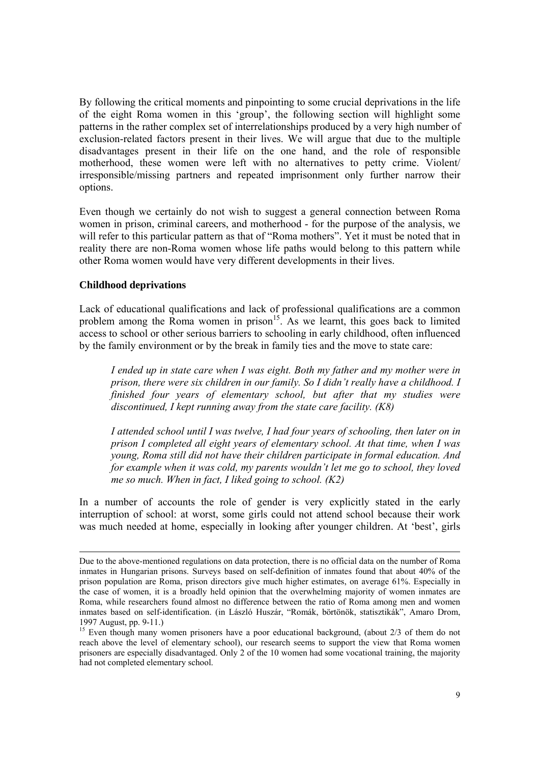By following the critical moments and pinpointing to some crucial deprivations in the life of the eight Roma women in this 'group', the following section will highlight some patterns in the rather complex set of interrelationships produced by a very high number of exclusion-related factors present in their lives. We will argue that due to the multiple disadvantages present in their life on the one hand, and the role of responsible motherhood, these women were left with no alternatives to petty crime. Violent/ irresponsible/missing partners and repeated imprisonment only further narrow their options.

Even though we certainly do not wish to suggest a general connection between Roma women in prison, criminal careers, and motherhood - for the purpose of the analysis, we will refer to this particular pattern as that of "Roma mothers". Yet it must be noted that in reality there are non-Roma women whose life paths would belong to this pattern while other Roma women would have very different developments in their lives.

## **Childhood deprivations**

l

Lack of educational qualifications and lack of professional qualifications are a common problem among the Roma women in prison<sup>15</sup>. As we learnt, this goes back to limited access to school or other serious barriers to schooling in early childhood, often influenced by the family environment or by the break in family ties and the move to state care:

*I ended up in state care when I was eight. Both my father and my mother were in prison, there were six children in our family. So I didn't really have a childhood. I finished four years of elementary school, but after that my studies were discontinued, I kept running away from the state care facility. (K8)* 

*I attended school until I was twelve, I had four years of schooling, then later on in prison I completed all eight years of elementary school. At that time, when I was young, Roma still did not have their children participate in formal education. And for example when it was cold, my parents wouldn't let me go to school, they loved me so much. When in fact, I liked going to school. (K2)* 

In a number of accounts the role of gender is very explicitly stated in the early interruption of school: at worst, some girls could not attend school because their work was much needed at home, especially in looking after younger children. At 'best', girls

Due to the above-mentioned regulations on data protection, there is no official data on the number of Roma inmates in Hungarian prisons. Surveys based on self-definition of inmates found that about 40% of the prison population are Roma, prison directors give much higher estimates, on average 61%. Especially in the case of women, it is a broadly held opinion that the overwhelming majority of women inmates are Roma, while researchers found almost no difference between the ratio of Roma among men and women inmates based on self-identification. (in László Huszár, "Romák, börtönök, statisztikák", Amaro Drom, 1997 August, pp. 9-11.)

<sup>&</sup>lt;sup>15</sup> Even though many women prisoners have a poor educational background, (about 2/3 of them do not reach above the level of elementary school), our research seems to support the view that Roma women prisoners are especially disadvantaged. Only 2 of the 10 women had some vocational training, the majority had not completed elementary school.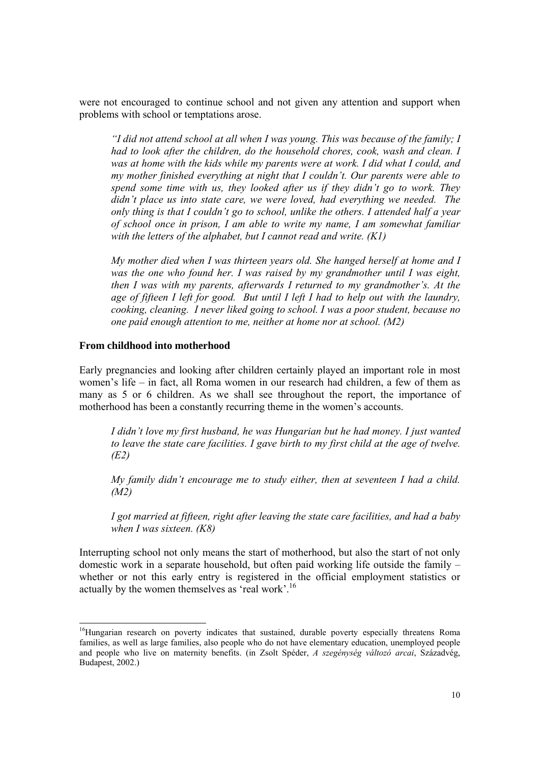were not encouraged to continue school and not given any attention and support when problems with school or temptations arose.

*"I did not attend school at all when I was young. This was because of the family; I had to look after the children, do the household chores, cook, wash and clean. I*  was at home with the kids while my parents were at work. I did what I could, and *my mother finished everything at night that I couldn't. Our parents were able to spend some time with us, they looked after us if they didn't go to work. They didn't place us into state care, we were loved, had everything we needed. The only thing is that I couldn't go to school, unlike the others. I attended half a year of school once in prison, I am able to write my name, I am somewhat familiar with the letters of the alphabet, but I cannot read and write. (K1)* 

*My mother died when I was thirteen years old. She hanged herself at home and I*  was the one who found her. I was raised by my grandmother until I was eight, *then I was with my parents, afterwards I returned to my grandmother's. At the age of fifteen I left for good. But until I left I had to help out with the laundry, cooking, cleaning. I never liked going to school. I was a poor student, because no one paid enough attention to me, neither at home nor at school. (M2)* 

#### **From childhood into motherhood**

l

Early pregnancies and looking after children certainly played an important role in most women's life – in fact, all Roma women in our research had children, a few of them as many as 5 or 6 children. As we shall see throughout the report, the importance of motherhood has been a constantly recurring theme in the women's accounts.

*I didn't love my first husband, he was Hungarian but he had money. I just wanted to leave the state care facilities. I gave birth to my first child at the age of twelve. (E2)* 

*My family didn't encourage me to study either, then at seventeen I had a child. (M2)* 

*I got married at fifteen, right after leaving the state care facilities, and had a baby when I was sixteen. (K8)* 

Interrupting school not only means the start of motherhood, but also the start of not only domestic work in a separate household, but often paid working life outside the family – whether or not this early entry is registered in the official employment statistics or actually by the women themselves as 'real work'.<sup>16</sup>

<sup>&</sup>lt;sup>16</sup>Hungarian research on poverty indicates that sustained, durable poverty especially threatens Roma families, as well as large families, also people who do not have elementary education, unemployed people and people who live on maternity benefits. (in Zsolt Spéder, *A szegénység változó arcai*, Századvég, Budapest, 2002.)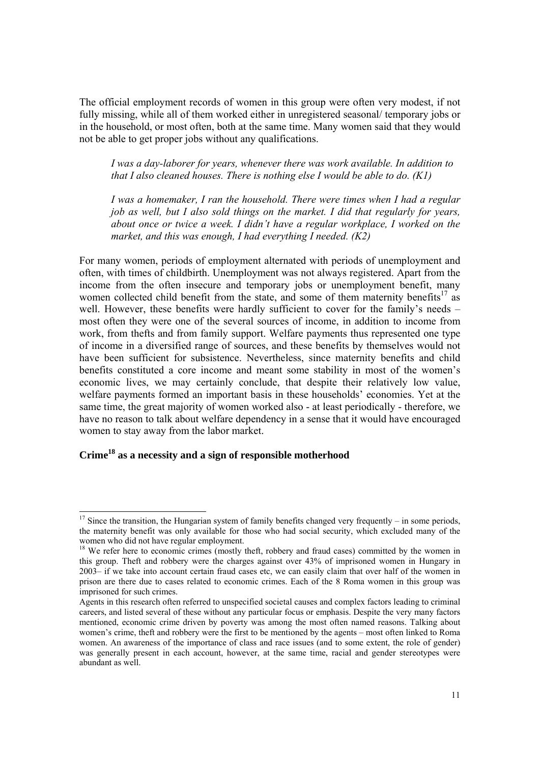The official employment records of women in this group were often very modest, if not fully missing, while all of them worked either in unregistered seasonal/ temporary jobs or in the household, or most often, both at the same time. Many women said that they would not be able to get proper jobs without any qualifications.

*I was a day-laborer for years, whenever there was work available. In addition to that I also cleaned houses. There is nothing else I would be able to do. (K1)* 

*I was a homemaker, I ran the household. There were times when I had a regular job as well, but I also sold things on the market. I did that regularly for years, about once or twice a week. I didn't have a regular workplace, I worked on the market, and this was enough, I had everything I needed. (K2)* 

For many women, periods of employment alternated with periods of unemployment and often, with times of childbirth. Unemployment was not always registered. Apart from the income from the often insecure and temporary jobs or unemployment benefit, many women collected child benefit from the state, and some of them maternity benefits<sup>17</sup> as well. However, these benefits were hardly sufficient to cover for the family's needs – most often they were one of the several sources of income, in addition to income from work, from thefts and from family support. Welfare payments thus represented one type of income in a diversified range of sources, and these benefits by themselves would not have been sufficient for subsistence. Nevertheless, since maternity benefits and child benefits constituted a core income and meant some stability in most of the women's economic lives, we may certainly conclude, that despite their relatively low value, welfare payments formed an important basis in these households' economies. Yet at the same time, the great majority of women worked also - at least periodically - therefore, we have no reason to talk about welfare dependency in a sense that it would have encouraged women to stay away from the labor market.

# **Crime18 as a necessity and a sign of responsible motherhood**

 $\overline{a}$ 

 $17$  Since the transition, the Hungarian system of family benefits changed very frequently – in some periods, the maternity benefit was only available for those who had social security, which excluded many of the women who did not have regular employment.

<sup>&</sup>lt;sup>18</sup> We refer here to economic crimes (mostly theft, robbery and fraud cases) committed by the women in this group. Theft and robbery were the charges against over 43% of imprisoned women in Hungary in 2003– if we take into account certain fraud cases etc, we can easily claim that over half of the women in prison are there due to cases related to economic crimes. Each of the 8 Roma women in this group was imprisoned for such crimes.

Agents in this research often referred to unspecified societal causes and complex factors leading to criminal careers, and listed several of these without any particular focus or emphasis. Despite the very many factors mentioned, economic crime driven by poverty was among the most often named reasons. Talking about women's crime, theft and robbery were the first to be mentioned by the agents – most often linked to Roma women. An awareness of the importance of class and race issues (and to some extent, the role of gender) was generally present in each account, however, at the same time, racial and gender stereotypes were abundant as well.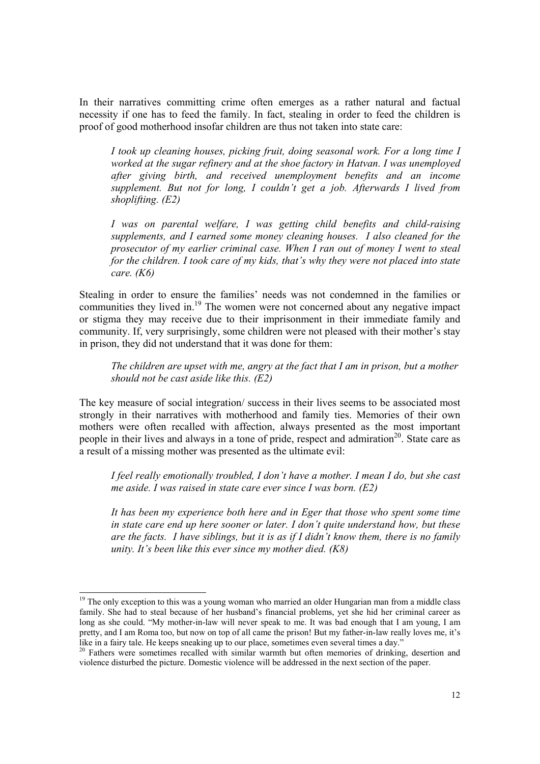In their narratives committing crime often emerges as a rather natural and factual necessity if one has to feed the family. In fact, stealing in order to feed the children is proof of good motherhood insofar children are thus not taken into state care:

*I took up cleaning houses, picking fruit, doing seasonal work. For a long time I worked at the sugar refinery and at the shoe factory in Hatvan. I was unemployed after giving birth, and received unemployment benefits and an income supplement. But not for long, I couldn't get a job. Afterwards I lived from shoplifting. (E2)* 

*I was on parental welfare, I was getting child benefits and child-raising supplements, and I earned some money cleaning houses. I also cleaned for the prosecutor of my earlier criminal case. When I ran out of money I went to steal for the children. I took care of my kids, that's why they were not placed into state care. (K6)* 

Stealing in order to ensure the families' needs was not condemned in the families or communities they lived in.19 The women were not concerned about any negative impact or stigma they may receive due to their imprisonment in their immediate family and community. If, very surprisingly, some children were not pleased with their mother's stay in prison, they did not understand that it was done for them:

*The children are upset with me, angry at the fact that I am in prison, but a mother should not be cast aside like this. (E2)* 

The key measure of social integration/ success in their lives seems to be associated most strongly in their narratives with motherhood and family ties. Memories of their own mothers were often recalled with affection, always presented as the most important people in their lives and always in a tone of pride, respect and admiration<sup>20</sup>. State care as a result of a missing mother was presented as the ultimate evil:

*I feel really emotionally troubled, I don't have a mother. I mean I do, but she cast me aside. I was raised in state care ever since I was born. (E2)* 

*It has been my experience both here and in Eger that those who spent some time in state care end up here sooner or later. I don't quite understand how, but these are the facts. I have siblings, but it is as if I didn't know them, there is no family unity. It's been like this ever since my mother died. (K8)* 

 $\overline{a}$ 

<sup>&</sup>lt;sup>19</sup> The only exception to this was a young woman who married an older Hungarian man from a middle class family. She had to steal because of her husband's financial problems, yet she hid her criminal career as long as she could. "My mother-in-law will never speak to me. It was bad enough that I am young, I am pretty, and I am Roma too, but now on top of all came the prison! But my father-in-law really loves me, it's like in a fairy tale. He keeps sneaking up to our place, sometimes even several times a day."

<sup>&</sup>lt;sup>20</sup> Fathers were sometimes recalled with similar warmth but often memories of drinking, desertion and violence disturbed the picture. Domestic violence will be addressed in the next section of the paper.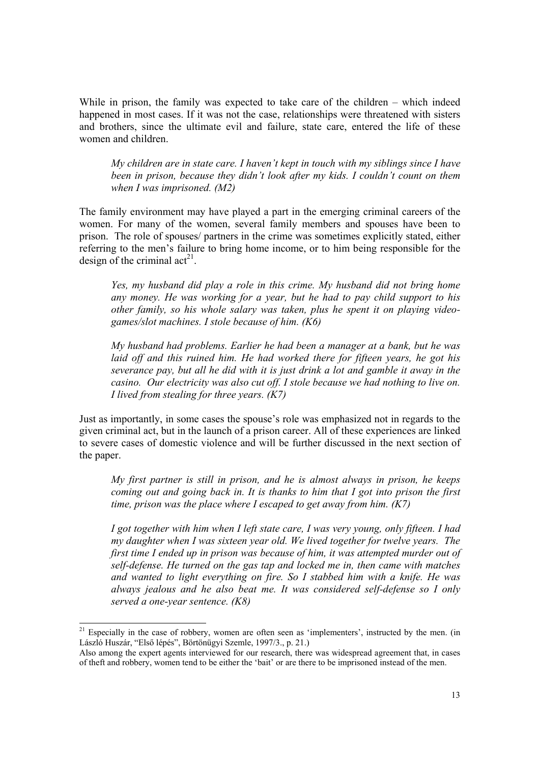While in prison, the family was expected to take care of the children – which indeed happened in most cases. If it was not the case, relationships were threatened with sisters and brothers, since the ultimate evil and failure, state care, entered the life of these women and children.

*My children are in state care. I haven't kept in touch with my siblings since I have been in prison, because they didn't look after my kids. I couldn't count on them when I was imprisoned. (M2)* 

The family environment may have played a part in the emerging criminal careers of the women. For many of the women, several family members and spouses have been to prison. The role of spouses/ partners in the crime was sometimes explicitly stated, either referring to the men's failure to bring home income, or to him being responsible for the design of the criminal  $\text{act}^{21}$ .

*Yes, my husband did play a role in this crime. My husband did not bring home any money. He was working for a year, but he had to pay child support to his other family, so his whole salary was taken, plus he spent it on playing videogames/slot machines. I stole because of him. (K6)* 

*My husband had problems. Earlier he had been a manager at a bank, but he was*  laid off and this ruined him. He had worked there for fifteen years, he got his *severance pay, but all he did with it is just drink a lot and gamble it away in the casino. Our electricity was also cut off. I stole because we had nothing to live on. I lived from stealing for three years. (K7)* 

Just as importantly, in some cases the spouse's role was emphasized not in regards to the given criminal act, but in the launch of a prison career. All of these experiences are linked to severe cases of domestic violence and will be further discussed in the next section of the paper.

*My first partner is still in prison, and he is almost always in prison, he keeps coming out and going back in. It is thanks to him that I got into prison the first time, prison was the place where I escaped to get away from him. (K7)* 

*I got together with him when I left state care, I was very young, only fifteen. I had my daughter when I was sixteen year old. We lived together for twelve years. The first time I ended up in prison was because of him, it was attempted murder out of self-defense. He turned on the gas tap and locked me in, then came with matches and wanted to light everything on fire. So I stabbed him with a knife. He was always jealous and he also beat me. It was considered self-defense so I only served a one-year sentence. (K8)* 

l

 $21$  Especially in the case of robbery, women are often seen as 'implementers', instructed by the men. (in László Huszár, "Első lépés", Börtönügyi Szemle, 1997/3., p. 21.)

Also among the expert agents interviewed for our research, there was widespread agreement that, in cases of theft and robbery, women tend to be either the 'bait' or are there to be imprisoned instead of the men.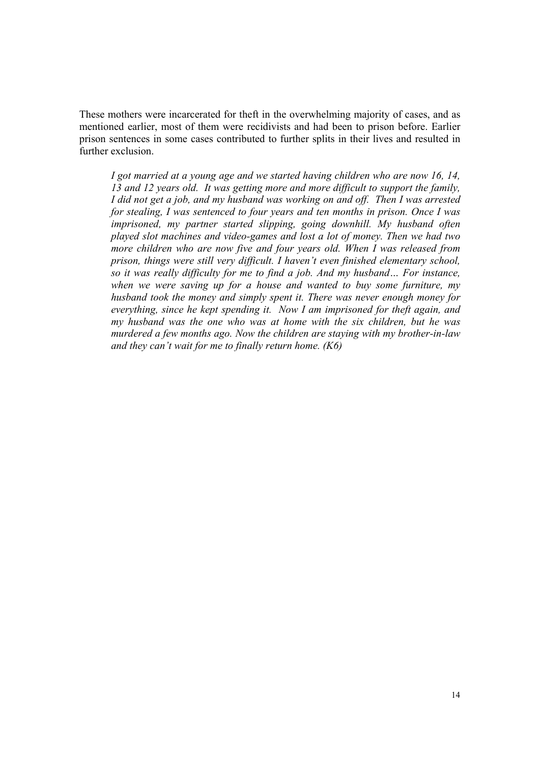These mothers were incarcerated for theft in the overwhelming majority of cases, and as mentioned earlier, most of them were recidivists and had been to prison before. Earlier prison sentences in some cases contributed to further splits in their lives and resulted in further exclusion.

*I got married at a young age and we started having children who are now 16, 14, 13 and 12 years old. It was getting more and more difficult to support the family, I did not get a job, and my husband was working on and off. Then I was arrested for stealing, I was sentenced to four years and ten months in prison. Once I was imprisoned, my partner started slipping, going downhill. My husband often played slot machines and video-games and lost a lot of money. Then we had two more children who are now five and four years old. When I was released from prison, things were still very difficult. I haven't even finished elementary school, so it was really difficulty for me to find a job. And my husband… For instance, when we were saving up for a house and wanted to buy some furniture, my husband took the money and simply spent it. There was never enough money for everything, since he kept spending it. Now I am imprisoned for theft again, and my husband was the one who was at home with the six children, but he was murdered a few months ago. Now the children are staying with my brother-in-law and they can't wait for me to finally return home. (K6)*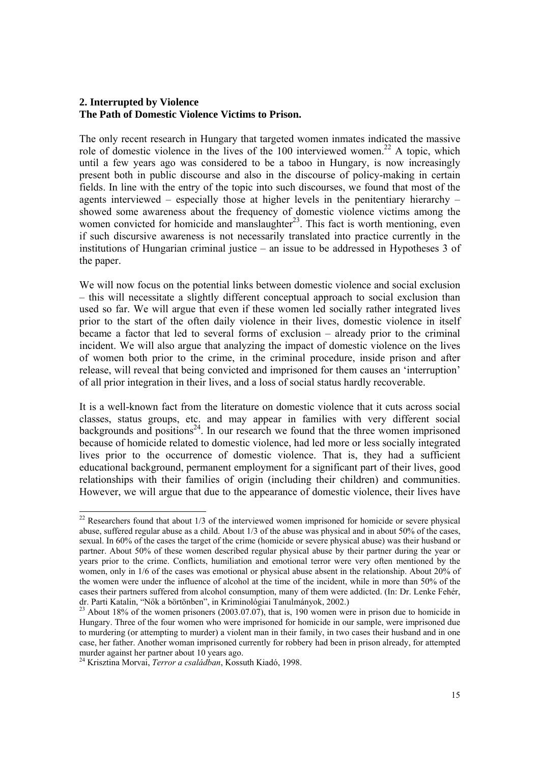# **2. Interrupted by Violence The Path of Domestic Violence Victims to Prison.**

The only recent research in Hungary that targeted women inmates indicated the massive role of domestic violence in the lives of the  $100$  interviewed women.<sup>22</sup> A topic, which until a few years ago was considered to be a taboo in Hungary, is now increasingly present both in public discourse and also in the discourse of policy-making in certain fields. In line with the entry of the topic into such discourses, we found that most of the agents interviewed – especially those at higher levels in the penitentiary hierarchy – showed some awareness about the frequency of domestic violence victims among the women convicted for homicide and manslaughter $^{23}$ . This fact is worth mentioning, even if such discursive awareness is not necessarily translated into practice currently in the institutions of Hungarian criminal justice – an issue to be addressed in Hypotheses 3 of the paper.

We will now focus on the potential links between domestic violence and social exclusion – this will necessitate a slightly different conceptual approach to social exclusion than used so far. We will argue that even if these women led socially rather integrated lives prior to the start of the often daily violence in their lives, domestic violence in itself became a factor that led to several forms of exclusion – already prior to the criminal incident. We will also argue that analyzing the impact of domestic violence on the lives of women both prior to the crime, in the criminal procedure, inside prison and after release, will reveal that being convicted and imprisoned for them causes an 'interruption' of all prior integration in their lives, and a loss of social status hardly recoverable.

It is a well-known fact from the literature on domestic violence that it cuts across social classes, status groups, etc. and may appear in families with very different social backgrounds and positions<sup>24</sup>. In our research we found that the three women imprisoned because of homicide related to domestic violence, had led more or less socially integrated lives prior to the occurrence of domestic violence. That is, they had a sufficient educational background, permanent employment for a significant part of their lives, good relationships with their families of origin (including their children) and communities. However, we will argue that due to the appearance of domestic violence, their lives have

 $\overline{a}$ 

 $22$  Researchers found that about 1/3 of the interviewed women imprisoned for homicide or severe physical abuse, suffered regular abuse as a child. About 1/3 of the abuse was physical and in about 50% of the cases, sexual. In 60% of the cases the target of the crime (homicide or severe physical abuse) was their husband or partner. About 50% of these women described regular physical abuse by their partner during the year or years prior to the crime. Conflicts, humiliation and emotional terror were very often mentioned by the women, only in 1/6 of the cases was emotional or physical abuse absent in the relationship. About 20% of the women were under the influence of alcohol at the time of the incident, while in more than 50% of the cases their partners suffered from alcohol consumption, many of them were addicted. (In: Dr. Lenke Fehér, dr. Parti Katalin, "Nők a börtönben", in Kriminológiai Tanulmányok, 2002.)

<sup>&</sup>lt;sup>23</sup> About 18% of the women prisoners (2003.07.07), that is, 190 women were in prison due to homicide in Hungary. Three of the four women who were imprisoned for homicide in our sample, were imprisoned due to murdering (or attempting to murder) a violent man in their family, in two cases their husband and in one case, her father. Another woman imprisoned currently for robbery had been in prison already, for attempted murder against her partner about 10 years ago.

<sup>24</sup> Krisztina Morvai, *Terror a családban*, Kossuth Kiadó, 1998.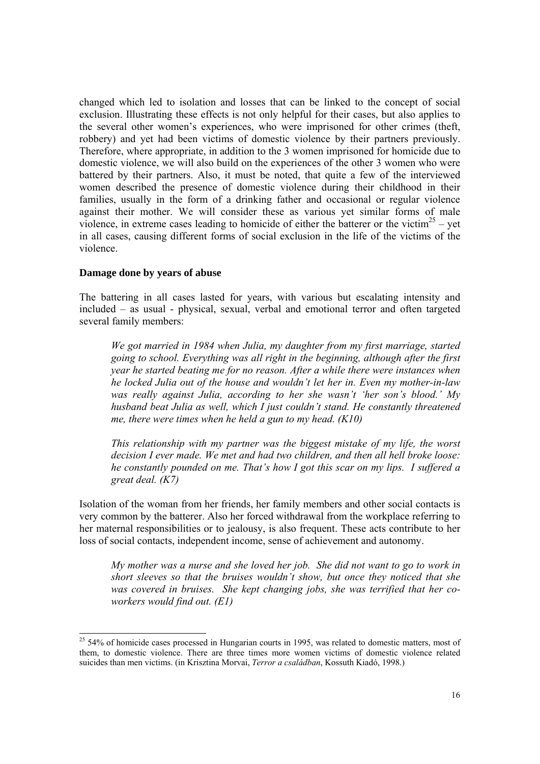changed which led to isolation and losses that can be linked to the concept of social exclusion. Illustrating these effects is not only helpful for their cases, but also applies to the several other women's experiences, who were imprisoned for other crimes (theft, robbery) and yet had been victims of domestic violence by their partners previously. Therefore, where appropriate, in addition to the 3 women imprisoned for homicide due to domestic violence, we will also build on the experiences of the other 3 women who were battered by their partners. Also, it must be noted, that quite a few of the interviewed women described the presence of domestic violence during their childhood in their families, usually in the form of a drinking father and occasional or regular violence against their mother. We will consider these as various yet similar forms of male violence, in extreme cases leading to homicide of either the batterer or the victim<sup>25</sup> – yet in all cases, causing different forms of social exclusion in the life of the victims of the violence.

## **Damage done by years of abuse**

 $\overline{a}$ 

The battering in all cases lasted for years, with various but escalating intensity and included – as usual - physical, sexual, verbal and emotional terror and often targeted several family members:

*We got married in 1984 when Julia, my daughter from my first marriage, started going to school. Everything was all right in the beginning, although after the first year he started beating me for no reason. After a while there were instances when he locked Julia out of the house and wouldn't let her in. Even my mother-in-law was really against Julia, according to her she wasn't 'her son's blood.' My husband beat Julia as well, which I just couldn't stand. He constantly threatened me, there were times when he held a gun to my head. (K10)* 

*This relationship with my partner was the biggest mistake of my life, the worst decision I ever made. We met and had two children, and then all hell broke loose: he constantly pounded on me. That's how I got this scar on my lips. I suffered a great deal. (K7)* 

Isolation of the woman from her friends, her family members and other social contacts is very common by the batterer. Also her forced withdrawal from the workplace referring to her maternal responsibilities or to jealousy, is also frequent. These acts contribute to her loss of social contacts, independent income, sense of achievement and autonomy.

*My mother was a nurse and she loved her job. She did not want to go to work in short sleeves so that the bruises wouldn't show, but once they noticed that she was covered in bruises. She kept changing jobs, she was terrified that her coworkers would find out. (E1)* 

<sup>&</sup>lt;sup>25</sup> 54% of homicide cases processed in Hungarian courts in 1995, was related to domestic matters, most of them, to domestic violence. There are three times more women victims of domestic violence related suicides than men victims. (in Krisztina Morvai, *Terror a családban*, Kossuth Kiadó, 1998.)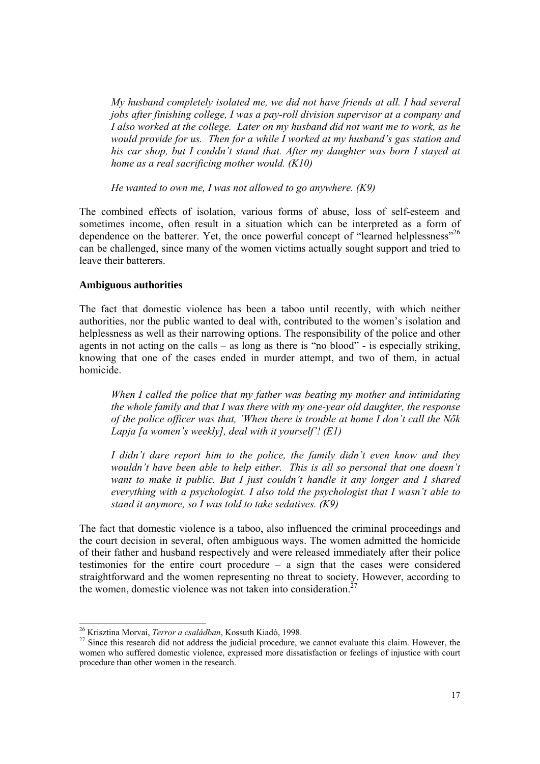*My husband completely isolated me, we did not have friends at all. I had several jobs after finishing college, I was a pay-roll division supervisor at a company and I also worked at the college. Later on my husband did not want me to work, as he would provide for us. Then for a while I worked at my husband's gas station and his car shop, but I couldn't stand that. After my daughter was born I stayed at home as a real sacrificing mother would. (K10)* 

*He wanted to own me, I was not allowed to go anywhere. (K9)* 

The combined effects of isolation, various forms of abuse, loss of self-esteem and sometimes income, often result in a situation which can be interpreted as a form of dependence on the batterer. Yet, the once powerful concept of "learned helplessness"<sup>26</sup> can be challenged, since many of the women victims actually sought support and tried to leave their batterers.

#### **Ambiguous authorities**

The fact that domestic violence has been a taboo until recently, with which neither authorities, nor the public wanted to deal with, contributed to the women's isolation and helplessness as well as their narrowing options. The responsibility of the police and other agents in not acting on the calls – as long as there is "no blood" - is especially striking, knowing that one of the cases ended in murder attempt, and two of them, in actual homicide.

*When I called the police that my father was beating my mother and intimidating the whole family and that I was there with my one-year old daughter, the response of the police officer was that, 'When there is trouble at home I don't call the Nők Lapja [a women's weekly], deal with it yourself'! (E1)* 

*I didn't dare report him to the police, the family didn't even know and they wouldn't have been able to help either. This is all so personal that one doesn't want to make it public. But I just couldn't handle it any longer and I shared everything with a psychologist. I also told the psychologist that I wasn't able to stand it anymore, so I was told to take sedatives. (K9)* 

The fact that domestic violence is a taboo, also influenced the criminal proceedings and the court decision in several, often ambiguous ways. The women admitted the homicide of their father and husband respectively and were released immediately after their police testimonies for the entire court procedure – a sign that the cases were considered straightforward and the women representing no threat to society. However, according to the women, domestic violence was not taken into consideration.<sup>27</sup>

<sup>&</sup>lt;sup>26</sup> Krisztina Morvai, Terror a családban, Kossuth Kiadó, 1998.

<sup>&</sup>lt;sup>27</sup> Since this research did not address the judicial procedure, we cannot evaluate this claim. However, the women who suffered domestic violence, expressed more dissatisfaction or feelings of injustice with court procedure than other women in the research.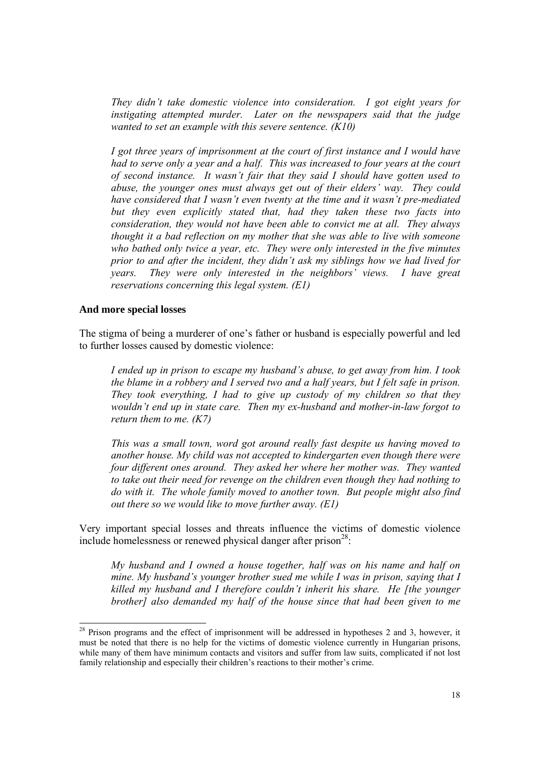*They didn't take domestic violence into consideration. I got eight years for instigating attempted murder. Later on the newspapers said that the judge wanted to set an example with this severe sentence. (K10)* 

*I got three years of imprisonment at the court of first instance and I would have had to serve only a year and a half. This was increased to four years at the court of second instance. It wasn't fair that they said I should have gotten used to abuse, the younger ones must always get out of their elders' way. They could have considered that I wasn't even twenty at the time and it wasn't pre-mediated but they even explicitly stated that, had they taken these two facts into consideration, they would not have been able to convict me at all. They always thought it a bad reflection on my mother that she was able to live with someone who bathed only twice a year, etc. They were only interested in the five minutes prior to and after the incident, they didn't ask my siblings how we had lived for years. They were only interested in the neighbors' views. I have great reservations concerning this legal system. (E1)* 

#### **And more special losses**

l

The stigma of being a murderer of one's father or husband is especially powerful and led to further losses caused by domestic violence:

*I ended up in prison to escape my husband's abuse, to get away from him. I took the blame in a robbery and I served two and a half years, but I felt safe in prison. They took everything, I had to give up custody of my children so that they wouldn't end up in state care. Then my ex-husband and mother-in-law forgot to return them to me. (K7)* 

*This was a small town, word got around really fast despite us having moved to another house. My child was not accepted to kindergarten even though there were four different ones around. They asked her where her mother was. They wanted to take out their need for revenge on the children even though they had nothing to do with it. The whole family moved to another town. But people might also find out there so we would like to move further away. (E1)* 

Very important special losses and threats influence the victims of domestic violence include homelessness or renewed physical danger after prison<sup>28</sup>:

*My husband and I owned a house together, half was on his name and half on mine. My husband's younger brother sued me while I was in prison, saying that I killed my husband and I therefore couldn't inherit his share. He [the younger brother] also demanded my half of the house since that had been given to me* 

 $2<sup>28</sup>$  Prison programs and the effect of imprisonment will be addressed in hypotheses 2 and 3, however, it must be noted that there is no help for the victims of domestic violence currently in Hungarian prisons, while many of them have minimum contacts and visitors and suffer from law suits, complicated if not lost family relationship and especially their children's reactions to their mother's crime.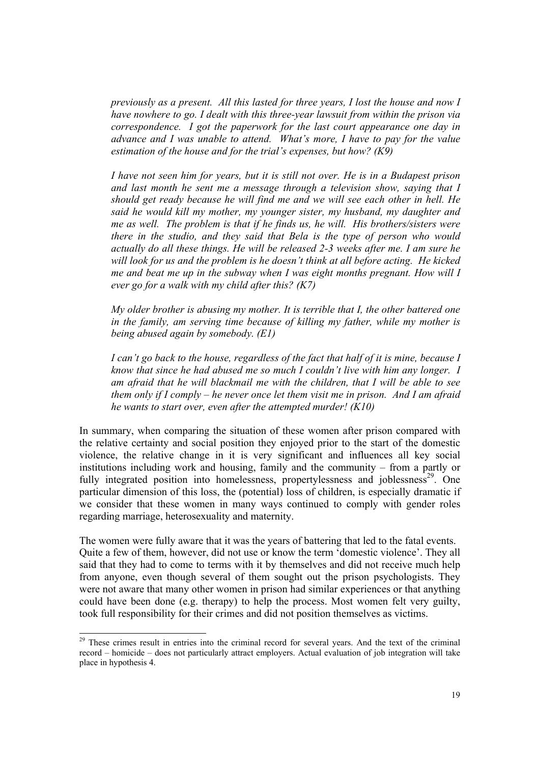*previously as a present. All this lasted for three years, I lost the house and now I have nowhere to go. I dealt with this three-year lawsuit from within the prison via correspondence. I got the paperwork for the last court appearance one day in advance and I was unable to attend. What's more, I have to pay for the value estimation of the house and for the trial's expenses, but how? (K9)* 

*I have not seen him for years, but it is still not over. He is in a Budapest prison and last month he sent me a message through a television show, saying that I should get ready because he will find me and we will see each other in hell. He said he would kill my mother, my younger sister, my husband, my daughter and me as well. The problem is that if he finds us, he will. His brothers/sisters were there in the studio, and they said that Bela is the type of person who would actually do all these things. He will be released 2-3 weeks after me. I am sure he*  will look for us and the problem is he doesn't think at all before acting. He kicked *me and beat me up in the subway when I was eight months pregnant. How will I ever go for a walk with my child after this? (K7)* 

*My older brother is abusing my mother. It is terrible that I, the other battered one in the family, am serving time because of killing my father, while my mother is being abused again by somebody. (E1)* 

*I can't go back to the house, regardless of the fact that half of it is mine, because I know that since he had abused me so much I couldn't live with him any longer. I am afraid that he will blackmail me with the children, that I will be able to see them only if I comply – he never once let them visit me in prison. And I am afraid he wants to start over, even after the attempted murder! (K10)* 

In summary, when comparing the situation of these women after prison compared with the relative certainty and social position they enjoyed prior to the start of the domestic violence, the relative change in it is very significant and influences all key social institutions including work and housing, family and the community – from a partly or fully integrated position into homelessness, propertylessness and joblessness<sup>29</sup>. One particular dimension of this loss, the (potential) loss of children, is especially dramatic if we consider that these women in many ways continued to comply with gender roles regarding marriage, heterosexuality and maternity.

The women were fully aware that it was the years of battering that led to the fatal events. Quite a few of them, however, did not use or know the term 'domestic violence'. They all said that they had to come to terms with it by themselves and did not receive much help from anyone, even though several of them sought out the prison psychologists. They were not aware that many other women in prison had similar experiences or that anything could have been done (e.g. therapy) to help the process. Most women felt very guilty, took full responsibility for their crimes and did not position themselves as victims.

 $\overline{a}$ 

<sup>&</sup>lt;sup>29</sup> These crimes result in entries into the criminal record for several years. And the text of the criminal record – homicide – does not particularly attract employers. Actual evaluation of job integration will take place in hypothesis 4.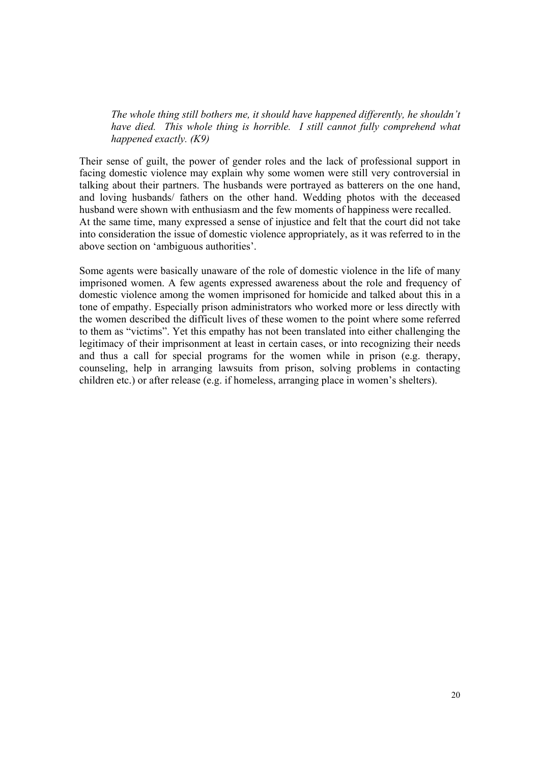*The whole thing still bothers me, it should have happened differently, he shouldn't have died. This whole thing is horrible. I still cannot fully comprehend what happened exactly. (K9)* 

Their sense of guilt, the power of gender roles and the lack of professional support in facing domestic violence may explain why some women were still very controversial in talking about their partners. The husbands were portrayed as batterers on the one hand, and loving husbands/ fathers on the other hand. Wedding photos with the deceased husband were shown with enthusiasm and the few moments of happiness were recalled. At the same time, many expressed a sense of injustice and felt that the court did not take into consideration the issue of domestic violence appropriately, as it was referred to in the above section on 'ambiguous authorities'.

Some agents were basically unaware of the role of domestic violence in the life of many imprisoned women. A few agents expressed awareness about the role and frequency of domestic violence among the women imprisoned for homicide and talked about this in a tone of empathy. Especially prison administrators who worked more or less directly with the women described the difficult lives of these women to the point where some referred to them as "victims". Yet this empathy has not been translated into either challenging the legitimacy of their imprisonment at least in certain cases, or into recognizing their needs and thus a call for special programs for the women while in prison (e.g. therapy, counseling, help in arranging lawsuits from prison, solving problems in contacting children etc.) or after release (e.g. if homeless, arranging place in women's shelters).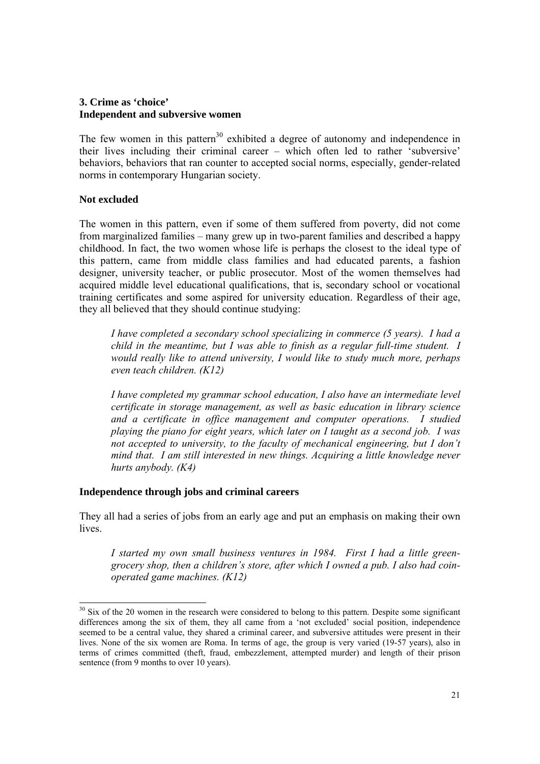# **3. Crime as 'choice' Independent and subversive women**

The few women in this pattern<sup>30</sup> exhibited a degree of autonomy and independence in their lives including their criminal career – which often led to rather 'subversive' behaviors, behaviors that ran counter to accepted social norms, especially, gender-related norms in contemporary Hungarian society.

# **Not excluded**

 $\overline{a}$ 

The women in this pattern, even if some of them suffered from poverty, did not come from marginalized families – many grew up in two-parent families and described a happy childhood. In fact, the two women whose life is perhaps the closest to the ideal type of this pattern, came from middle class families and had educated parents, a fashion designer, university teacher, or public prosecutor. Most of the women themselves had acquired middle level educational qualifications, that is, secondary school or vocational training certificates and some aspired for university education. Regardless of their age, they all believed that they should continue studying:

*I have completed a secondary school specializing in commerce (5 years). I had a child in the meantime, but I was able to finish as a regular full-time student. I would really like to attend university, I would like to study much more, perhaps even teach children. (K12)* 

*I have completed my grammar school education, I also have an intermediate level certificate in storage management, as well as basic education in library science and a certificate in office management and computer operations. I studied playing the piano for eight years, which later on I taught as a second job. I was not accepted to university, to the faculty of mechanical engineering, but I don't mind that. I am still interested in new things. Acquiring a little knowledge never hurts anybody. (K4)* 

#### **Independence through jobs and criminal careers**

They all had a series of jobs from an early age and put an emphasis on making their own lives.

*I started my own small business ventures in 1984. First I had a little greengrocery shop, then a children's store, after which I owned a pub. I also had coinoperated game machines. (K12)* 

 $30$  Six of the 20 women in the research were considered to belong to this pattern. Despite some significant differences among the six of them, they all came from a 'not excluded' social position, independence seemed to be a central value, they shared a criminal career, and subversive attitudes were present in their lives. None of the six women are Roma. In terms of age, the group is very varied (19-57 years), also in terms of crimes committed (theft, fraud, embezzlement, attempted murder) and length of their prison sentence (from 9 months to over 10 years).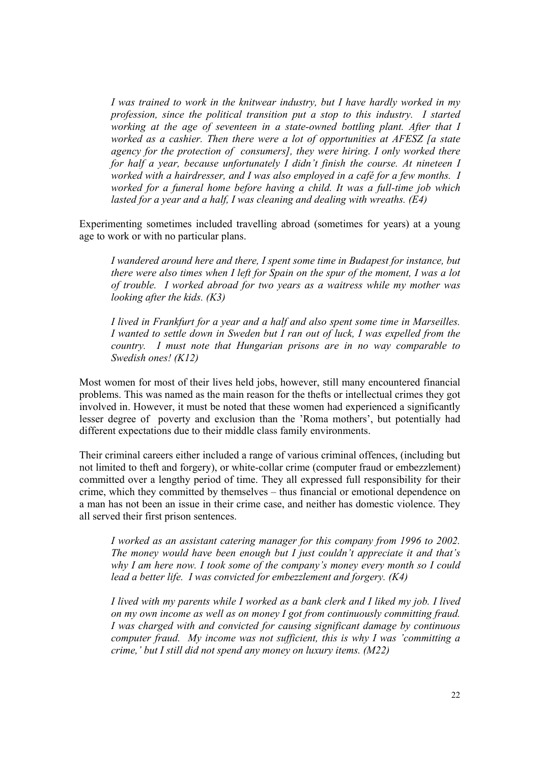*I was trained to work in the knitwear industry, but I have hardly worked in my profession, since the political transition put a stop to this industry. I started working at the age of seventeen in a state-owned bottling plant. After that I worked as a cashier. Then there were a lot of opportunities at AFESZ [a state agency for the protection of consumers], they were hiring. I only worked there for half a year, because unfortunately I didn't finish the course. At nineteen I worked with a hairdresser, and I was also employed in a café for a few months. I worked for a funeral home before having a child. It was a full-time job which lasted for a year and a half, I was cleaning and dealing with wreaths. (E4)* 

Experimenting sometimes included travelling abroad (sometimes for years) at a young age to work or with no particular plans.

*I wandered around here and there, I spent some time in Budapest for instance, but there were also times when I left for Spain on the spur of the moment, I was a lot of trouble. I worked abroad for two years as a waitress while my mother was looking after the kids. (K3)* 

*I lived in Frankfurt for a year and a half and also spent some time in Marseilles. I wanted to settle down in Sweden but I ran out of luck, I was expelled from the country. I must note that Hungarian prisons are in no way comparable to Swedish ones! (K12)* 

Most women for most of their lives held jobs, however, still many encountered financial problems. This was named as the main reason for the thefts or intellectual crimes they got involved in. However, it must be noted that these women had experienced a significantly lesser degree of poverty and exclusion than the 'Roma mothers', but potentially had different expectations due to their middle class family environments.

Their criminal careers either included a range of various criminal offences, (including but not limited to theft and forgery), or white-collar crime (computer fraud or embezzlement) committed over a lengthy period of time. They all expressed full responsibility for their crime, which they committed by themselves – thus financial or emotional dependence on a man has not been an issue in their crime case, and neither has domestic violence. They all served their first prison sentences.

*I worked as an assistant catering manager for this company from 1996 to 2002. The money would have been enough but I just couldn't appreciate it and that's why I am here now. I took some of the company's money every month so I could lead a better life. I was convicted for embezzlement and forgery. (K4)* 

*I lived with my parents while I worked as a bank clerk and I liked my job. I lived on my own income as well as on money I got from continuously committing fraud. I was charged with and convicted for causing significant damage by continuous computer fraud. My income was not sufficient, this is why I was 'committing a crime,' but I still did not spend any money on luxury items. (M22)*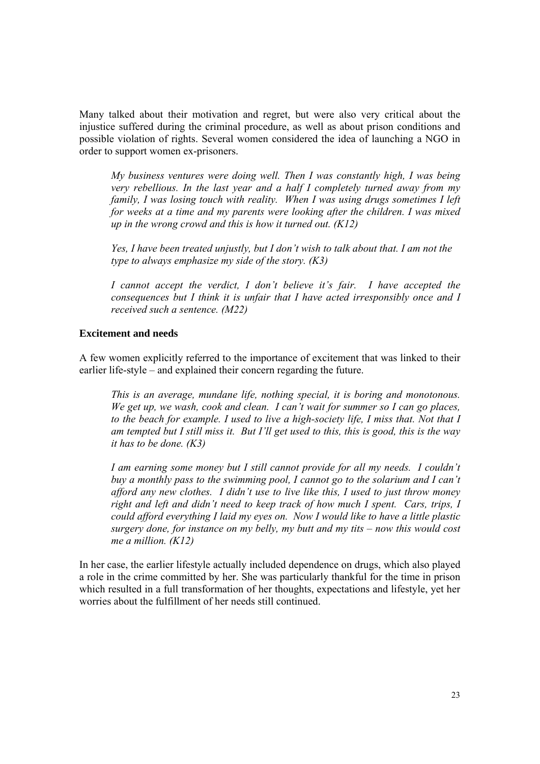Many talked about their motivation and regret, but were also very critical about the injustice suffered during the criminal procedure, as well as about prison conditions and possible violation of rights. Several women considered the idea of launching a NGO in order to support women ex-prisoners.

*My business ventures were doing well. Then I was constantly high, I was being very rebellious. In the last year and a half I completely turned away from my family, I was losing touch with reality. When I was using drugs sometimes I left for weeks at a time and my parents were looking after the children. I was mixed up in the wrong crowd and this is how it turned out. (K12)* 

*Yes, I have been treated unjustly, but I don't wish to talk about that. I am not the type to always emphasize my side of the story. (K3)* 

*I cannot accept the verdict, I don't believe it's fair. I have accepted the consequences but I think it is unfair that I have acted irresponsibly once and I received such a sentence. (M22)* 

#### **Excitement and needs**

A few women explicitly referred to the importance of excitement that was linked to their earlier life-style – and explained their concern regarding the future.

*This is an average, mundane life, nothing special, it is boring and monotonous. We get up, we wash, cook and clean. I can't wait for summer so I can go places, to the beach for example. I used to live a high-society life, I miss that. Not that I am tempted but I still miss it. But I'll get used to this, this is good, this is the way it has to be done. (K3)* 

*I am earning some money but I still cannot provide for all my needs. I couldn't buy a monthly pass to the swimming pool, I cannot go to the solarium and I can't afford any new clothes. I didn't use to live like this, I used to just throw money right and left and didn't need to keep track of how much I spent. Cars, trips, I could afford everything I laid my eyes on. Now I would like to have a little plastic surgery done, for instance on my belly, my butt and my tits – now this would cost me a million. (K12)* 

In her case, the earlier lifestyle actually included dependence on drugs, which also played a role in the crime committed by her. She was particularly thankful for the time in prison which resulted in a full transformation of her thoughts, expectations and lifestyle, yet her worries about the fulfillment of her needs still continued.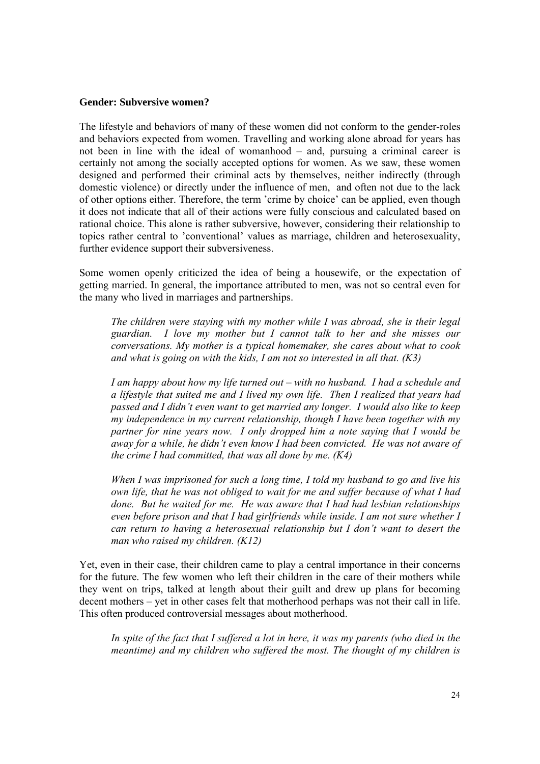#### **Gender: Subversive women?**

The lifestyle and behaviors of many of these women did not conform to the gender-roles and behaviors expected from women. Travelling and working alone abroad for years has not been in line with the ideal of womanhood – and, pursuing a criminal career is certainly not among the socially accepted options for women. As we saw, these women designed and performed their criminal acts by themselves, neither indirectly (through domestic violence) or directly under the influence of men, and often not due to the lack of other options either. Therefore, the term 'crime by choice' can be applied, even though it does not indicate that all of their actions were fully conscious and calculated based on rational choice. This alone is rather subversive, however, considering their relationship to topics rather central to 'conventional' values as marriage, children and heterosexuality, further evidence support their subversiveness.

Some women openly criticized the idea of being a housewife, or the expectation of getting married. In general, the importance attributed to men, was not so central even for the many who lived in marriages and partnerships.

*The children were staying with my mother while I was abroad, she is their legal guardian. I love my mother but I cannot talk to her and she misses our conversations. My mother is a typical homemaker, she cares about what to cook and what is going on with the kids, I am not so interested in all that. (K3)* 

*I am happy about how my life turned out – with no husband. I had a schedule and a lifestyle that suited me and I lived my own life. Then I realized that years had passed and I didn't even want to get married any longer. I would also like to keep my independence in my current relationship, though I have been together with my partner for nine years now. I only dropped him a note saying that I would be away for a while, he didn't even know I had been convicted. He was not aware of the crime I had committed, that was all done by me. (K4)* 

*When I was imprisoned for such a long time, I told my husband to go and live his own life, that he was not obliged to wait for me and suffer because of what I had done. But he waited for me. He was aware that I had had lesbian relationships even before prison and that I had girlfriends while inside. I am not sure whether I can return to having a heterosexual relationship but I don't want to desert the man who raised my children. (K12)* 

Yet, even in their case, their children came to play a central importance in their concerns for the future. The few women who left their children in the care of their mothers while they went on trips, talked at length about their guilt and drew up plans for becoming decent mothers – yet in other cases felt that motherhood perhaps was not their call in life. This often produced controversial messages about motherhood.

In spite of the fact that I suffered a lot in here, it was my parents (who died in the *meantime) and my children who suffered the most. The thought of my children is*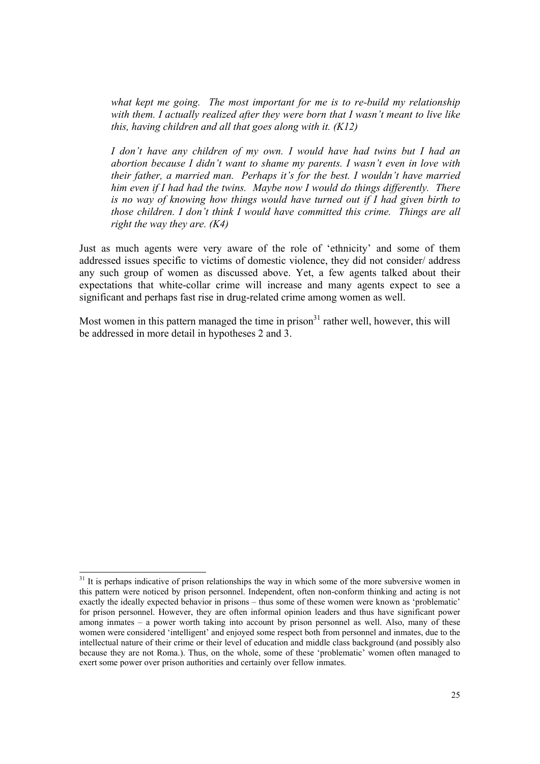*what kept me going. The most important for me is to re-build my relationship with them. I actually realized after they were born that I wasn't meant to live like this, having children and all that goes along with it. (K12)* 

*I don't have any children of my own. I would have had twins but I had an abortion because I didn't want to shame my parents. I wasn't even in love with their father, a married man. Perhaps it's for the best. I wouldn't have married him even if I had had the twins. Maybe now I would do things differently. There is no way of knowing how things would have turned out if I had given birth to those children. I don't think I would have committed this crime. Things are all right the way they are. (K4)* 

Just as much agents were very aware of the role of 'ethnicity' and some of them addressed issues specific to victims of domestic violence, they did not consider/ address any such group of women as discussed above. Yet, a few agents talked about their expectations that white-collar crime will increase and many agents expect to see a significant and perhaps fast rise in drug-related crime among women as well.

Most women in this pattern managed the time in prison $31$  rather well, however, this will be addressed in more detail in hypotheses 2 and 3.

 $\overline{a}$ 

 $31$  It is perhaps indicative of prison relationships the way in which some of the more subversive women in this pattern were noticed by prison personnel. Independent, often non-conform thinking and acting is not exactly the ideally expected behavior in prisons – thus some of these women were known as 'problematic' for prison personnel. However, they are often informal opinion leaders and thus have significant power among inmates – a power worth taking into account by prison personnel as well. Also, many of these women were considered 'intelligent' and enjoyed some respect both from personnel and inmates, due to the intellectual nature of their crime or their level of education and middle class background (and possibly also because they are not Roma.). Thus, on the whole, some of these 'problematic' women often managed to exert some power over prison authorities and certainly over fellow inmates.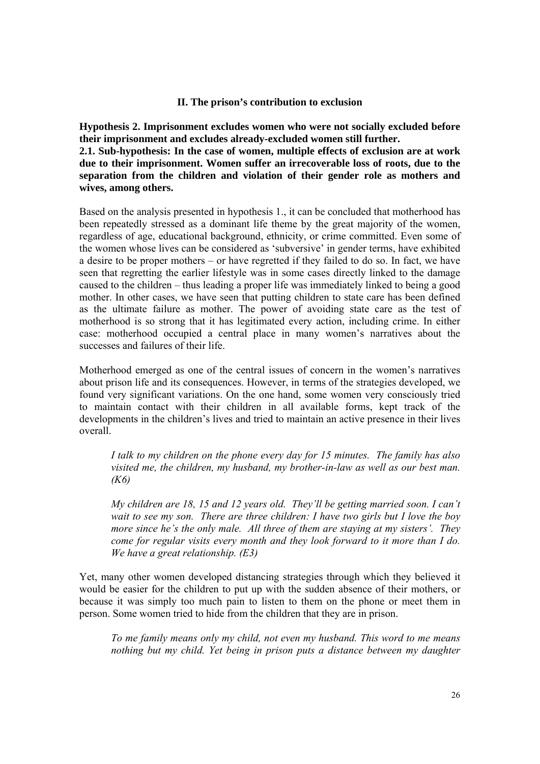## **II. The prison's contribution to exclusion**

**Hypothesis 2. Imprisonment excludes women who were not socially excluded before their imprisonment and excludes already-excluded women still further. 2.1. Sub-hypothesis: In the case of women, multiple effects of exclusion are at work due to their imprisonment. Women suffer an irrecoverable loss of roots, due to the separation from the children and violation of their gender role as mothers and** 

**wives, among others.** 

Based on the analysis presented in hypothesis 1., it can be concluded that motherhood has been repeatedly stressed as a dominant life theme by the great majority of the women, regardless of age, educational background, ethnicity, or crime committed. Even some of the women whose lives can be considered as 'subversive' in gender terms, have exhibited a desire to be proper mothers – or have regretted if they failed to do so. In fact, we have seen that regretting the earlier lifestyle was in some cases directly linked to the damage caused to the children – thus leading a proper life was immediately linked to being a good mother. In other cases, we have seen that putting children to state care has been defined as the ultimate failure as mother. The power of avoiding state care as the test of motherhood is so strong that it has legitimated every action, including crime. In either case: motherhood occupied a central place in many women's narratives about the successes and failures of their life.

Motherhood emerged as one of the central issues of concern in the women's narratives about prison life and its consequences. However, in terms of the strategies developed, we found very significant variations. On the one hand, some women very consciously tried to maintain contact with their children in all available forms, kept track of the developments in the children's lives and tried to maintain an active presence in their lives overall.

*I talk to my children on the phone every day for 15 minutes. The family has also visited me, the children, my husband, my brother-in-law as well as our best man. (K6)* 

*My children are 18, 15 and 12 years old. They'll be getting married soon. I can't wait to see my son. There are three children: I have two girls but I love the boy more since he's the only male. All three of them are staying at my sisters'. They come for regular visits every month and they look forward to it more than I do. We have a great relationship. (E3)* 

Yet, many other women developed distancing strategies through which they believed it would be easier for the children to put up with the sudden absence of their mothers, or because it was simply too much pain to listen to them on the phone or meet them in person. Some women tried to hide from the children that they are in prison.

*To me family means only my child, not even my husband. This word to me means nothing but my child. Yet being in prison puts a distance between my daughter*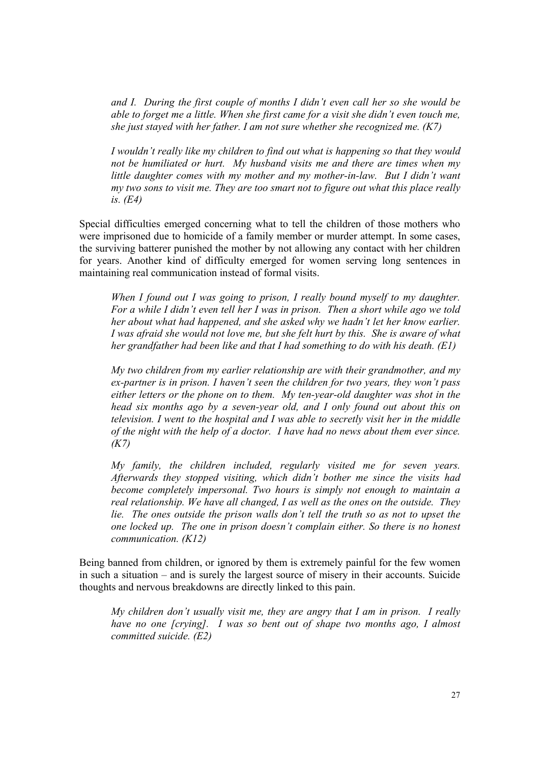*and I. During the first couple of months I didn't even call her so she would be able to forget me a little. When she first came for a visit she didn't even touch me, she just stayed with her father. I am not sure whether she recognized me. (K7)* 

*I wouldn't really like my children to find out what is happening so that they would not be humiliated or hurt. My husband visits me and there are times when my little daughter comes with my mother and my mother-in-law. But I didn't want my two sons to visit me. They are too smart not to figure out what this place really is. (E4)* 

Special difficulties emerged concerning what to tell the children of those mothers who were imprisoned due to homicide of a family member or murder attempt. In some cases, the surviving batterer punished the mother by not allowing any contact with her children for years. Another kind of difficulty emerged for women serving long sentences in maintaining real communication instead of formal visits.

*When I found out I was going to prison, I really bound myself to my daughter. For a while I didn't even tell her I was in prison. Then a short while ago we told her about what had happened, and she asked why we hadn't let her know earlier. I was afraid she would not love me, but she felt hurt by this. She is aware of what her grandfather had been like and that I had something to do with his death. (E1)* 

*My two children from my earlier relationship are with their grandmother, and my ex-partner is in prison. I haven't seen the children for two years, they won't pass either letters or the phone on to them. My ten-year-old daughter was shot in the head six months ago by a seven-year old, and I only found out about this on television. I went to the hospital and I was able to secretly visit her in the middle of the night with the help of a doctor. I have had no news about them ever since. (K7)* 

*My family, the children included, regularly visited me for seven years. Afterwards they stopped visiting, which didn't bother me since the visits had become completely impersonal. Two hours is simply not enough to maintain a real relationship. We have all changed, I as well as the ones on the outside. They lie. The ones outside the prison walls don't tell the truth so as not to upset the one locked up. The one in prison doesn't complain either. So there is no honest communication. (K12)* 

Being banned from children, or ignored by them is extremely painful for the few women in such a situation – and is surely the largest source of misery in their accounts. Suicide thoughts and nervous breakdowns are directly linked to this pain.

*My children don't usually visit me, they are angry that I am in prison. I really have no one [crying]. I was so bent out of shape two months ago, I almost committed suicide. (E2)*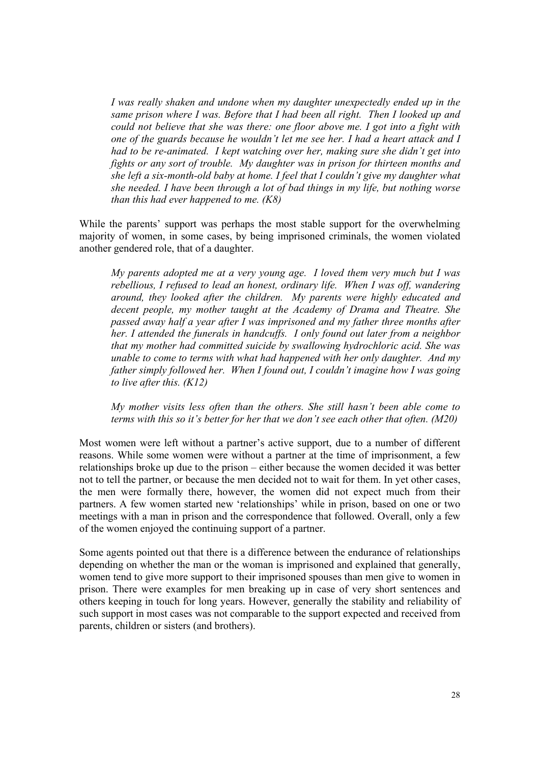*I was really shaken and undone when my daughter unexpectedly ended up in the same prison where I was. Before that I had been all right. Then I looked up and could not believe that she was there: one floor above me. I got into a fight with one of the guards because he wouldn't let me see her. I had a heart attack and I had to be re-animated. I kept watching over her, making sure she didn't get into fights or any sort of trouble. My daughter was in prison for thirteen months and she left a six-month-old baby at home. I feel that I couldn't give my daughter what she needed. I have been through a lot of bad things in my life, but nothing worse than this had ever happened to me. (K8)*

While the parents' support was perhaps the most stable support for the overwhelming majority of women, in some cases, by being imprisoned criminals, the women violated another gendered role, that of a daughter.

*My parents adopted me at a very young age. I loved them very much but I was rebellious, I refused to lead an honest, ordinary life. When I was off, wandering around, they looked after the children. My parents were highly educated and decent people, my mother taught at the Academy of Drama and Theatre. She passed away half a year after I was imprisoned and my father three months after her. I attended the funerals in handcuffs. I only found out later from a neighbor that my mother had committed suicide by swallowing hydrochloric acid. She was unable to come to terms with what had happened with her only daughter. And my father simply followed her. When I found out, I couldn't imagine how I was going to live after this. (K12)* 

*My mother visits less often than the others. She still hasn't been able come to terms with this so it's better for her that we don't see each other that often. (M20)*

Most women were left without a partner's active support, due to a number of different reasons. While some women were without a partner at the time of imprisonment, a few relationships broke up due to the prison – either because the women decided it was better not to tell the partner, or because the men decided not to wait for them. In yet other cases, the men were formally there, however, the women did not expect much from their partners. A few women started new 'relationships' while in prison, based on one or two meetings with a man in prison and the correspondence that followed. Overall, only a few of the women enjoyed the continuing support of a partner.

Some agents pointed out that there is a difference between the endurance of relationships depending on whether the man or the woman is imprisoned and explained that generally, women tend to give more support to their imprisoned spouses than men give to women in prison. There were examples for men breaking up in case of very short sentences and others keeping in touch for long years. However, generally the stability and reliability of such support in most cases was not comparable to the support expected and received from parents, children or sisters (and brothers).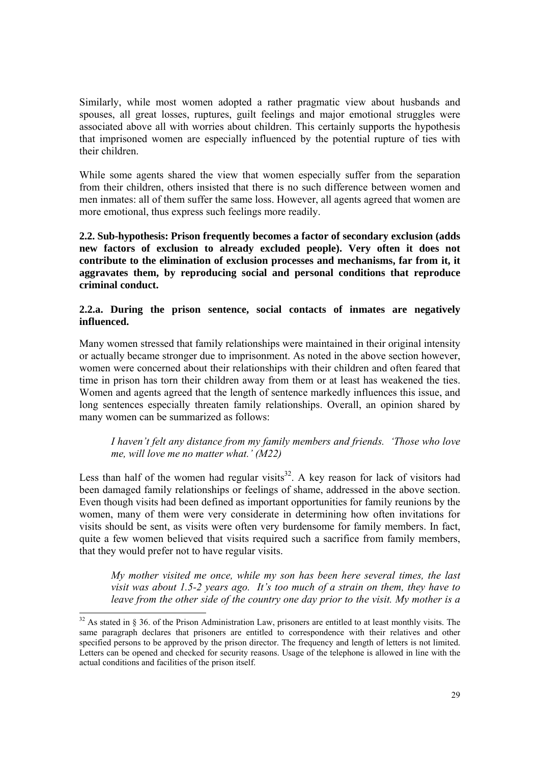Similarly, while most women adopted a rather pragmatic view about husbands and spouses, all great losses, ruptures, guilt feelings and major emotional struggles were associated above all with worries about children. This certainly supports the hypothesis that imprisoned women are especially influenced by the potential rupture of ties with their children.

While some agents shared the view that women especially suffer from the separation from their children, others insisted that there is no such difference between women and men inmates: all of them suffer the same loss. However, all agents agreed that women are more emotional, thus express such feelings more readily.

**2.2. Sub-hypothesis: Prison frequently becomes a factor of secondary exclusion (adds new factors of exclusion to already excluded people). Very often it does not contribute to the elimination of exclusion processes and mechanisms, far from it, it aggravates them, by reproducing social and personal conditions that reproduce criminal conduct.** 

# **2.2.a. During the prison sentence, social contacts of inmates are negatively influenced.**

Many women stressed that family relationships were maintained in their original intensity or actually became stronger due to imprisonment. As noted in the above section however, women were concerned about their relationships with their children and often feared that time in prison has torn their children away from them or at least has weakened the ties. Women and agents agreed that the length of sentence markedly influences this issue, and long sentences especially threaten family relationships. Overall, an opinion shared by many women can be summarized as follows:

# *I haven't felt any distance from my family members and friends. 'Those who love me, will love me no matter what.' (M22)*

Less than half of the women had regular visits $32$ . A key reason for lack of visitors had been damaged family relationships or feelings of shame, addressed in the above section. Even though visits had been defined as important opportunities for family reunions by the women, many of them were very considerate in determining how often invitations for visits should be sent, as visits were often very burdensome for family members. In fact, quite a few women believed that visits required such a sacrifice from family members, that they would prefer not to have regular visits.

*My mother visited me once, while my son has been here several times, the last visit was about 1.5-2 years ago. It's too much of a strain on them, they have to leave from the other side of the country one day prior to the visit. My mother is a* 

l

 $32$  As stated in § 36. of the Prison Administration Law, prisoners are entitled to at least monthly visits. The same paragraph declares that prisoners are entitled to correspondence with their relatives and other specified persons to be approved by the prison director. The frequency and length of letters is not limited. Letters can be opened and checked for security reasons. Usage of the telephone is allowed in line with the actual conditions and facilities of the prison itself.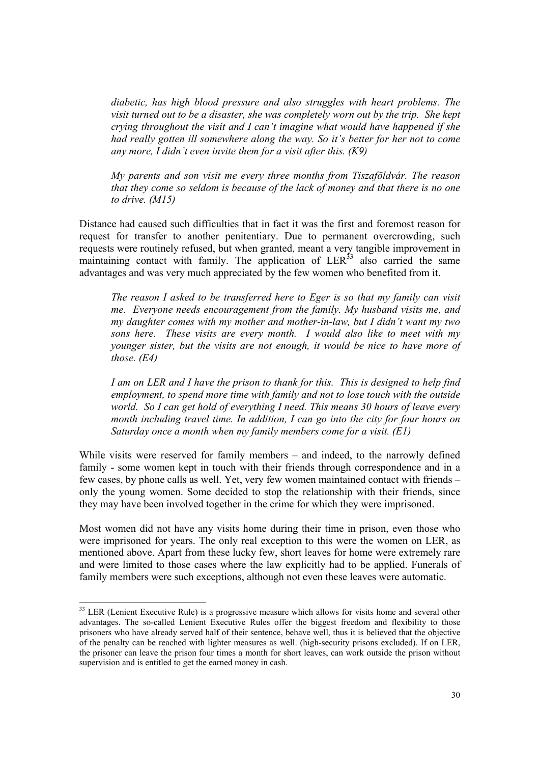*diabetic, has high blood pressure and also struggles with heart problems. The visit turned out to be a disaster, she was completely worn out by the trip. She kept crying throughout the visit and I can't imagine what would have happened if she had really gotten ill somewhere along the way. So it's better for her not to come any more, I didn't even invite them for a visit after this. (K9)* 

*My parents and son visit me every three months from Tiszaföldvár. The reason that they come so seldom is because of the lack of money and that there is no one to drive. (M15)*

Distance had caused such difficulties that in fact it was the first and foremost reason for request for transfer to another penitentiary. Due to permanent overcrowding, such requests were routinely refused, but when granted, meant a very tangible improvement in maintaining contact with family. The application of  $LER^{33}$  also carried the same advantages and was very much appreciated by the few women who benefited from it.

*The reason I asked to be transferred here to Eger is so that my family can visit me. Everyone needs encouragement from the family. My husband visits me, and my daughter comes with my mother and mother-in-law, but I didn't want my two sons here. These visits are every month. I would also like to meet with my younger sister, but the visits are not enough, it would be nice to have more of those. (E4)* 

*I am on LER and I have the prison to thank for this. This is designed to help find employment, to spend more time with family and not to lose touch with the outside world. So I can get hold of everything I need. This means 30 hours of leave every month including travel time. In addition, I can go into the city for four hours on Saturday once a month when my family members come for a visit. (E1)* 

While visits were reserved for family members – and indeed, to the narrowly defined family - some women kept in touch with their friends through correspondence and in a few cases, by phone calls as well. Yet, very few women maintained contact with friends – only the young women. Some decided to stop the relationship with their friends, since they may have been involved together in the crime for which they were imprisoned.

Most women did not have any visits home during their time in prison, even those who were imprisoned for years. The only real exception to this were the women on LER, as mentioned above. Apart from these lucky few, short leaves for home were extremely rare and were limited to those cases where the law explicitly had to be applied. Funerals of family members were such exceptions, although not even these leaves were automatic.

 $\overline{a}$ 

 $33$  LER (Lenient Executive Rule) is a progressive measure which allows for visits home and several other advantages. The so-called Lenient Executive Rules offer the biggest freedom and flexibility to those prisoners who have already served half of their sentence, behave well, thus it is believed that the objective of the penalty can be reached with lighter measures as well. (high-security prisons excluded). If on LER, the prisoner can leave the prison four times a month for short leaves, can work outside the prison without supervision and is entitled to get the earned money in cash.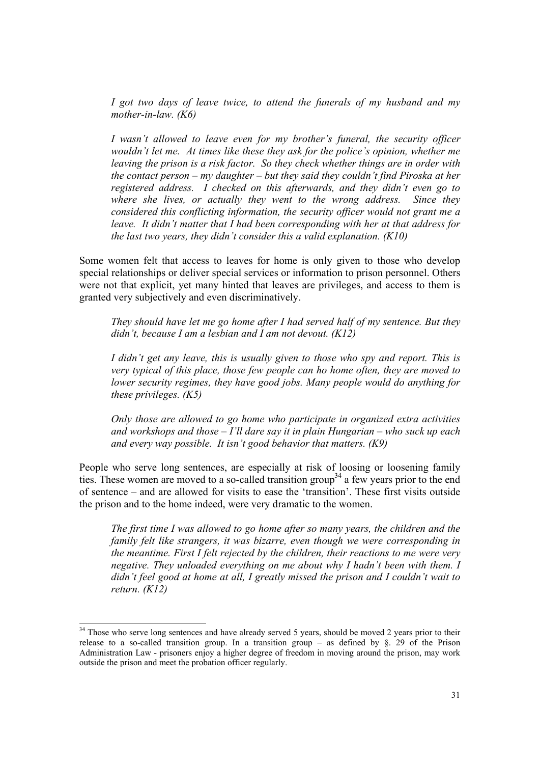*I got two days of leave twice, to attend the funerals of my husband and my mother-in-law. (K6)* 

*I* wasn't allowed to leave even for my brother's funeral, the security officer *wouldn't let me. At times like these they ask for the police's opinion, whether me leaving the prison is a risk factor. So they check whether things are in order with the contact person – my daughter – but they said they couldn't find Piroska at her registered address. I checked on this afterwards, and they didn't even go to where she lives, or actually they went to the wrong address. Since they considered this conflicting information, the security officer would not grant me a leave. It didn't matter that I had been corresponding with her at that address for the last two years, they didn't consider this a valid explanation. (K10)* 

Some women felt that access to leaves for home is only given to those who develop special relationships or deliver special services or information to prison personnel. Others were not that explicit, yet many hinted that leaves are privileges, and access to them is granted very subjectively and even discriminatively.

*They should have let me go home after I had served half of my sentence. But they didn't, because I am a lesbian and I am not devout. (K12)* 

*I didn't get any leave, this is usually given to those who spy and report. This is very typical of this place, those few people can ho home often, they are moved to lower security regimes, they have good jobs. Many people would do anything for these privileges. (K5)* 

*Only those are allowed to go home who participate in organized extra activities and workshops and those – I'll dare say it in plain Hungarian – who suck up each and every way possible. It isn't good behavior that matters. (K9)* 

People who serve long sentences, are especially at risk of loosing or loosening family ties. These women are moved to a so-called transition group<sup>34</sup> a few years prior to the end of sentence – and are allowed for visits to ease the 'transition'. These first visits outside the prison and to the home indeed, were very dramatic to the women.

*The first time I was allowed to go home after so many years, the children and the family felt like strangers, it was bizarre, even though we were corresponding in the meantime. First I felt rejected by the children, their reactions to me were very negative. They unloaded everything on me about why I hadn't been with them. I didn't feel good at home at all, I greatly missed the prison and I couldn't wait to return. (K12)* 

l

 $34$  Those who serve long sentences and have already served 5 years, should be moved 2 years prior to their release to a so-called transition group. In a transition group – as defined by  $\S$ . 29 of the Prison Administration Law - prisoners enjoy a higher degree of freedom in moving around the prison, may work outside the prison and meet the probation officer regularly.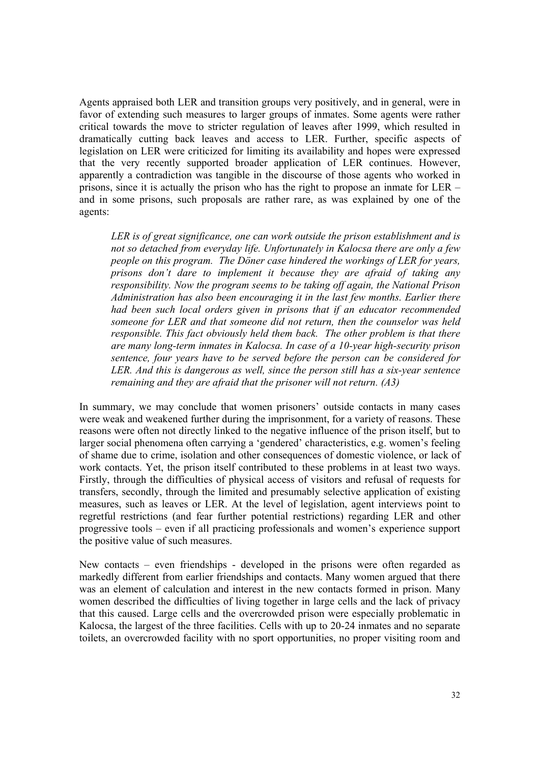Agents appraised both LER and transition groups very positively, and in general, were in favor of extending such measures to larger groups of inmates. Some agents were rather critical towards the move to stricter regulation of leaves after 1999, which resulted in dramatically cutting back leaves and access to LER. Further, specific aspects of legislation on LER were criticized for limiting its availability and hopes were expressed that the very recently supported broader application of LER continues. However, apparently a contradiction was tangible in the discourse of those agents who worked in prisons, since it is actually the prison who has the right to propose an inmate for LER – and in some prisons, such proposals are rather rare, as was explained by one of the agents:

*LER is of great significance, one can work outside the prison establishment and is not so detached from everyday life. Unfortunately in Kalocsa there are only a few people on this program. The Döner case hindered the workings of LER for years, prisons don't dare to implement it because they are afraid of taking any responsibility. Now the program seems to be taking off again, the National Prison Administration has also been encouraging it in the last few months. Earlier there had been such local orders given in prisons that if an educator recommended someone for LER and that someone did not return, then the counselor was held responsible. This fact obviously held them back. The other problem is that there are many long-term inmates in Kalocsa. In case of a 10-year high-security prison sentence, four years have to be served before the person can be considered for LER. And this is dangerous as well, since the person still has a six-year sentence remaining and they are afraid that the prisoner will not return. (A3)* 

In summary, we may conclude that women prisoners' outside contacts in many cases were weak and weakened further during the imprisonment, for a variety of reasons. These reasons were often not directly linked to the negative influence of the prison itself, but to larger social phenomena often carrying a 'gendered' characteristics, e.g. women's feeling of shame due to crime, isolation and other consequences of domestic violence, or lack of work contacts. Yet, the prison itself contributed to these problems in at least two ways. Firstly, through the difficulties of physical access of visitors and refusal of requests for transfers, secondly, through the limited and presumably selective application of existing measures, such as leaves or LER. At the level of legislation, agent interviews point to regretful restrictions (and fear further potential restrictions) regarding LER and other progressive tools – even if all practicing professionals and women's experience support the positive value of such measures.

New contacts – even friendships - developed in the prisons were often regarded as markedly different from earlier friendships and contacts. Many women argued that there was an element of calculation and interest in the new contacts formed in prison. Many women described the difficulties of living together in large cells and the lack of privacy that this caused. Large cells and the overcrowded prison were especially problematic in Kalocsa, the largest of the three facilities. Cells with up to 20-24 inmates and no separate toilets, an overcrowded facility with no sport opportunities, no proper visiting room and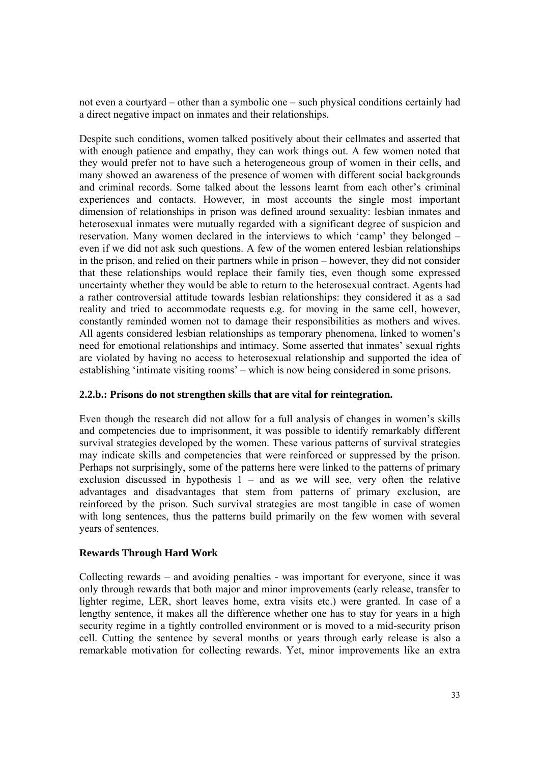not even a courtyard – other than a symbolic one – such physical conditions certainly had a direct negative impact on inmates and their relationships.

Despite such conditions, women talked positively about their cellmates and asserted that with enough patience and empathy, they can work things out. A few women noted that they would prefer not to have such a heterogeneous group of women in their cells, and many showed an awareness of the presence of women with different social backgrounds and criminal records. Some talked about the lessons learnt from each other's criminal experiences and contacts. However, in most accounts the single most important dimension of relationships in prison was defined around sexuality: lesbian inmates and heterosexual inmates were mutually regarded with a significant degree of suspicion and reservation. Many women declared in the interviews to which 'camp' they belonged – even if we did not ask such questions. A few of the women entered lesbian relationships in the prison, and relied on their partners while in prison – however, they did not consider that these relationships would replace their family ties, even though some expressed uncertainty whether they would be able to return to the heterosexual contract. Agents had a rather controversial attitude towards lesbian relationships: they considered it as a sad reality and tried to accommodate requests e.g. for moving in the same cell, however, constantly reminded women not to damage their responsibilities as mothers and wives. All agents considered lesbian relationships as temporary phenomena, linked to women's need for emotional relationships and intimacy. Some asserted that inmates' sexual rights are violated by having no access to heterosexual relationship and supported the idea of establishing 'intimate visiting rooms' – which is now being considered in some prisons.

# **2.2.b.: Prisons do not strengthen skills that are vital for reintegration.**

Even though the research did not allow for a full analysis of changes in women's skills and competencies due to imprisonment, it was possible to identify remarkably different survival strategies developed by the women. These various patterns of survival strategies may indicate skills and competencies that were reinforced or suppressed by the prison. Perhaps not surprisingly, some of the patterns here were linked to the patterns of primary exclusion discussed in hypothesis  $1 -$  and as we will see, very often the relative advantages and disadvantages that stem from patterns of primary exclusion, are reinforced by the prison. Such survival strategies are most tangible in case of women with long sentences, thus the patterns build primarily on the few women with several years of sentences.

# **Rewards Through Hard Work**

Collecting rewards – and avoiding penalties - was important for everyone, since it was only through rewards that both major and minor improvements (early release, transfer to lighter regime, LER, short leaves home, extra visits etc.) were granted. In case of a lengthy sentence, it makes all the difference whether one has to stay for years in a high security regime in a tightly controlled environment or is moved to a mid-security prison cell. Cutting the sentence by several months or years through early release is also a remarkable motivation for collecting rewards. Yet, minor improvements like an extra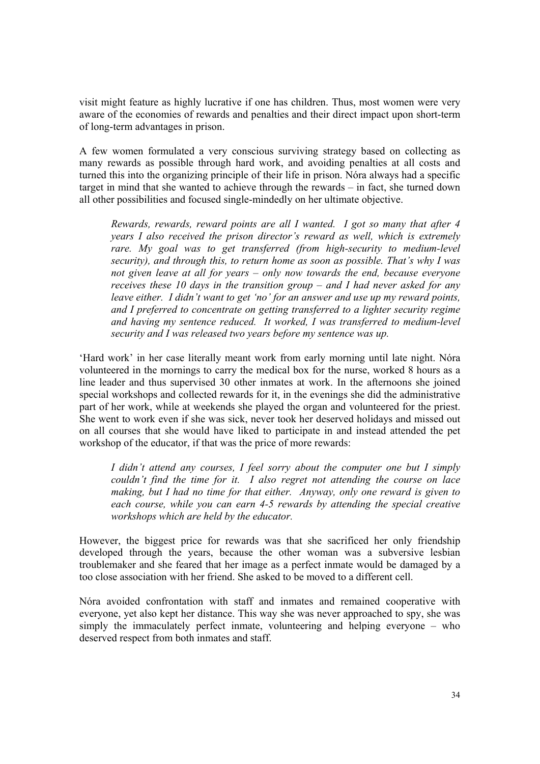visit might feature as highly lucrative if one has children. Thus, most women were very aware of the economies of rewards and penalties and their direct impact upon short-term of long-term advantages in prison.

A few women formulated a very conscious surviving strategy based on collecting as many rewards as possible through hard work, and avoiding penalties at all costs and turned this into the organizing principle of their life in prison. Nóra always had a specific target in mind that she wanted to achieve through the rewards – in fact, she turned down all other possibilities and focused single-mindedly on her ultimate objective.

*Rewards, rewards, reward points are all I wanted. I got so many that after 4 years I also received the prison director's reward as well, which is extremely rare. My goal was to get transferred (from high-security to medium-level security), and through this, to return home as soon as possible. That's why I was not given leave at all for years – only now towards the end, because everyone receives these 10 days in the transition group – and I had never asked for any leave either. I didn't want to get 'no' for an answer and use up my reward points, and I preferred to concentrate on getting transferred to a lighter security regime and having my sentence reduced. It worked, I was transferred to medium-level security and I was released two years before my sentence was up.* 

'Hard work' in her case literally meant work from early morning until late night. Nóra volunteered in the mornings to carry the medical box for the nurse, worked 8 hours as a line leader and thus supervised 30 other inmates at work. In the afternoons she joined special workshops and collected rewards for it, in the evenings she did the administrative part of her work, while at weekends she played the organ and volunteered for the priest. She went to work even if she was sick, never took her deserved holidays and missed out on all courses that she would have liked to participate in and instead attended the pet workshop of the educator, if that was the price of more rewards:

*I didn't attend any courses, I feel sorry about the computer one but I simply couldn't find the time for it. I also regret not attending the course on lace making, but I had no time for that either. Anyway, only one reward is given to each course, while you can earn 4-5 rewards by attending the special creative workshops which are held by the educator.* 

However, the biggest price for rewards was that she sacrificed her only friendship developed through the years, because the other woman was a subversive lesbian troublemaker and she feared that her image as a perfect inmate would be damaged by a too close association with her friend. She asked to be moved to a different cell.

Nóra avoided confrontation with staff and inmates and remained cooperative with everyone, yet also kept her distance. This way she was never approached to spy, she was simply the immaculately perfect inmate, volunteering and helping everyone – who deserved respect from both inmates and staff.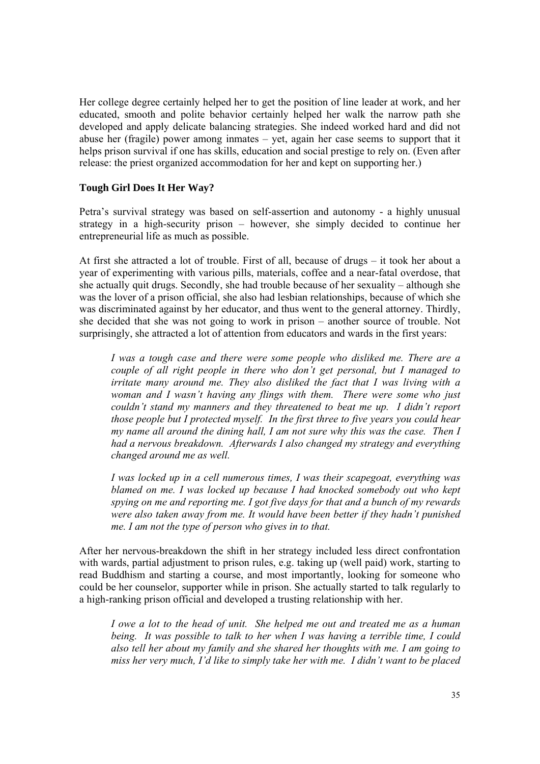Her college degree certainly helped her to get the position of line leader at work, and her educated, smooth and polite behavior certainly helped her walk the narrow path she developed and apply delicate balancing strategies. She indeed worked hard and did not abuse her (fragile) power among inmates – yet, again her case seems to support that it helps prison survival if one has skills, education and social prestige to rely on. (Even after release: the priest organized accommodation for her and kept on supporting her.)

# **Tough Girl Does It Her Way?**

Petra's survival strategy was based on self-assertion and autonomy - a highly unusual strategy in a high-security prison – however, she simply decided to continue her entrepreneurial life as much as possible.

At first she attracted a lot of trouble. First of all, because of drugs – it took her about a year of experimenting with various pills, materials, coffee and a near-fatal overdose, that she actually quit drugs. Secondly, she had trouble because of her sexuality – although she was the lover of a prison official, she also had lesbian relationships, because of which she was discriminated against by her educator, and thus went to the general attorney. Thirdly, she decided that she was not going to work in prison – another source of trouble. Not surprisingly, she attracted a lot of attention from educators and wards in the first years:

*I was a tough case and there were some people who disliked me. There are a couple of all right people in there who don't get personal, but I managed to irritate many around me. They also disliked the fact that I was living with a woman and I wasn't having any flings with them. There were some who just couldn't stand my manners and they threatened to beat me up. I didn't report those people but I protected myself. In the first three to five years you could hear my name all around the dining hall, I am not sure why this was the case. Then I had a nervous breakdown. Afterwards I also changed my strategy and everything changed around me as well.* 

*I was locked up in a cell numerous times, I was their scapegoat, everything was blamed on me. I was locked up because I had knocked somebody out who kept spying on me and reporting me. I got five days for that and a bunch of my rewards were also taken away from me. It would have been better if they hadn't punished me. I am not the type of person who gives in to that.* 

After her nervous-breakdown the shift in her strategy included less direct confrontation with wards, partial adjustment to prison rules, e.g. taking up (well paid) work, starting to read Buddhism and starting a course, and most importantly, looking for someone who could be her counselor, supporter while in prison. She actually started to talk regularly to a high-ranking prison official and developed a trusting relationship with her.

*I owe a lot to the head of unit. She helped me out and treated me as a human being. It was possible to talk to her when I was having a terrible time, I could also tell her about my family and she shared her thoughts with me. I am going to miss her very much, I'd like to simply take her with me. I didn't want to be placed*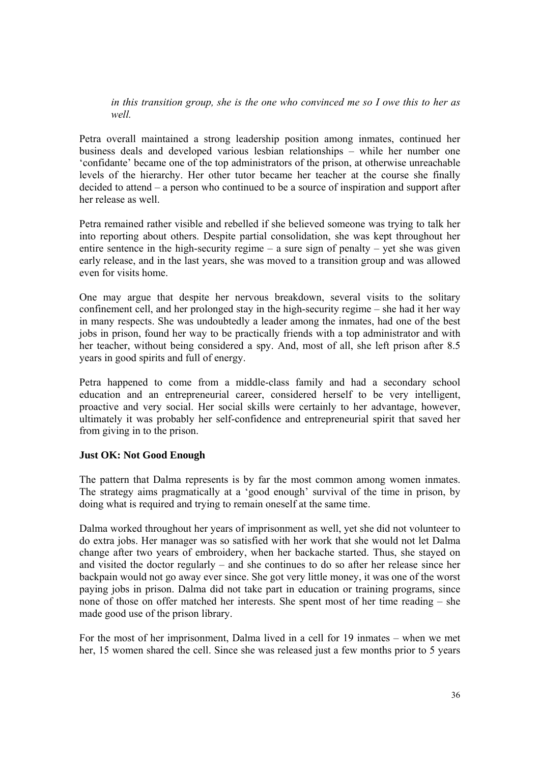*in this transition group, she is the one who convinced me so I owe this to her as well.* 

Petra overall maintained a strong leadership position among inmates, continued her business deals and developed various lesbian relationships – while her number one 'confidante' became one of the top administrators of the prison, at otherwise unreachable levels of the hierarchy. Her other tutor became her teacher at the course she finally decided to attend – a person who continued to be a source of inspiration and support after her release as well.

Petra remained rather visible and rebelled if she believed someone was trying to talk her into reporting about others. Despite partial consolidation, she was kept throughout her entire sentence in the high-security regime  $-$  a sure sign of penalty  $-$  yet she was given early release, and in the last years, she was moved to a transition group and was allowed even for visits home.

One may argue that despite her nervous breakdown, several visits to the solitary confinement cell, and her prolonged stay in the high-security regime – she had it her way in many respects. She was undoubtedly a leader among the inmates, had one of the best jobs in prison, found her way to be practically friends with a top administrator and with her teacher, without being considered a spy. And, most of all, she left prison after 8.5 years in good spirits and full of energy.

Petra happened to come from a middle-class family and had a secondary school education and an entrepreneurial career, considered herself to be very intelligent, proactive and very social. Her social skills were certainly to her advantage, however, ultimately it was probably her self-confidence and entrepreneurial spirit that saved her from giving in to the prison.

# **Just OK: Not Good Enough**

The pattern that Dalma represents is by far the most common among women inmates. The strategy aims pragmatically at a 'good enough' survival of the time in prison, by doing what is required and trying to remain oneself at the same time.

Dalma worked throughout her years of imprisonment as well, yet she did not volunteer to do extra jobs. Her manager was so satisfied with her work that she would not let Dalma change after two years of embroidery, when her backache started. Thus, she stayed on and visited the doctor regularly – and she continues to do so after her release since her backpain would not go away ever since. She got very little money, it was one of the worst paying jobs in prison. Dalma did not take part in education or training programs, since none of those on offer matched her interests. She spent most of her time reading – she made good use of the prison library.

For the most of her imprisonment, Dalma lived in a cell for 19 inmates – when we met her, 15 women shared the cell. Since she was released just a few months prior to 5 years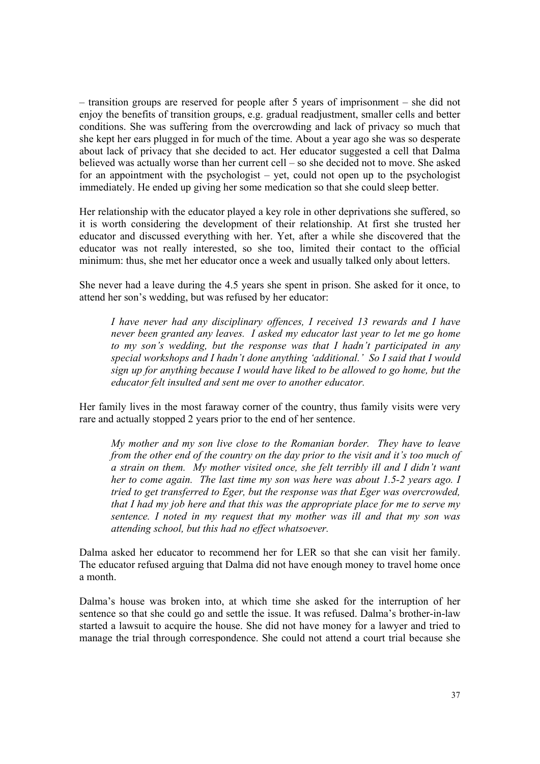– transition groups are reserved for people after 5 years of imprisonment – she did not enjoy the benefits of transition groups, e.g. gradual readjustment, smaller cells and better conditions. She was suffering from the overcrowding and lack of privacy so much that she kept her ears plugged in for much of the time. About a year ago she was so desperate about lack of privacy that she decided to act. Her educator suggested a cell that Dalma believed was actually worse than her current cell – so she decided not to move. She asked for an appointment with the psychologist – yet, could not open up to the psychologist immediately. He ended up giving her some medication so that she could sleep better.

Her relationship with the educator played a key role in other deprivations she suffered, so it is worth considering the development of their relationship. At first she trusted her educator and discussed everything with her. Yet, after a while she discovered that the educator was not really interested, so she too, limited their contact to the official minimum: thus, she met her educator once a week and usually talked only about letters.

She never had a leave during the 4.5 years she spent in prison. She asked for it once, to attend her son's wedding, but was refused by her educator:

*I have never had any disciplinary offences, I received 13 rewards and I have never been granted any leaves. I asked my educator last year to let me go home to my son's wedding, but the response was that I hadn't participated in any special workshops and I hadn't done anything 'additional.' So I said that I would sign up for anything because I would have liked to be allowed to go home, but the educator felt insulted and sent me over to another educator.* 

Her family lives in the most faraway corner of the country, thus family visits were very rare and actually stopped 2 years prior to the end of her sentence.

*My mother and my son live close to the Romanian border. They have to leave from the other end of the country on the day prior to the visit and it's too much of a strain on them. My mother visited once, she felt terribly ill and I didn't want her to come again. The last time my son was here was about 1.5-2 years ago. I tried to get transferred to Eger, but the response was that Eger was overcrowded, that I had my job here and that this was the appropriate place for me to serve my sentence. I noted in my request that my mother was ill and that my son was attending school, but this had no effect whatsoever.* 

Dalma asked her educator to recommend her for LER so that she can visit her family. The educator refused arguing that Dalma did not have enough money to travel home once a month.

Dalma's house was broken into, at which time she asked for the interruption of her sentence so that she could go and settle the issue. It was refused. Dalma's brother-in-law started a lawsuit to acquire the house. She did not have money for a lawyer and tried to manage the trial through correspondence. She could not attend a court trial because she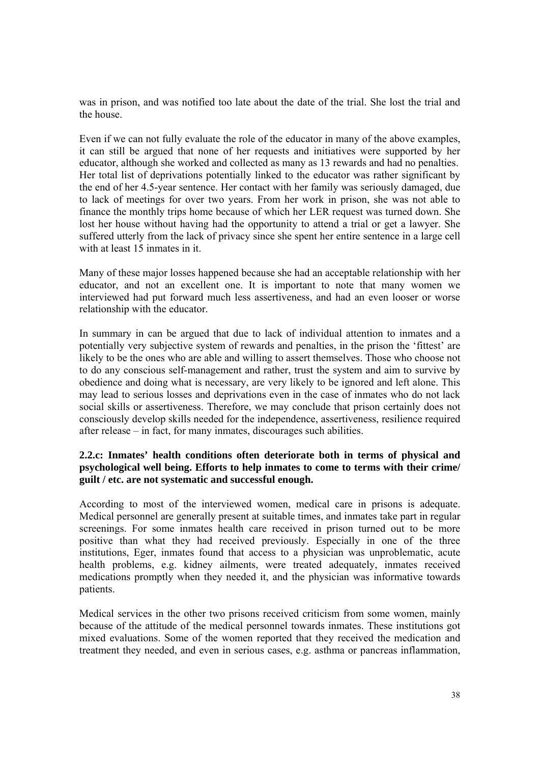was in prison, and was notified too late about the date of the trial. She lost the trial and the house.

Even if we can not fully evaluate the role of the educator in many of the above examples, it can still be argued that none of her requests and initiatives were supported by her educator, although she worked and collected as many as 13 rewards and had no penalties. Her total list of deprivations potentially linked to the educator was rather significant by the end of her 4.5-year sentence. Her contact with her family was seriously damaged, due to lack of meetings for over two years. From her work in prison, she was not able to finance the monthly trips home because of which her LER request was turned down. She lost her house without having had the opportunity to attend a trial or get a lawyer. She suffered utterly from the lack of privacy since she spent her entire sentence in a large cell with at least 15 inmates in it.

Many of these major losses happened because she had an acceptable relationship with her educator, and not an excellent one. It is important to note that many women we interviewed had put forward much less assertiveness, and had an even looser or worse relationship with the educator.

In summary in can be argued that due to lack of individual attention to inmates and a potentially very subjective system of rewards and penalties, in the prison the 'fittest' are likely to be the ones who are able and willing to assert themselves. Those who choose not to do any conscious self-management and rather, trust the system and aim to survive by obedience and doing what is necessary, are very likely to be ignored and left alone. This may lead to serious losses and deprivations even in the case of inmates who do not lack social skills or assertiveness. Therefore, we may conclude that prison certainly does not consciously develop skills needed for the independence, assertiveness, resilience required after release – in fact, for many inmates, discourages such abilities.

# **2.2.c: Inmates' health conditions often deteriorate both in terms of physical and psychological well being. Efforts to help inmates to come to terms with their crime/ guilt / etc. are not systematic and successful enough.**

According to most of the interviewed women, medical care in prisons is adequate. Medical personnel are generally present at suitable times, and inmates take part in regular screenings. For some inmates health care received in prison turned out to be more positive than what they had received previously. Especially in one of the three institutions, Eger, inmates found that access to a physician was unproblematic, acute health problems, e.g. kidney ailments, were treated adequately, inmates received medications promptly when they needed it, and the physician was informative towards patients.

Medical services in the other two prisons received criticism from some women, mainly because of the attitude of the medical personnel towards inmates. These institutions got mixed evaluations. Some of the women reported that they received the medication and treatment they needed, and even in serious cases, e.g. asthma or pancreas inflammation,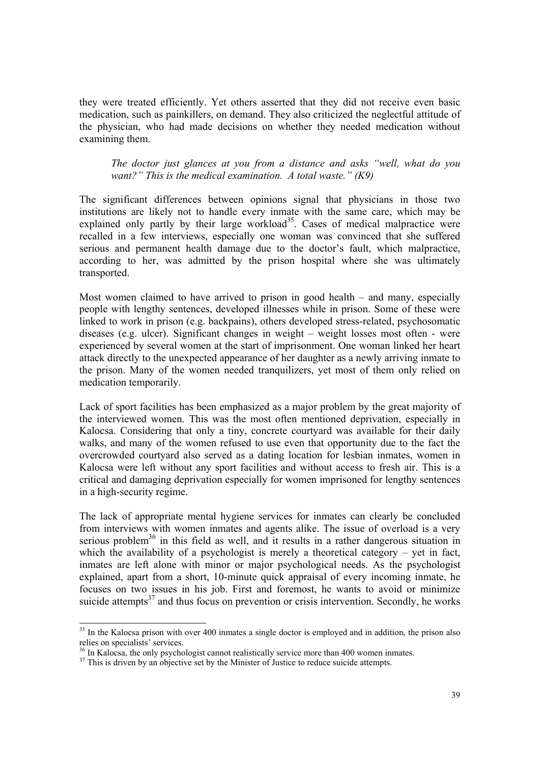they were treated efficiently. Yet others asserted that they did not receive even basic medication, such as painkillers, on demand. They also criticized the neglectful attitude of the physician, who had made decisions on whether they needed medication without examining them.

*The doctor just glances at you from a distance and asks "well, what do you want?" This is the medical examination. A total waste." (K9)* 

The significant differences between opinions signal that physicians in those two institutions are likely not to handle every inmate with the same care, which may be explained only partly by their large workload<sup>35</sup>. Cases of medical malpractice were recalled in a few interviews, especially one woman was convinced that she suffered serious and permanent health damage due to the doctor's fault, which malpractice, according to her, was admitted by the prison hospital where she was ultimately transported.

Most women claimed to have arrived to prison in good health – and many, especially people with lengthy sentences, developed illnesses while in prison. Some of these were linked to work in prison (e.g. backpains), others developed stress-related, psychosomatic diseases (e.g. ulcer). Significant changes in weight – weight losses most often - were experienced by several women at the start of imprisonment. One woman linked her heart attack directly to the unexpected appearance of her daughter as a newly arriving inmate to the prison. Many of the women needed tranquilizers, yet most of them only relied on medication temporarily.

Lack of sport facilities has been emphasized as a major problem by the great majority of the interviewed women. This was the most often mentioned deprivation, especially in Kalocsa. Considering that only a tiny, concrete courtyard was available for their daily walks, and many of the women refused to use even that opportunity due to the fact the overcrowded courtyard also served as a dating location for lesbian inmates, women in Kalocsa were left without any sport facilities and without access to fresh air. This is a critical and damaging deprivation especially for women imprisoned for lengthy sentences in a high-security regime.

The lack of appropriate mental hygiene services for inmates can clearly be concluded from interviews with women inmates and agents alike. The issue of overload is a very serious problem<sup>36</sup> in this field as well, and it results in a rather dangerous situation in which the availability of a psychologist is merely a theoretical category – yet in fact, inmates are left alone with minor or major psychological needs. As the psychologist explained, apart from a short, 10-minute quick appraisal of every incoming inmate, he focuses on two issues in his job. First and foremost, he wants to avoid or minimize suicide attempts $37$  and thus focus on prevention or crisis intervention. Secondly, he works

<sup>&</sup>lt;sup>35</sup> In the Kalocsa prison with over 400 inmates a single doctor is employed and in addition, the prison also relies on specialists' services.

<sup>&</sup>lt;sup>36</sup> In Kalocsa, the only psychologist cannot realistically service more than 400 women inmates.

 $37$  This is driven by an objective set by the Minister of Justice to reduce suicide attempts.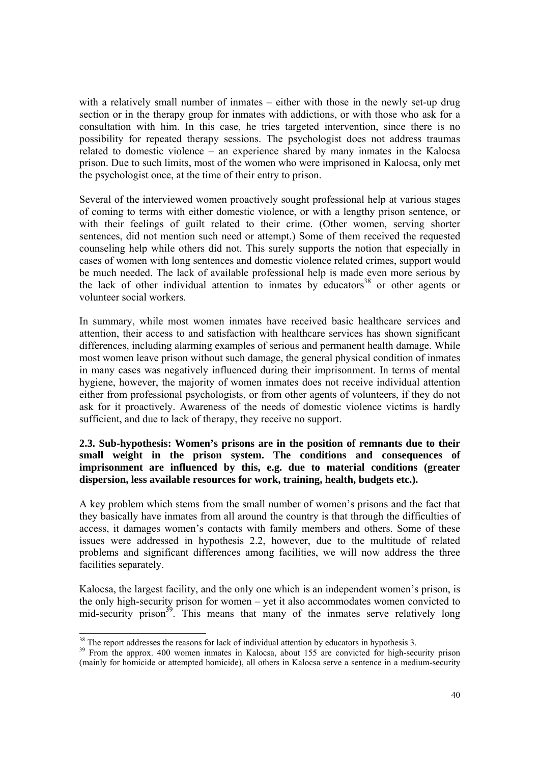with a relatively small number of inmates – either with those in the newly set-up drug section or in the therapy group for inmates with addictions, or with those who ask for a consultation with him. In this case, he tries targeted intervention, since there is no possibility for repeated therapy sessions. The psychologist does not address traumas related to domestic violence – an experience shared by many inmates in the Kalocsa prison. Due to such limits, most of the women who were imprisoned in Kalocsa, only met the psychologist once, at the time of their entry to prison.

Several of the interviewed women proactively sought professional help at various stages of coming to terms with either domestic violence, or with a lengthy prison sentence, or with their feelings of guilt related to their crime. (Other women, serving shorter sentences, did not mention such need or attempt.) Some of them received the requested counseling help while others did not. This surely supports the notion that especially in cases of women with long sentences and domestic violence related crimes, support would be much needed. The lack of available professional help is made even more serious by the lack of other individual attention to inmates by educators<sup>38</sup> or other agents or volunteer social workers.

In summary, while most women inmates have received basic healthcare services and attention, their access to and satisfaction with healthcare services has shown significant differences, including alarming examples of serious and permanent health damage. While most women leave prison without such damage, the general physical condition of inmates in many cases was negatively influenced during their imprisonment. In terms of mental hygiene, however, the majority of women inmates does not receive individual attention either from professional psychologists, or from other agents of volunteers, if they do not ask for it proactively. Awareness of the needs of domestic violence victims is hardly sufficient, and due to lack of therapy, they receive no support.

# **2.3. Sub-hypothesis: Women's prisons are in the position of remnants due to their small weight in the prison system. The conditions and consequences of imprisonment are influenced by this, e.g. due to material conditions (greater dispersion, less available resources for work, training, health, budgets etc.).**

A key problem which stems from the small number of women's prisons and the fact that they basically have inmates from all around the country is that through the difficulties of access, it damages women's contacts with family members and others. Some of these issues were addressed in hypothesis 2.2, however, due to the multitude of related problems and significant differences among facilities, we will now address the three facilities separately.

Kalocsa, the largest facility, and the only one which is an independent women's prison, is the only high-security prison for women – yet it also accommodates women convicted to mid-security prison $39$ . This means that many of the inmates serve relatively long

 $38$  The report addresses the reasons for lack of individual attention by educators in hypothesis 3.

<sup>&</sup>lt;sup>39</sup> From the approx. 400 women inmates in Kalocsa, about 155 are convicted for high-security prison (mainly for homicide or attempted homicide), all others in Kalocsa serve a sentence in a medium-security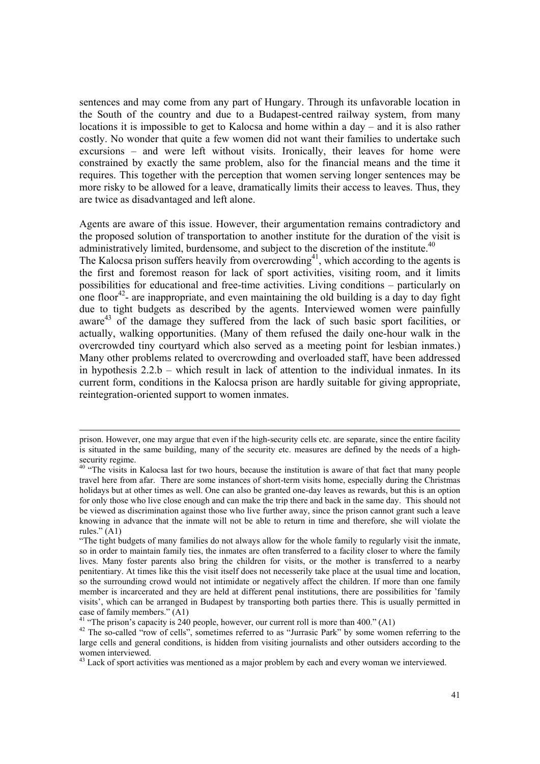sentences and may come from any part of Hungary. Through its unfavorable location in the South of the country and due to a Budapest-centred railway system, from many locations it is impossible to get to Kalocsa and home within a day – and it is also rather costly. No wonder that quite a few women did not want their families to undertake such excursions – and were left without visits. Ironically, their leaves for home were constrained by exactly the same problem, also for the financial means and the time it requires. This together with the perception that women serving longer sentences may be more risky to be allowed for a leave, dramatically limits their access to leaves. Thus, they are twice as disadvantaged and left alone.

Agents are aware of this issue. However, their argumentation remains contradictory and the proposed solution of transportation to another institute for the duration of the visit is administratively limited, burdensome, and subject to the discretion of the institute.<sup>40</sup>

The Kalocsa prison suffers heavily from overcrowding<sup>41</sup>, which according to the agents is the first and foremost reason for lack of sport activities, visiting room, and it limits possibilities for educational and free-time activities. Living conditions – particularly on one floor<sup>42</sup>- are inappropriate, and even maintaining the old building is a day to day fight due to tight budgets as described by the agents. Interviewed women were painfully aware $^{43}$  of the damage they suffered from the lack of such basic sport facilities, or actually, walking opportunities. (Many of them refused the daily one-hour walk in the overcrowded tiny courtyard which also served as a meeting point for lesbian inmates.) Many other problems related to overcrowding and overloaded staff, have been addressed in hypothesis 2.2.b – which result in lack of attention to the individual inmates. In its current form, conditions in the Kalocsa prison are hardly suitable for giving appropriate, reintegration-oriented support to women inmates.

prison. However, one may argue that even if the high-security cells etc. are separate, since the entire facility is situated in the same building, many of the security etc. measures are defined by the needs of a highsecurity regime.

<sup>&</sup>lt;sup>40</sup> "The visits in Kalocsa last for two hours, because the institution is aware of that fact that many people travel here from afar. There are some instances of short-term visits home, especially during the Christmas holidays but at other times as well. One can also be granted one-day leaves as rewards, but this is an option for only those who live close enough and can make the trip there and back in the same day. This should not be viewed as discrimination against those who live further away, since the prison cannot grant such a leave knowing in advance that the inmate will not be able to return in time and therefore, she will violate the rules."  $(A1)$ 

<sup>&</sup>quot;The tight budgets of many families do not always allow for the whole family to regularly visit the inmate, so in order to maintain family ties, the inmates are often transferred to a facility closer to where the family lives. Many foster parents also bring the children for visits, or the mother is transferred to a nearby penitentiary. At times like this the visit itself does not necesserily take place at the usual time and location, so the surrounding crowd would not intimidate or negatively affect the children. If more than one family member is incarcerated and they are held at different penal institutions, there are possibilities for 'family visits', which can be arranged in Budapest by transporting both parties there. This is usually permitted in case of family members." (A1)

<sup>&</sup>lt;sup>41</sup> "The prison's capacity is 240 people, however, our current roll is more than 400." (A1)

<sup>&</sup>lt;sup>42</sup> The so-called "row of cells", sometimes referred to as "Jurrasic Park" by some women referring to the large cells and general conditions, is hidden from visiting journalists and other outsiders according to the women interviewed.

 $43$  Lack of sport activities was mentioned as a major problem by each and every woman we interviewed.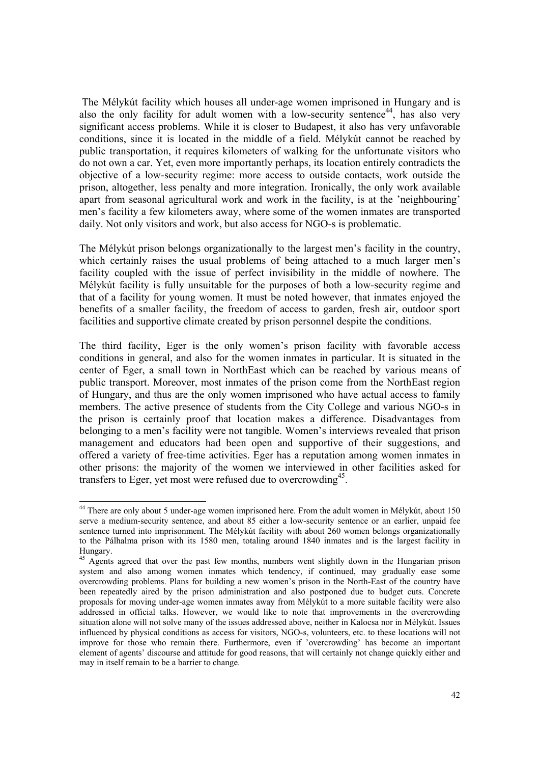The Mélykút facility which houses all under-age women imprisoned in Hungary and is also the only facility for adult women with a low-security sentence<sup>44</sup>, has also very significant access problems. While it is closer to Budapest, it also has very unfavorable conditions, since it is located in the middle of a field. Mélykút cannot be reached by public transportation, it requires kilometers of walking for the unfortunate visitors who do not own a car. Yet, even more importantly perhaps, its location entirely contradicts the objective of a low-security regime: more access to outside contacts, work outside the prison, altogether, less penalty and more integration. Ironically, the only work available apart from seasonal agricultural work and work in the facility, is at the 'neighbouring' men's facility a few kilometers away, where some of the women inmates are transported daily. Not only visitors and work, but also access for NGO-s is problematic.

The Mélykút prison belongs organizationally to the largest men's facility in the country, which certainly raises the usual problems of being attached to a much larger men's facility coupled with the issue of perfect invisibility in the middle of nowhere. The Mélykút facility is fully unsuitable for the purposes of both a low-security regime and that of a facility for young women. It must be noted however, that inmates enjoyed the benefits of a smaller facility, the freedom of access to garden, fresh air, outdoor sport facilities and supportive climate created by prison personnel despite the conditions.

The third facility, Eger is the only women's prison facility with favorable access conditions in general, and also for the women inmates in particular. It is situated in the center of Eger, a small town in NorthEast which can be reached by various means of public transport. Moreover, most inmates of the prison come from the NorthEast region of Hungary, and thus are the only women imprisoned who have actual access to family members. The active presence of students from the City College and various NGO-s in the prison is certainly proof that location makes a difference. Disadvantages from belonging to a men's facility were not tangible. Women's interviews revealed that prison management and educators had been open and supportive of their suggestions, and offered a variety of free-time activities. Eger has a reputation among women inmates in other prisons: the majority of the women we interviewed in other facilities asked for transfers to Eger, yet most were refused due to overcrowding<sup>45</sup>.

 $44$  There are only about 5 under-age women imprisoned here. From the adult women in Mélykút, about 150 serve a medium-security sentence, and about 85 either a low-security sentence or an earlier, unpaid fee sentence turned into imprisonment. The Mélykút facility with about 260 women belongs organizationally to the Pálhalma prison with its 1580 men, totaling around 1840 inmates and is the largest facility in Hungary.

<sup>&</sup>lt;sup>45</sup> Agents agreed that over the past few months, numbers went slightly down in the Hungarian prison system and also among women inmates which tendency, if continued, may gradually ease some overcrowding problems. Plans for building a new women's prison in the North-East of the country have been repeatedly aired by the prison administration and also postponed due to budget cuts. Concrete proposals for moving under-age women inmates away from Mélykút to a more suitable facility were also addressed in official talks. However, we would like to note that improvements in the overcrowding situation alone will not solve many of the issues addressed above, neither in Kalocsa nor in Mélykút. Issues influenced by physical conditions as access for visitors, NGO-s, volunteers, etc. to these locations will not improve for those who remain there. Furthermore, even if 'overcrowding' has become an important element of agents' discourse and attitude for good reasons, that will certainly not change quickly either and may in itself remain to be a barrier to change.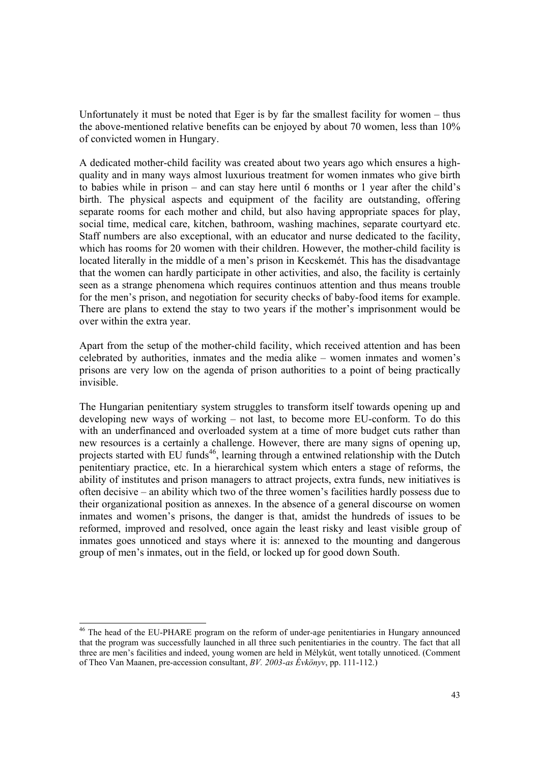Unfortunately it must be noted that Eger is by far the smallest facility for women – thus the above-mentioned relative benefits can be enjoyed by about 70 women, less than 10% of convicted women in Hungary.

A dedicated mother-child facility was created about two years ago which ensures a highquality and in many ways almost luxurious treatment for women inmates who give birth to babies while in prison – and can stay here until 6 months or 1 year after the child's birth. The physical aspects and equipment of the facility are outstanding, offering separate rooms for each mother and child, but also having appropriate spaces for play, social time, medical care, kitchen, bathroom, washing machines, separate courtyard etc. Staff numbers are also exceptional, with an educator and nurse dedicated to the facility, which has rooms for 20 women with their children. However, the mother-child facility is located literally in the middle of a men's prison in Kecskemét. This has the disadvantage that the women can hardly participate in other activities, and also, the facility is certainly seen as a strange phenomena which requires continuos attention and thus means trouble for the men's prison, and negotiation for security checks of baby-food items for example. There are plans to extend the stay to two years if the mother's imprisonment would be over within the extra year.

Apart from the setup of the mother-child facility, which received attention and has been celebrated by authorities, inmates and the media alike – women inmates and women's prisons are very low on the agenda of prison authorities to a point of being practically invisible.

The Hungarian penitentiary system struggles to transform itself towards opening up and developing new ways of working – not last, to become more EU-conform. To do this with an underfinanced and overloaded system at a time of more budget cuts rather than new resources is a certainly a challenge. However, there are many signs of opening up, projects started with EU funds<sup>46</sup>, learning through a entwined relationship with the Dutch penitentiary practice, etc. In a hierarchical system which enters a stage of reforms, the ability of institutes and prison managers to attract projects, extra funds, new initiatives is often decisive – an ability which two of the three women's facilities hardly possess due to their organizational position as annexes. In the absence of a general discourse on women inmates and women's prisons, the danger is that, amidst the hundreds of issues to be reformed, improved and resolved, once again the least risky and least visible group of inmates goes unnoticed and stays where it is: annexed to the mounting and dangerous group of men's inmates, out in the field, or locked up for good down South.

<sup>&</sup>lt;sup>46</sup> The head of the EU-PHARE program on the reform of under-age penitentiaries in Hungary announced that the program was successfully launched in all three such penitentiaries in the country. The fact that all three are men's facilities and indeed, young women are held in Mélykút, went totally unnoticed. (Comment of Theo Van Maanen, pre-accession consultant, *BV. 2003-as Évkönyv*, pp. 111-112.)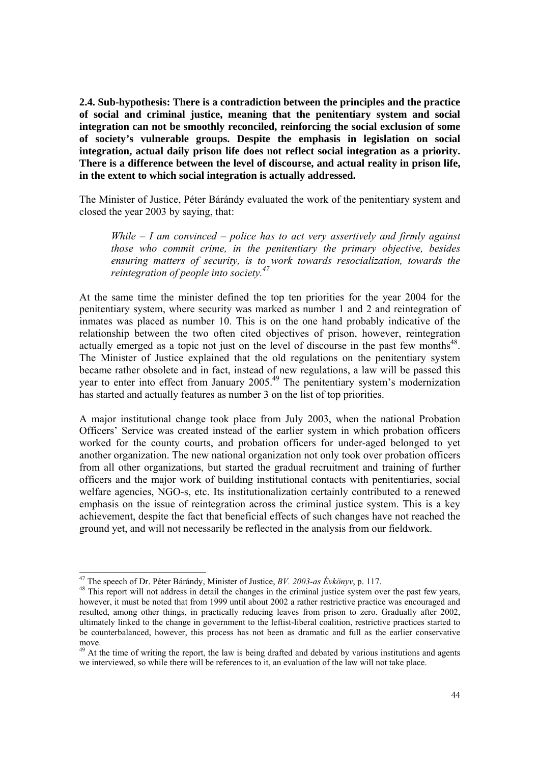**2.4. Sub-hypothesis: There is a contradiction between the principles and the practice of social and criminal justice, meaning that the penitentiary system and social integration can not be smoothly reconciled, reinforcing the social exclusion of some of society's vulnerable groups. Despite the emphasis in legislation on social integration, actual daily prison life does not reflect social integration as a priority. There is a difference between the level of discourse, and actual reality in prison life, in the extent to which social integration is actually addressed.** 

The Minister of Justice, Péter Bárándy evaluated the work of the penitentiary system and closed the year 2003 by saying, that:

*While – I am convinced – police has to act very assertively and firmly against those who commit crime, in the penitentiary the primary objective, besides ensuring matters of security, is to work towards resocialization, towards the reintegration of people into society.47*

At the same time the minister defined the top ten priorities for the year 2004 for the penitentiary system, where security was marked as number 1 and 2 and reintegration of inmates was placed as number 10. This is on the one hand probably indicative of the relationship between the two often cited objectives of prison, however, reintegration actually emerged as a topic not just on the level of discourse in the past few months<sup>48</sup>. The Minister of Justice explained that the old regulations on the penitentiary system became rather obsolete and in fact, instead of new regulations, a law will be passed this year to enter into effect from January 2005.<sup>49</sup> The penitentiary system's modernization has started and actually features as number 3 on the list of top priorities.

A major institutional change took place from July 2003, when the national Probation Officers' Service was created instead of the earlier system in which probation officers worked for the county courts, and probation officers for under-aged belonged to yet another organization. The new national organization not only took over probation officers from all other organizations, but started the gradual recruitment and training of further officers and the major work of building institutional contacts with penitentiaries, social welfare agencies, NGO-s, etc. Its institutionalization certainly contributed to a renewed emphasis on the issue of reintegration across the criminal justice system. This is a key achievement, despite the fact that beneficial effects of such changes have not reached the ground yet, and will not necessarily be reflected in the analysis from our fieldwork.

<sup>&</sup>lt;sup>47</sup> The speech of Dr. Péter Bárándy, Minister of Justice, BV. 2003-as Évkönyv, p. 117.

<sup>&</sup>lt;sup>48</sup> This report will not address in detail the changes in the criminal justice system over the past few years, however, it must be noted that from 1999 until about 2002 a rather restrictive practice was encouraged and resulted, among other things, in practically reducing leaves from prison to zero. Gradually after 2002, ultimately linked to the change in government to the leftist-liberal coalition, restrictive practices started to be counterbalanced, however, this process has not been as dramatic and full as the earlier conservative move.

<sup>&</sup>lt;sup>49</sup> At the time of writing the report, the law is being drafted and debated by various institutions and agents we interviewed, so while there will be references to it, an evaluation of the law will not take place.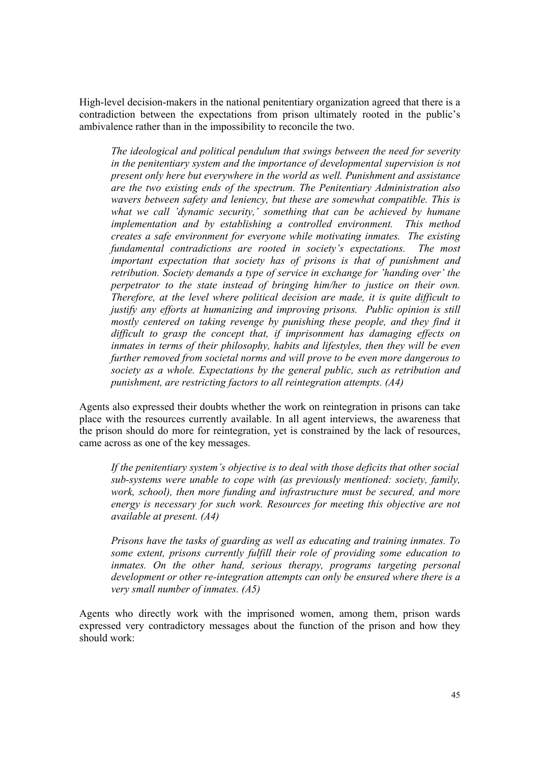High-level decision-makers in the national penitentiary organization agreed that there is a contradiction between the expectations from prison ultimately rooted in the public's ambivalence rather than in the impossibility to reconcile the two.

*The ideological and political pendulum that swings between the need for severity in the penitentiary system and the importance of developmental supervision is not present only here but everywhere in the world as well. Punishment and assistance are the two existing ends of the spectrum. The Penitentiary Administration also wavers between safety and leniency, but these are somewhat compatible. This is what we call 'dynamic security,' something that can be achieved by humane implementation and by establishing a controlled environment. This method creates a safe environment for everyone while motivating inmates. The existing fundamental contradictions are rooted in society's expectations. The most important expectation that society has of prisons is that of punishment and retribution. Society demands a type of service in exchange for 'handing over' the perpetrator to the state instead of bringing him/her to justice on their own. Therefore, at the level where political decision are made, it is quite difficult to justify any efforts at humanizing and improving prisons. Public opinion is still mostly centered on taking revenge by punishing these people, and they find it difficult to grasp the concept that, if imprisonment has damaging effects on inmates in terms of their philosophy, habits and lifestyles, then they will be even further removed from societal norms and will prove to be even more dangerous to society as a whole. Expectations by the general public, such as retribution and punishment, are restricting factors to all reintegration attempts. (A4)* 

Agents also expressed their doubts whether the work on reintegration in prisons can take place with the resources currently available. In all agent interviews, the awareness that the prison should do more for reintegration, yet is constrained by the lack of resources, came across as one of the key messages.

*If the penitentiary system's objective is to deal with those deficits that other social sub-systems were unable to cope with (as previously mentioned: society, family, work, school), then more funding and infrastructure must be secured, and more energy is necessary for such work. Resources for meeting this objective are not available at present. (A4)* 

*Prisons have the tasks of guarding as well as educating and training inmates. To some extent, prisons currently fulfill their role of providing some education to*  inmates. On the other hand, serious therapy, programs targeting personal *development or other re-integration attempts can only be ensured where there is a very small number of inmates. (A5)* 

Agents who directly work with the imprisoned women, among them, prison wards expressed very contradictory messages about the function of the prison and how they should work: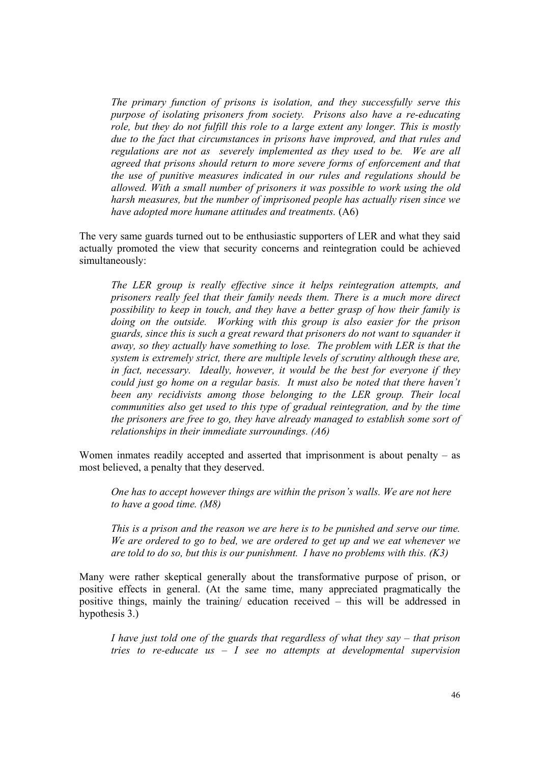*The primary function of prisons is isolation, and they successfully serve this purpose of isolating prisoners from society. Prisons also have a re-educating role, but they do not fulfill this role to a large extent any longer. This is mostly due to the fact that circumstances in prisons have improved, and that rules and regulations are not as severely implemented as they used to be. We are all agreed that prisons should return to more severe forms of enforcement and that the use of punitive measures indicated in our rules and regulations should be allowed. With a small number of prisoners it was possible to work using the old harsh measures, but the number of imprisoned people has actually risen since we have adopted more humane attitudes and treatments.* (A6)

The very same guards turned out to be enthusiastic supporters of LER and what they said actually promoted the view that security concerns and reintegration could be achieved simultaneously:

*The LER group is really effective since it helps reintegration attempts, and prisoners really feel that their family needs them. There is a much more direct possibility to keep in touch, and they have a better grasp of how their family is doing on the outside. Working with this group is also easier for the prison guards, since this is such a great reward that prisoners do not want to squander it away, so they actually have something to lose. The problem with LER is that the system is extremely strict, there are multiple levels of scrutiny although these are, in fact, necessary. Ideally, however, it would be the best for everyone if they could just go home on a regular basis. It must also be noted that there haven't been any recidivists among those belonging to the LER group. Their local communities also get used to this type of gradual reintegration, and by the time the prisoners are free to go, they have already managed to establish some sort of relationships in their immediate surroundings. (A6)* 

Women inmates readily accepted and asserted that imprisonment is about penalty – as most believed, a penalty that they deserved.

*One has to accept however things are within the prison's walls. We are not here to have a good time. (M8)* 

*This is a prison and the reason we are here is to be punished and serve our time. We are ordered to go to bed, we are ordered to get up and we eat whenever we are told to do so, but this is our punishment. I have no problems with this. (K3)* 

Many were rather skeptical generally about the transformative purpose of prison, or positive effects in general. (At the same time, many appreciated pragmatically the positive things, mainly the training/ education received – this will be addressed in hypothesis 3.)

*I have just told one of the guards that regardless of what they say – that prison tries to re-educate us – I see no attempts at developmental supervision*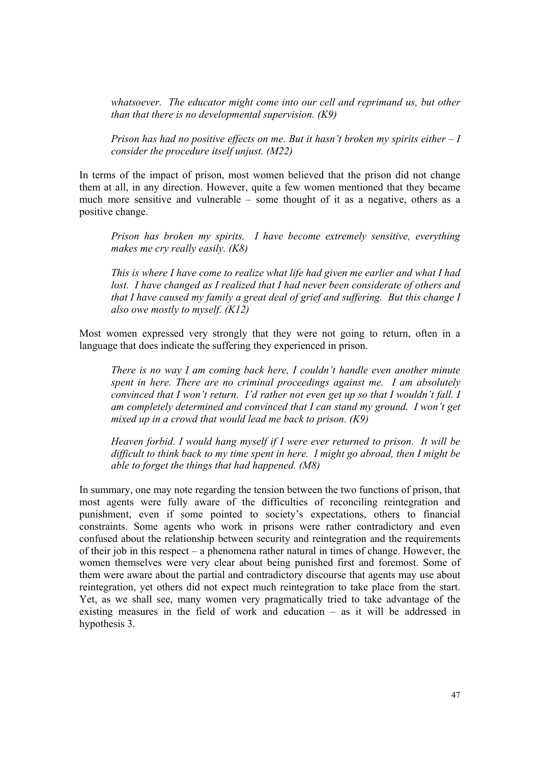*whatsoever. The educator might come into our cell and reprimand us, but other than that there is no developmental supervision. (K9)* 

*Prison has had no positive effects on me. But it hasn't broken my spirits either – I consider the procedure itself unjust. (M22)* 

In terms of the impact of prison, most women believed that the prison did not change them at all, in any direction. However, quite a few women mentioned that they became much more sensitive and vulnerable – some thought of it as a negative, others as a positive change.

*Prison has broken my spirits. I have become extremely sensitive, everything makes me cry really easily. (K8)* 

*This is where I have come to realize what life had given me earlier and what I had lost. I have changed as I realized that I had never been considerate of others and that I have caused my family a great deal of grief and suffering. But this change I also owe mostly to myself. (K12)* 

Most women expressed very strongly that they were not going to return, often in a language that does indicate the suffering they experienced in prison.

*There is no way I am coming back here, I couldn't handle even another minute spent in here. There are no criminal proceedings against me. I am absolutely convinced that I won't return. I'd rather not even get up so that I wouldn't fall. I am completely determined and convinced that I can stand my ground. I won't get mixed up in a crowd that would lead me back to prison. (K9)* 

*Heaven forbid. I would hang myself if I were ever returned to prison. It will be difficult to think back to my time spent in here. I might go abroad, then I might be able to forget the things that had happened. (M8)* 

In summary, one may note regarding the tension between the two functions of prison, that most agents were fully aware of the difficulties of reconciling reintegration and punishment, even if some pointed to society's expectations, others to financial constraints. Some agents who work in prisons were rather contradictory and even confused about the relationship between security and reintegration and the requirements of their job in this respect – a phenomena rather natural in times of change. However, the women themselves were very clear about being punished first and foremost. Some of them were aware about the partial and contradictory discourse that agents may use about reintegration, yet others did not expect much reintegration to take place from the start. Yet, as we shall see, many women very pragmatically tried to take advantage of the existing measures in the field of work and education – as it will be addressed in hypothesis 3.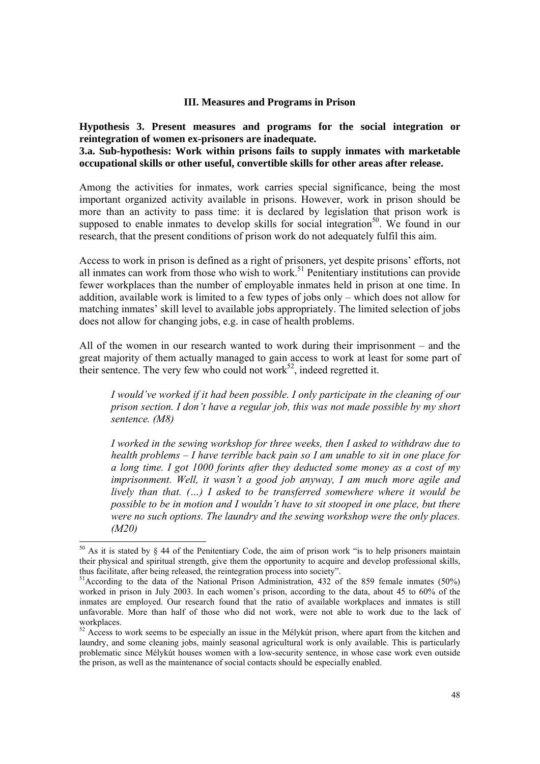#### **III. Measures and Programs in Prison**

**Hypothesis 3. Present measures and programs for the social integration or reintegration of women ex-prisoners are inadequate.** 

**3.a. Sub-hypothesis: Work within prisons fails to supply inmates with marketable occupational skills or other useful, convertible skills for other areas after release.** 

Among the activities for inmates, work carries special significance, being the most important organized activity available in prisons. However, work in prison should be more than an activity to pass time: it is declared by legislation that prison work is supposed to enable inmates to develop skills for social integration<sup>50</sup>. We found in our research, that the present conditions of prison work do not adequately fulfil this aim.

Access to work in prison is defined as a right of prisoners, yet despite prisons' efforts, not all inmates can work from those who wish to work.<sup>51</sup> Penitentiary institutions can provide fewer workplaces than the number of employable inmates held in prison at one time. In addition, available work is limited to a few types of jobs only – which does not allow for matching inmates' skill level to available jobs appropriately. The limited selection of jobs does not allow for changing jobs, e.g. in case of health problems.

All of the women in our research wanted to work during their imprisonment – and the great majority of them actually managed to gain access to work at least for some part of their sentence. The very few who could not work<sup>52</sup>, indeed regretted it.

*I would've worked if it had been possible. I only participate in the cleaning of our prison section. I don't have a regular job, this was not made possible by my short sentence. (M8)* 

*I worked in the sewing workshop for three weeks, then I asked to withdraw due to health problems – I have terrible back pain so I am unable to sit in one place for a long time. I got 1000 forints after they deducted some money as a cost of my imprisonment. Well, it wasn't a good job anyway, I am much more agile and lively than that. (…) I asked to be transferred somewhere where it would be possible to be in motion and I wouldn't have to sit stooped in one place, but there were no such options. The laundry and the sewing workshop were the only places. (M20)*

 $50$  As it is stated by § 44 of the Penitentiary Code, the aim of prison work "is to help prisoners maintain their physical and spiritual strength, give them the opportunity to acquire and develop professional skills, thus facilitate, after being released, the reintegration process into society".

<sup>&</sup>lt;sup>51</sup>According to the data of the National Prison Administration, 432 of the 859 female inmates (50%) worked in prison in July 2003. In each women's prison, according to the data, about 45 to 60% of the inmates are employed. Our research found that the ratio of available workplaces and inmates is still unfavorable. More than half of those who did not work, were not able to work due to the lack of workplaces.

<sup>&</sup>lt;sup>52</sup> Access to work seems to be especially an issue in the Mélykút prison, where apart from the kitchen and laundry, and some cleaning jobs, mainly seasonal agricultural work is only available. This is particularly problematic since Mélykút houses women with a low-security sentence, in whose case work even outside the prison, as well as the maintenance of social contacts should be especially enabled.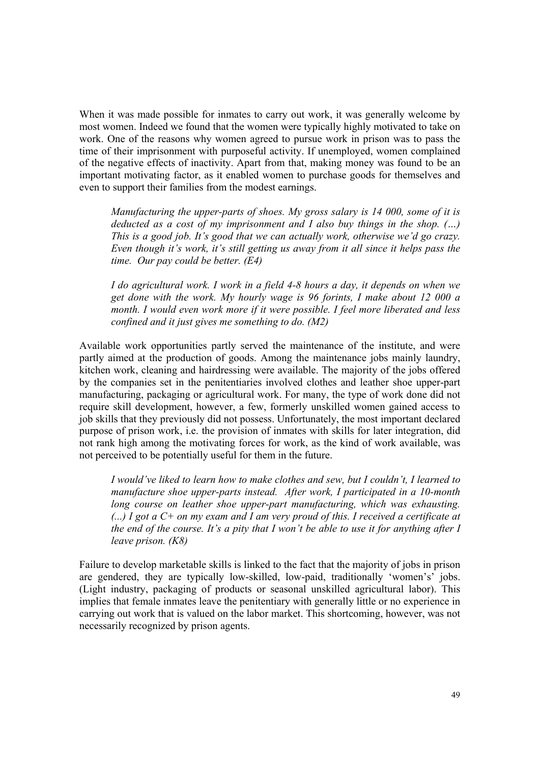When it was made possible for inmates to carry out work, it was generally welcome by most women. Indeed we found that the women were typically highly motivated to take on work. One of the reasons why women agreed to pursue work in prison was to pass the time of their imprisonment with purposeful activity. If unemployed, women complained of the negative effects of inactivity. Apart from that, making money was found to be an important motivating factor, as it enabled women to purchase goods for themselves and even to support their families from the modest earnings.

*Manufacturing the upper-parts of shoes. My gross salary is 14 000, some of it is deducted as a cost of my imprisonment and I also buy things in the shop. (…) This is a good job. It's good that we can actually work, otherwise we'd go crazy. Even though it's work, it's still getting us away from it all since it helps pass the time. Our pay could be better. (E4)* 

*I do agricultural work. I work in a field 4-8 hours a day, it depends on when we get done with the work. My hourly wage is 96 forints, I make about 12 000 a month. I would even work more if it were possible. I feel more liberated and less confined and it just gives me something to do. (M2)* 

Available work opportunities partly served the maintenance of the institute, and were partly aimed at the production of goods. Among the maintenance jobs mainly laundry, kitchen work, cleaning and hairdressing were available. The majority of the jobs offered by the companies set in the penitentiaries involved clothes and leather shoe upper-part manufacturing, packaging or agricultural work. For many, the type of work done did not require skill development, however, a few, formerly unskilled women gained access to job skills that they previously did not possess. Unfortunately, the most important declared purpose of prison work, i.e. the provision of inmates with skills for later integration, did not rank high among the motivating forces for work, as the kind of work available, was not perceived to be potentially useful for them in the future.

*I would've liked to learn how to make clothes and sew, but I couldn't, I learned to manufacture shoe upper-parts instead. After work, I participated in a 10-month long course on leather shoe upper-part manufacturing, which was exhausting. (...) I got a C+ on my exam and I am very proud of this. I received a certificate at the end of the course. It's a pity that I won't be able to use it for anything after I leave prison. (K8)* 

Failure to develop marketable skills is linked to the fact that the majority of jobs in prison are gendered, they are typically low-skilled, low-paid, traditionally 'women's' jobs. (Light industry, packaging of products or seasonal unskilled agricultural labor). This implies that female inmates leave the penitentiary with generally little or no experience in carrying out work that is valued on the labor market. This shortcoming, however, was not necessarily recognized by prison agents.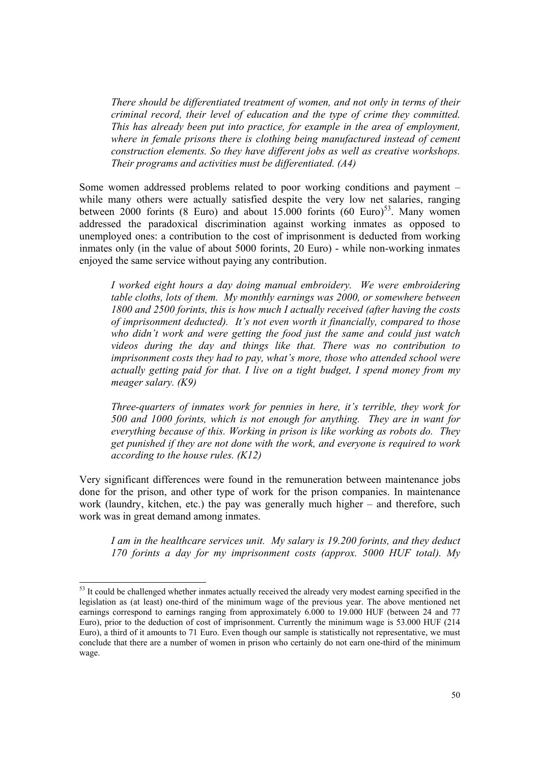*There should be differentiated treatment of women, and not only in terms of their criminal record, their level of education and the type of crime they committed. This has already been put into practice, for example in the area of employment, where in female prisons there is clothing being manufactured instead of cement construction elements. So they have different jobs as well as creative workshops. Their programs and activities must be differentiated. (A4)* 

Some women addressed problems related to poor working conditions and payment – while many others were actually satisfied despite the very low net salaries, ranging between 2000 forints (8 Euro) and about  $15.000$  forints  $(60 \text{ Euro})^{53}$ . Many women addressed the paradoxical discrimination against working inmates as opposed to unemployed ones: a contribution to the cost of imprisonment is deducted from working inmates only (in the value of about 5000 forints, 20 Euro) - while non-working inmates enjoyed the same service without paying any contribution.

*I worked eight hours a day doing manual embroidery. We were embroidering table cloths, lots of them. My monthly earnings was 2000, or somewhere between 1800 and 2500 forints, this is how much I actually received (after having the costs of imprisonment deducted). It's not even worth it financially, compared to those who didn't work and were getting the food just the same and could just watch videos during the day and things like that. There was no contribution to imprisonment costs they had to pay, what's more, those who attended school were actually getting paid for that. I live on a tight budget, I spend money from my meager salary. (K9)* 

*Three-quarters of inmates work for pennies in here, it's terrible, they work for 500 and 1000 forints, which is not enough for anything. They are in want for everything because of this. Working in prison is like working as robots do. They get punished if they are not done with the work, and everyone is required to work according to the house rules. (K12)* 

Very significant differences were found in the remuneration between maintenance jobs done for the prison, and other type of work for the prison companies. In maintenance work (laundry, kitchen, etc.) the pay was generally much higher – and therefore, such work was in great demand among inmates.

*I am in the healthcare services unit. My salary is 19.200 forints, and they deduct 170 forints a day for my imprisonment costs (approx. 5000 HUF total). My* 

<sup>&</sup>lt;sup>53</sup> It could be challenged whether inmates actually received the already very modest earning specified in the legislation as (at least) one-third of the minimum wage of the previous year. The above mentioned net earnings correspond to earnings ranging from approximately 6.000 to 19.000 HUF (between 24 and 77 Euro), prior to the deduction of cost of imprisonment. Currently the minimum wage is 53.000 HUF (214 Euro), a third of it amounts to 71 Euro. Even though our sample is statistically not representative, we must conclude that there are a number of women in prison who certainly do not earn one-third of the minimum wage.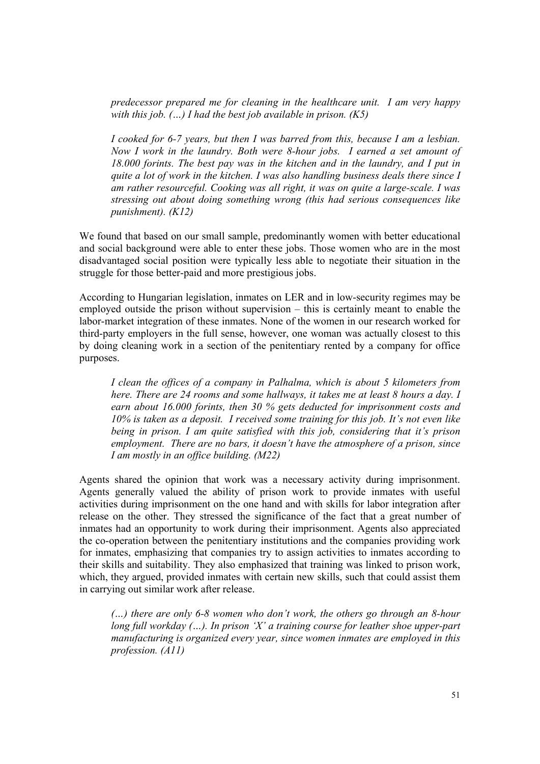*predecessor prepared me for cleaning in the healthcare unit. I am very happy with this job. (…) I had the best job available in prison. (K5)* 

*I cooked for 6-7 years, but then I was barred from this, because I am a lesbian. Now I work in the laundry. Both were 8-hour jobs. I earned a set amount of 18.000 forints. The best pay was in the kitchen and in the laundry, and I put in quite a lot of work in the kitchen. I was also handling business deals there since I am rather resourceful. Cooking was all right, it was on quite a large-scale. I was stressing out about doing something wrong (this had serious consequences like punishment). (K12)* 

We found that based on our small sample, predominantly women with better educational and social background were able to enter these jobs. Those women who are in the most disadvantaged social position were typically less able to negotiate their situation in the struggle for those better-paid and more prestigious jobs.

According to Hungarian legislation, inmates on LER and in low-security regimes may be employed outside the prison without supervision – this is certainly meant to enable the labor-market integration of these inmates. None of the women in our research worked for third-party employers in the full sense, however, one woman was actually closest to this by doing cleaning work in a section of the penitentiary rented by a company for office purposes.

*I clean the offices of a company in Palhalma, which is about 5 kilometers from here. There are 24 rooms and some hallways, it takes me at least 8 hours a day. I earn about 16.000 forints, then 30 % gets deducted for imprisonment costs and 10% is taken as a deposit. I received some training for this job. It's not even like being in prison. I am quite satisfied with this job, considering that it's prison employment. There are no bars, it doesn't have the atmosphere of a prison, since I am mostly in an office building. (M22)* 

Agents shared the opinion that work was a necessary activity during imprisonment. Agents generally valued the ability of prison work to provide inmates with useful activities during imprisonment on the one hand and with skills for labor integration after release on the other. They stressed the significance of the fact that a great number of inmates had an opportunity to work during their imprisonment. Agents also appreciated the co-operation between the penitentiary institutions and the companies providing work for inmates, emphasizing that companies try to assign activities to inmates according to their skills and suitability. They also emphasized that training was linked to prison work, which, they argued, provided inmates with certain new skills, such that could assist them in carrying out similar work after release.

*(…) there are only 6-8 women who don't work, the others go through an 8-hour long full workday (…). In prison 'X' a training course for leather shoe upper-part manufacturing is organized every year, since women inmates are employed in this profession. (A11)*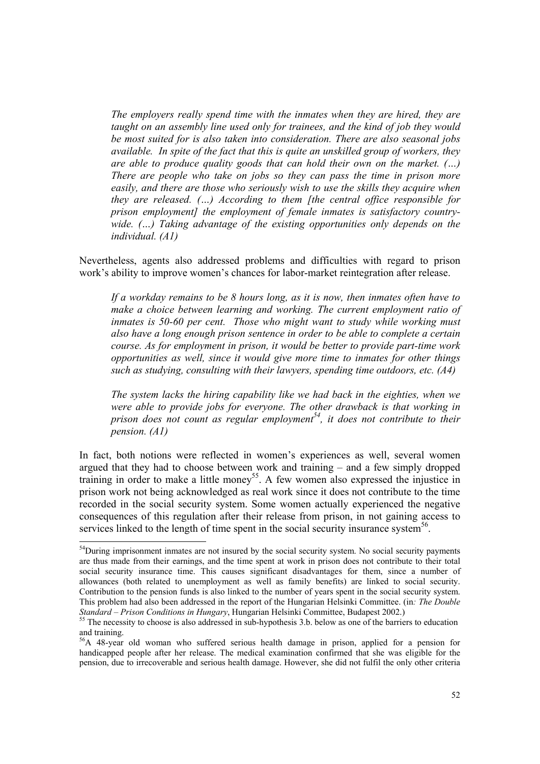*The employers really spend time with the inmates when they are hired, they are taught on an assembly line used only for trainees, and the kind of job they would be most suited for is also taken into consideration. There are also seasonal jobs available. In spite of the fact that this is quite an unskilled group of workers, they are able to produce quality goods that can hold their own on the market. (…) There are people who take on jobs so they can pass the time in prison more easily, and there are those who seriously wish to use the skills they acquire when they are released. (…) According to them [the central office responsible for prison employment] the employment of female inmates is satisfactory countrywide. (…) Taking advantage of the existing opportunities only depends on the individual. (A1)* 

Nevertheless, agents also addressed problems and difficulties with regard to prison work's ability to improve women's chances for labor-market reintegration after release.

*If a workday remains to be 8 hours long, as it is now, then inmates often have to make a choice between learning and working. The current employment ratio of inmates is 50-60 per cent. Those who might want to study while working must also have a long enough prison sentence in order to be able to complete a certain course. As for employment in prison, it would be better to provide part-time work opportunities as well, since it would give more time to inmates for other things such as studying, consulting with their lawyers, spending time outdoors, etc. (A4)* 

*The system lacks the hiring capability like we had back in the eighties, when we were able to provide jobs for everyone. The other drawback is that working in prison does not count as regular employment*<sup>54</sup>, it does not contribute to their *pension. (A1)* 

In fact, both notions were reflected in women's experiences as well, several women argued that they had to choose between work and training – and a few simply dropped training in order to make a little money<sup>55</sup>. A few women also expressed the injustice in prison work not being acknowledged as real work since it does not contribute to the time recorded in the social security system. Some women actually experienced the negative consequences of this regulation after their release from prison, in not gaining access to services linked to the length of time spent in the social security insurance system<sup>56</sup>.

<sup>&</sup>lt;sup>54</sup>During imprisonment inmates are not insured by the social security system. No social security payments are thus made from their earnings, and the time spent at work in prison does not contribute to their total social security insurance time. This causes significant disadvantages for them, since a number of allowances (both related to unemployment as well as family benefits) are linked to social security. Contribution to the pension funds is also linked to the number of years spent in the social security system. This problem had also been addressed in the report of the Hungarian Helsinki Committee. (in*: The Double Standard – Prison Conditions in Hungary*, Hungarian Helsinki Committee, Budapest 2002.)<br><sup>55</sup> The necessity to choose is also addressed in sub-hypothesis 3.b. below as one of the barriers to education

and training.

<sup>56</sup>A 48-year old woman who suffered serious health damage in prison, applied for a pension for handicapped people after her release. The medical examination confirmed that she was eligible for the pension, due to irrecoverable and serious health damage. However, she did not fulfil the only other criteria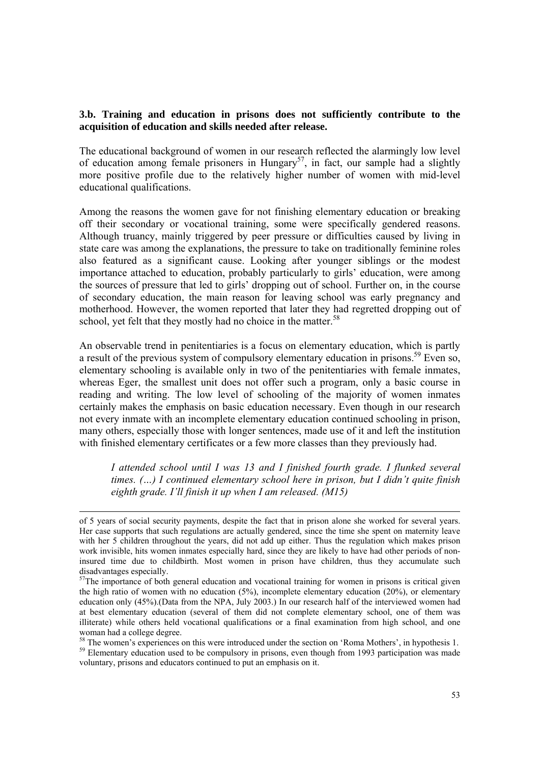# **3.b. Training and education in prisons does not sufficiently contribute to the acquisition of education and skills needed after release.**

The educational background of women in our research reflected the alarmingly low level of education among female prisoners in Hungary<sup>57</sup>, in fact, our sample had a slightly more positive profile due to the relatively higher number of women with mid-level educational qualifications.

Among the reasons the women gave for not finishing elementary education or breaking off their secondary or vocational training, some were specifically gendered reasons. Although truancy, mainly triggered by peer pressure or difficulties caused by living in state care was among the explanations, the pressure to take on traditionally feminine roles also featured as a significant cause. Looking after younger siblings or the modest importance attached to education, probably particularly to girls' education, were among the sources of pressure that led to girls' dropping out of school. Further on, in the course of secondary education, the main reason for leaving school was early pregnancy and motherhood. However, the women reported that later they had regretted dropping out of school, yet felt that they mostly had no choice in the matter.<sup>58</sup>

An observable trend in penitentiaries is a focus on elementary education, which is partly a result of the previous system of compulsory elementary education in prisons.<sup>59</sup> Even so, elementary schooling is available only in two of the penitentiaries with female inmates, whereas Eger, the smallest unit does not offer such a program, only a basic course in reading and writing. The low level of schooling of the majority of women inmates certainly makes the emphasis on basic education necessary. Even though in our research not every inmate with an incomplete elementary education continued schooling in prison, many others, especially those with longer sentences, made use of it and left the institution with finished elementary certificates or a few more classes than they previously had.

*I attended school until I was 13 and I finished fourth grade. I flunked several times. (…) I continued elementary school here in prison, but I didn't quite finish eighth grade. I'll finish it up when I am released. (M15)* 

of 5 years of social security payments, despite the fact that in prison alone she worked for several years. Her case supports that such regulations are actually gendered, since the time she spent on maternity leave with her 5 children throughout the years, did not add up either. Thus the regulation which makes prison work invisible, hits women inmates especially hard, since they are likely to have had other periods of noninsured time due to childbirth. Most women in prison have children, thus they accumulate such disadvantages especially.

<sup>&</sup>lt;sup>57</sup>The importance of both general education and vocational training for women in prisons is critical given the high ratio of women with no education (5%), incomplete elementary education (20%), or elementary education only (45%).(Data from the NPA, July 2003.) In our research half of the interviewed women had at best elementary education (several of them did not complete elementary school, one of them was illiterate) while others held vocational qualifications or a final examination from high school, and one woman had a college degree.

<sup>&</sup>lt;sup>58</sup> The women's experiences on this were introduced under the section on 'Roma Mothers', in hypothesis 1. <sup>59</sup> Elementary education used to be compulsory in prisons, even though from 1993 participation was made voluntary, prisons and educators continued to put an emphasis on it.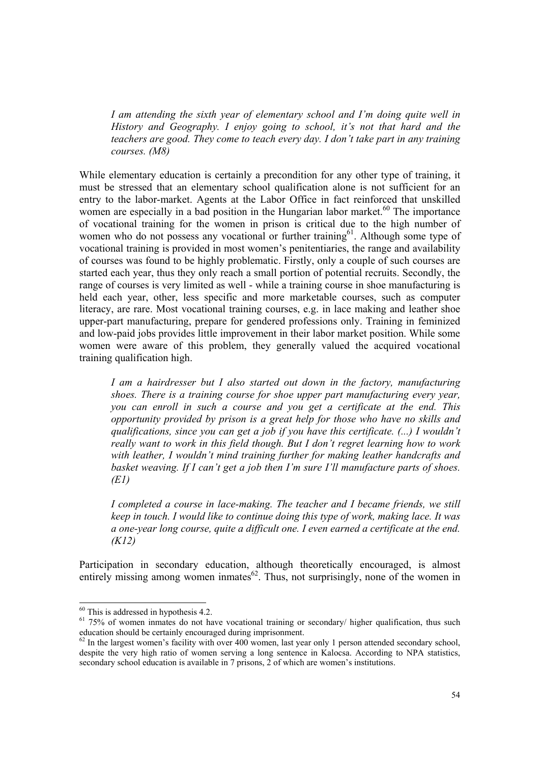*I am attending the sixth year of elementary school and I'm doing quite well in History and Geography. I enjoy going to school, it's not that hard and the teachers are good. They come to teach every day. I don't take part in any training courses. (M8)* 

While elementary education is certainly a precondition for any other type of training, it must be stressed that an elementary school qualification alone is not sufficient for an entry to the labor-market. Agents at the Labor Office in fact reinforced that unskilled women are especially in a bad position in the Hungarian labor market.<sup>60</sup> The importance of vocational training for the women in prison is critical due to the high number of women who do not possess any vocational or further training<sup>61</sup>. Although some type of vocational training is provided in most women's penitentiaries, the range and availability of courses was found to be highly problematic. Firstly, only a couple of such courses are started each year, thus they only reach a small portion of potential recruits. Secondly, the range of courses is very limited as well - while a training course in shoe manufacturing is held each year, other, less specific and more marketable courses, such as computer literacy, are rare. Most vocational training courses, e.g. in lace making and leather shoe upper-part manufacturing, prepare for gendered professions only. Training in feminized and low-paid jobs provides little improvement in their labor market position. While some women were aware of this problem, they generally valued the acquired vocational training qualification high.

*I am a hairdresser but I also started out down in the factory, manufacturing shoes. There is a training course for shoe upper part manufacturing every year, you can enroll in such a course and you get a certificate at the end. This opportunity provided by prison is a great help for those who have no skills and qualifications, since you can get a job if you have this certificate. (...) I wouldn't really want to work in this field though. But I don't regret learning how to work with leather, I wouldn't mind training further for making leather handcrafts and basket weaving. If I can't get a job then I'm sure I'll manufacture parts of shoes. (E1)* 

*I completed a course in lace-making. The teacher and I became friends, we still keep in touch. I would like to continue doing this type of work, making lace. It was a one-year long course, quite a difficult one. I even earned a certificate at the end. (K12)* 

Participation in secondary education, although theoretically encouraged, is almost entirely missing among women inmates $62$ . Thus, not surprisingly, none of the women in

 $60$  This is addressed in hypothesis 4.2.

<sup>&</sup>lt;sup>61</sup> 75% of women inmates do not have vocational training or secondary/ higher qualification, thus such education should be certainly encouraged during imprisonment.

 $62$  In the largest women's facility with over 400 women, last year only 1 person attended secondary school, despite the very high ratio of women serving a long sentence in Kalocsa. According to NPA statistics, secondary school education is available in 7 prisons, 2 of which are women's institutions.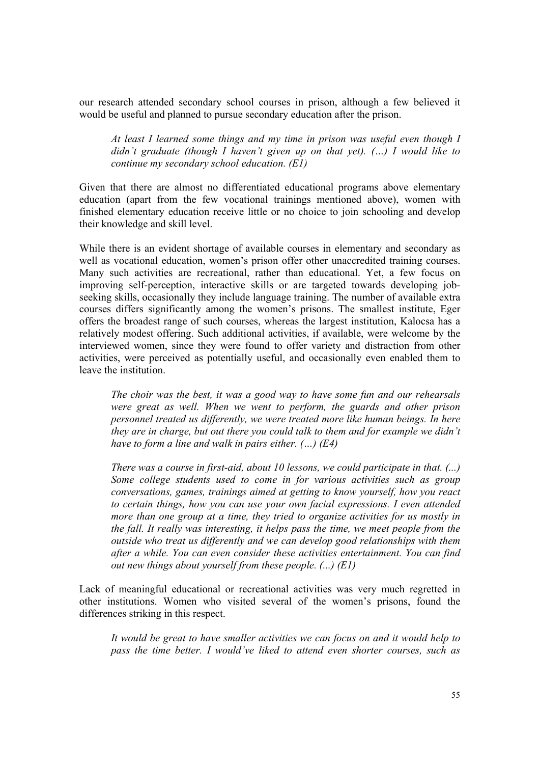our research attended secondary school courses in prison, although a few believed it would be useful and planned to pursue secondary education after the prison.

*At least I learned some things and my time in prison was useful even though I didn't graduate (though I haven't given up on that yet). (…) I would like to continue my secondary school education. (E1)* 

Given that there are almost no differentiated educational programs above elementary education (apart from the few vocational trainings mentioned above), women with finished elementary education receive little or no choice to join schooling and develop their knowledge and skill level.

While there is an evident shortage of available courses in elementary and secondary as well as vocational education, women's prison offer other unaccredited training courses. Many such activities are recreational, rather than educational. Yet, a few focus on improving self-perception, interactive skills or are targeted towards developing jobseeking skills, occasionally they include language training. The number of available extra courses differs significantly among the women's prisons. The smallest institute, Eger offers the broadest range of such courses, whereas the largest institution, Kalocsa has a relatively modest offering. Such additional activities, if available, were welcome by the interviewed women, since they were found to offer variety and distraction from other activities, were perceived as potentially useful, and occasionally even enabled them to leave the institution.

*The choir was the best, it was a good way to have some fun and our rehearsals were great as well. When we went to perform, the guards and other prison personnel treated us differently, we were treated more like human beings. In here they are in charge, but out there you could talk to them and for example we didn't have to form a line and walk in pairs either. (…) (E4)* 

*There was a course in first-aid, about 10 lessons, we could participate in that. (...) Some college students used to come in for various activities such as group conversations, games, trainings aimed at getting to know yourself, how you react to certain things, how you can use your own facial expressions. I even attended more than one group at a time, they tried to organize activities for us mostly in the fall. It really was interesting, it helps pass the time, we meet people from the outside who treat us differently and we can develop good relationships with them after a while. You can even consider these activities entertainment. You can find out new things about yourself from these people. (...) (E1)* 

Lack of meaningful educational or recreational activities was very much regretted in other institutions. Women who visited several of the women's prisons, found the differences striking in this respect.

*It would be great to have smaller activities we can focus on and it would help to pass the time better. I would've liked to attend even shorter courses, such as*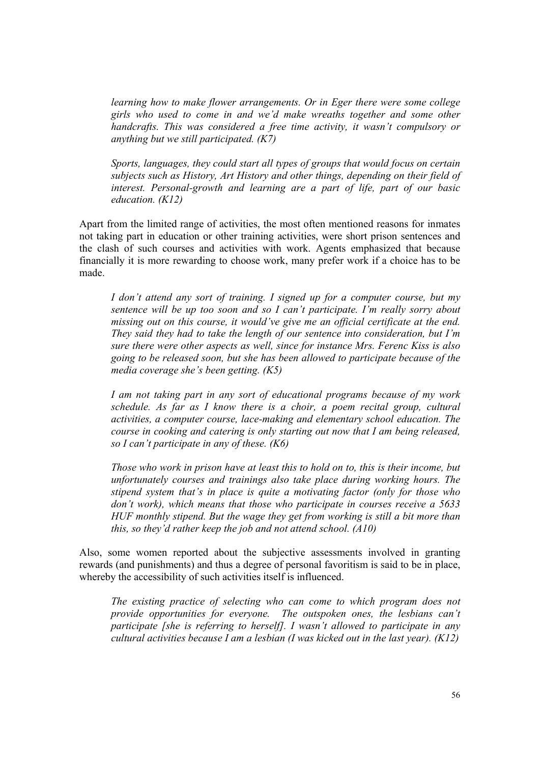*learning how to make flower arrangements. Or in Eger there were some college girls who used to come in and we'd make wreaths together and some other handcrafts. This was considered a free time activity, it wasn't compulsory or anything but we still participated. (K7)* 

*Sports, languages, they could start all types of groups that would focus on certain subjects such as History, Art History and other things, depending on their field of interest. Personal-growth and learning are a part of life, part of our basic education. (K12)* 

Apart from the limited range of activities, the most often mentioned reasons for inmates not taking part in education or other training activities, were short prison sentences and the clash of such courses and activities with work. Agents emphasized that because financially it is more rewarding to choose work, many prefer work if a choice has to be made.

*I don't attend any sort of training. I signed up for a computer course, but my sentence will be up too soon and so I can't participate. I'm really sorry about missing out on this course, it would've give me an official certificate at the end. They said they had to take the length of our sentence into consideration, but I'm sure there were other aspects as well, since for instance Mrs. Ferenc Kiss is also going to be released soon, but she has been allowed to participate because of the media coverage she's been getting. (K5)* 

*I am not taking part in any sort of educational programs because of my work schedule. As far as I know there is a choir, a poem recital group, cultural activities, a computer course, lace-making and elementary school education. The course in cooking and catering is only starting out now that I am being released, so I can't participate in any of these. (K6)* 

*Those who work in prison have at least this to hold on to, this is their income, but unfortunately courses and trainings also take place during working hours. The stipend system that's in place is quite a motivating factor (only for those who don't work), which means that those who participate in courses receive a 5633 HUF monthly stipend. But the wage they get from working is still a bit more than this, so they'd rather keep the job and not attend school. (A10)* 

Also, some women reported about the subjective assessments involved in granting rewards (and punishments) and thus a degree of personal favoritism is said to be in place, whereby the accessibility of such activities itself is influenced.

*The existing practice of selecting who can come to which program does not provide opportunities for everyone. The outspoken ones, the lesbians can't participate [she is referring to herself]. I wasn't allowed to participate in any cultural activities because I am a lesbian (I was kicked out in the last year). (K12)*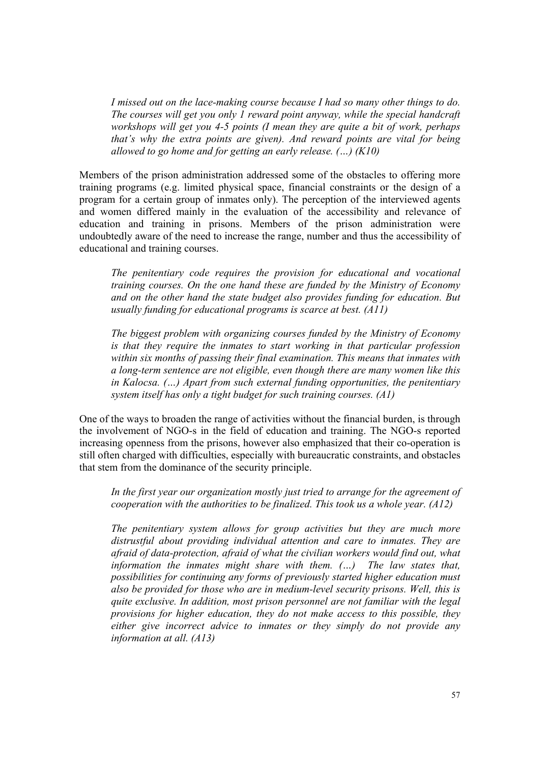*I missed out on the lace-making course because I had so many other things to do. The courses will get you only 1 reward point anyway, while the special handcraft workshops will get you 4-5 points (I mean they are quite a bit of work, perhaps that's why the extra points are given). And reward points are vital for being allowed to go home and for getting an early release. (…) (K10)* 

Members of the prison administration addressed some of the obstacles to offering more training programs (e.g. limited physical space, financial constraints or the design of a program for a certain group of inmates only). The perception of the interviewed agents and women differed mainly in the evaluation of the accessibility and relevance of education and training in prisons. Members of the prison administration were undoubtedly aware of the need to increase the range, number and thus the accessibility of educational and training courses.

*The penitentiary code requires the provision for educational and vocational training courses. On the one hand these are funded by the Ministry of Economy and on the other hand the state budget also provides funding for education. But usually funding for educational programs is scarce at best. (A11)* 

*The biggest problem with organizing courses funded by the Ministry of Economy is that they require the inmates to start working in that particular profession within six months of passing their final examination. This means that inmates with a long-term sentence are not eligible, even though there are many women like this in Kalocsa. (…) Apart from such external funding opportunities, the penitentiary system itself has only a tight budget for such training courses. (A1)* 

One of the ways to broaden the range of activities without the financial burden, is through the involvement of NGO-s in the field of education and training. The NGO-s reported increasing openness from the prisons, however also emphasized that their co-operation is still often charged with difficulties, especially with bureaucratic constraints, and obstacles that stem from the dominance of the security principle.

*In the first year our organization mostly just tried to arrange for the agreement of cooperation with the authorities to be finalized. This took us a whole year. (A12)* 

*The penitentiary system allows for group activities but they are much more distrustful about providing individual attention and care to inmates. They are afraid of data-protection, afraid of what the civilian workers would find out, what information the inmates might share with them. (…) The law states that, possibilities for continuing any forms of previously started higher education must also be provided for those who are in medium-level security prisons. Well, this is quite exclusive. In addition, most prison personnel are not familiar with the legal provisions for higher education, they do not make access to this possible, they either give incorrect advice to inmates or they simply do not provide any information at all. (A13)*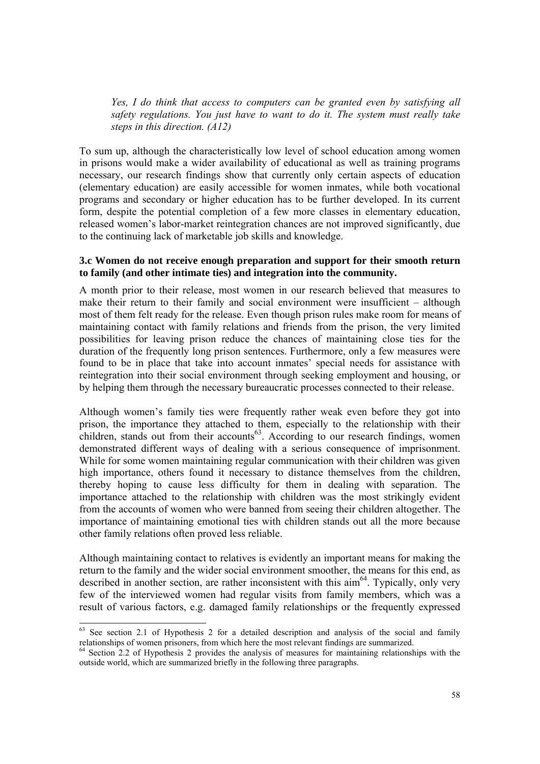*Yes, I do think that access to computers can be granted even by satisfying all safety regulations. You just have to want to do it. The system must really take steps in this direction. (A12)*

To sum up, although the characteristically low level of school education among women in prisons would make a wider availability of educational as well as training programs necessary, our research findings show that currently only certain aspects of education (elementary education) are easily accessible for women inmates, while both vocational programs and secondary or higher education has to be further developed. In its current form, despite the potential completion of a few more classes in elementary education, released women's labor-market reintegration chances are not improved significantly, due to the continuing lack of marketable job skills and knowledge.

### **3.c Women do not receive enough preparation and support for their smooth return to family (and other intimate ties) and integration into the community.**

A month prior to their release, most women in our research believed that measures to make their return to their family and social environment were insufficient – although most of them felt ready for the release. Even though prison rules make room for means of maintaining contact with family relations and friends from the prison, the very limited possibilities for leaving prison reduce the chances of maintaining close ties for the duration of the frequently long prison sentences. Furthermore, only a few measures were found to be in place that take into account inmates' special needs for assistance with reintegration into their social environment through seeking employment and housing, or by helping them through the necessary bureaucratic processes connected to their release.

Although women's family ties were frequently rather weak even before they got into prison, the importance they attached to them, especially to the relationship with their children, stands out from their accounts<sup>63</sup>. According to our research findings, women demonstrated different ways of dealing with a serious consequence of imprisonment. While for some women maintaining regular communication with their children was given high importance, others found it necessary to distance themselves from the children, thereby hoping to cause less difficulty for them in dealing with separation. The importance attached to the relationship with children was the most strikingly evident from the accounts of women who were banned from seeing their children altogether. The importance of maintaining emotional ties with children stands out all the more because other family relations often proved less reliable.

Although maintaining contact to relatives is evidently an important means for making the return to the family and the wider social environment smoother, the means for this end, as described in another section, are rather inconsistent with this  $\dim^{64}$ . Typically, only very few of the interviewed women had regular visits from family members, which was a result of various factors, e.g. damaged family relationships or the frequently expressed

 $63$  See section 2.1 of Hypothesis 2 for a detailed description and analysis of the social and family relationships of women prisoners, from which here the most relevant findings are summarized.

<sup>64</sup> Section 2.2 of Hypothesis 2 provides the analysis of measures for maintaining relationships with the outside world, which are summarized briefly in the following three paragraphs.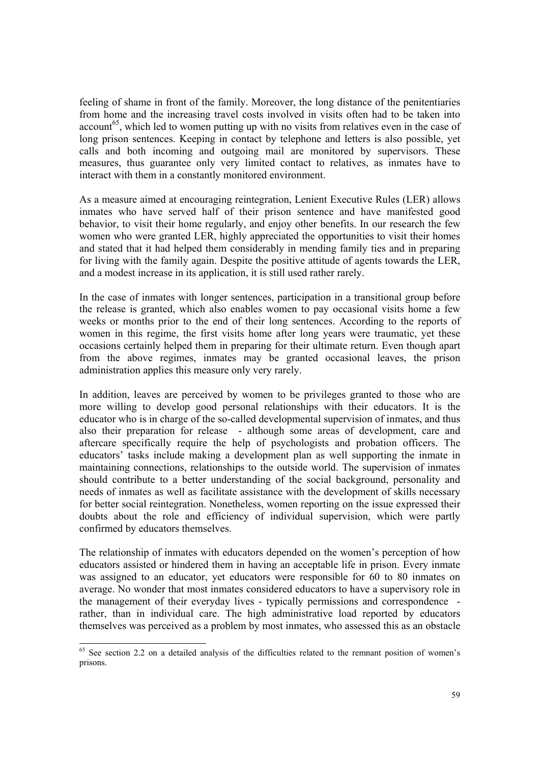feeling of shame in front of the family. Moreover, the long distance of the penitentiaries from home and the increasing travel costs involved in visits often had to be taken into  $account<sup>65</sup>$ , which led to women putting up with no visits from relatives even in the case of long prison sentences. Keeping in contact by telephone and letters is also possible, yet calls and both incoming and outgoing mail are monitored by supervisors. These measures, thus guarantee only very limited contact to relatives, as inmates have to interact with them in a constantly monitored environment.

As a measure aimed at encouraging reintegration, Lenient Executive Rules (LER) allows inmates who have served half of their prison sentence and have manifested good behavior, to visit their home regularly, and enjoy other benefits. In our research the few women who were granted LER, highly appreciated the opportunities to visit their homes and stated that it had helped them considerably in mending family ties and in preparing for living with the family again. Despite the positive attitude of agents towards the LER, and a modest increase in its application, it is still used rather rarely.

In the case of inmates with longer sentences, participation in a transitional group before the release is granted, which also enables women to pay occasional visits home a few weeks or months prior to the end of their long sentences. According to the reports of women in this regime, the first visits home after long years were traumatic, yet these occasions certainly helped them in preparing for their ultimate return. Even though apart from the above regimes, inmates may be granted occasional leaves, the prison administration applies this measure only very rarely.

In addition, leaves are perceived by women to be privileges granted to those who are more willing to develop good personal relationships with their educators. It is the educator who is in charge of the so-called developmental supervision of inmates, and thus also their preparation for release - although some areas of development, care and aftercare specifically require the help of psychologists and probation officers. The educators' tasks include making a development plan as well supporting the inmate in maintaining connections, relationships to the outside world. The supervision of inmates should contribute to a better understanding of the social background, personality and needs of inmates as well as facilitate assistance with the development of skills necessary for better social reintegration. Nonetheless, women reporting on the issue expressed their doubts about the role and efficiency of individual supervision, which were partly confirmed by educators themselves.

The relationship of inmates with educators depended on the women's perception of how educators assisted or hindered them in having an acceptable life in prison. Every inmate was assigned to an educator, yet educators were responsible for 60 to 80 inmates on average. No wonder that most inmates considered educators to have a supervisory role in the management of their everyday lives - typically permissions and correspondence rather, than in individual care. The high administrative load reported by educators themselves was perceived as a problem by most inmates, who assessed this as an obstacle

 $65$  See section 2.2 on a detailed analysis of the difficulties related to the remnant position of women's prisons.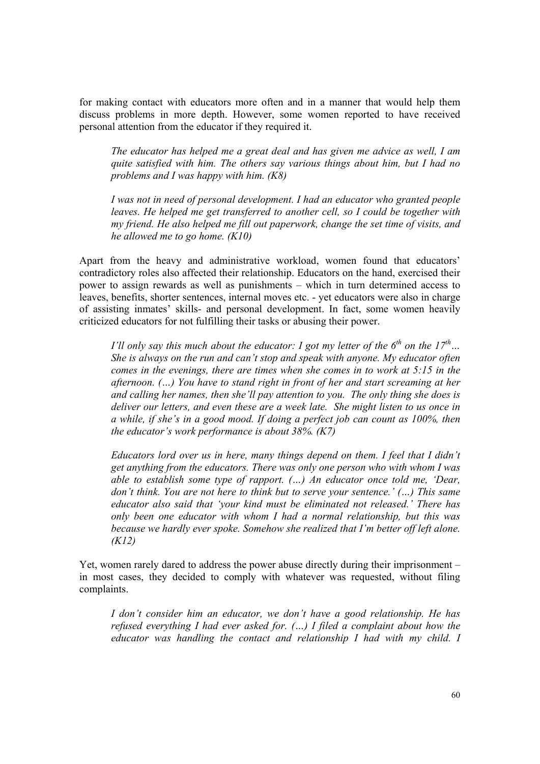for making contact with educators more often and in a manner that would help them discuss problems in more depth. However, some women reported to have received personal attention from the educator if they required it.

*The educator has helped me a great deal and has given me advice as well, I am quite satisfied with him. The others say various things about him, but I had no problems and I was happy with him. (K8)* 

*I was not in need of personal development. I had an educator who granted people leaves. He helped me get transferred to another cell, so I could be together with my friend. He also helped me fill out paperwork, change the set time of visits, and he allowed me to go home. (K10)* 

Apart from the heavy and administrative workload, women found that educators' contradictory roles also affected their relationship. Educators on the hand, exercised their power to assign rewards as well as punishments – which in turn determined access to leaves, benefits, shorter sentences, internal moves etc. - yet educators were also in charge of assisting inmates' skills- and personal development. In fact, some women heavily criticized educators for not fulfilling their tasks or abusing their power.

*I'll only say this much about the educator: I got my letter of the*  $6<sup>th</sup>$  *on the*  $17<sup>th</sup>$ *... She is always on the run and can't stop and speak with anyone. My educator often comes in the evenings, there are times when she comes in to work at 5:15 in the afternoon. (…) You have to stand right in front of her and start screaming at her and calling her names, then she'll pay attention to you. The only thing she does is deliver our letters, and even these are a week late. She might listen to us once in a while, if she's in a good mood. If doing a perfect job can count as 100%, then the educator's work performance is about 38%. (K7)* 

*Educators lord over us in here, many things depend on them. I feel that I didn't get anything from the educators. There was only one person who with whom I was able to establish some type of rapport. (…) An educator once told me, 'Dear, don't think. You are not here to think but to serve your sentence.' (…) This same educator also said that 'your kind must be eliminated not released.' There has only been one educator with whom I had a normal relationship, but this was because we hardly ever spoke. Somehow she realized that I'm better off left alone. (K12)* 

Yet, women rarely dared to address the power abuse directly during their imprisonment – in most cases, they decided to comply with whatever was requested, without filing complaints.

*I don't consider him an educator, we don't have a good relationship. He has refused everything I had ever asked for. (…) I filed a complaint about how the educator was handling the contact and relationship I had with my child. I*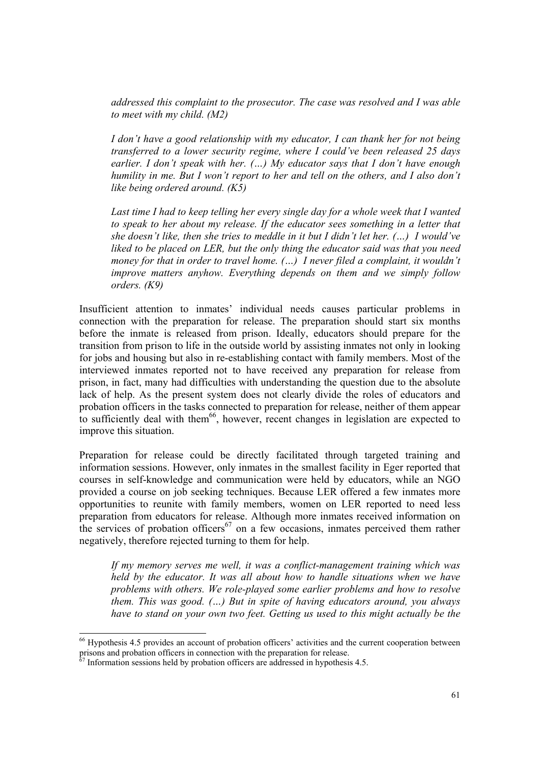*addressed this complaint to the prosecutor. The case was resolved and I was able to meet with my child. (M2)* 

*I don't have a good relationship with my educator, I can thank her for not being transferred to a lower security regime, where I could've been released 25 days earlier. I don't speak with her. (…) My educator says that I don't have enough humility in me. But I won't report to her and tell on the others, and I also don't like being ordered around. (K5)* 

Last time I had to keep telling her every single day for a whole week that I wanted *to speak to her about my release. If the educator sees something in a letter that she doesn't like, then she tries to meddle in it but I didn't let her. (…) I would've liked to be placed on LER, but the only thing the educator said was that you need money for that in order to travel home. (...) I never filed a complaint, it wouldn't improve matters anyhow. Everything depends on them and we simply follow orders. (K9)*

Insufficient attention to inmates' individual needs causes particular problems in connection with the preparation for release. The preparation should start six months before the inmate is released from prison. Ideally, educators should prepare for the transition from prison to life in the outside world by assisting inmates not only in looking for jobs and housing but also in re-establishing contact with family members. Most of the interviewed inmates reported not to have received any preparation for release from prison, in fact, many had difficulties with understanding the question due to the absolute lack of help. As the present system does not clearly divide the roles of educators and probation officers in the tasks connected to preparation for release, neither of them appear to sufficiently deal with them<sup>66</sup>, however, recent changes in legislation are expected to improve this situation.

Preparation for release could be directly facilitated through targeted training and information sessions. However, only inmates in the smallest facility in Eger reported that courses in self-knowledge and communication were held by educators, while an NGO provided a course on job seeking techniques. Because LER offered a few inmates more opportunities to reunite with family members, women on LER reported to need less preparation from educators for release. Although more inmates received information on the services of probation officers<sup>67</sup> on a few occasions, inmates perceived them rather negatively, therefore rejected turning to them for help.

*If my memory serves me well, it was a conflict-management training which was held by the educator. It was all about how to handle situations when we have problems with others. We role-played some earlier problems and how to resolve them. This was good. (…) But in spite of having educators around, you always have to stand on your own two feet. Getting us used to this might actually be the* 

<sup>66</sup> Hypothesis 4.5 provides an account of probation officers' activities and the current cooperation between prisons and probation officers in connection with the preparation for release.

Information sessions held by probation officers are addressed in hypothesis 4.5.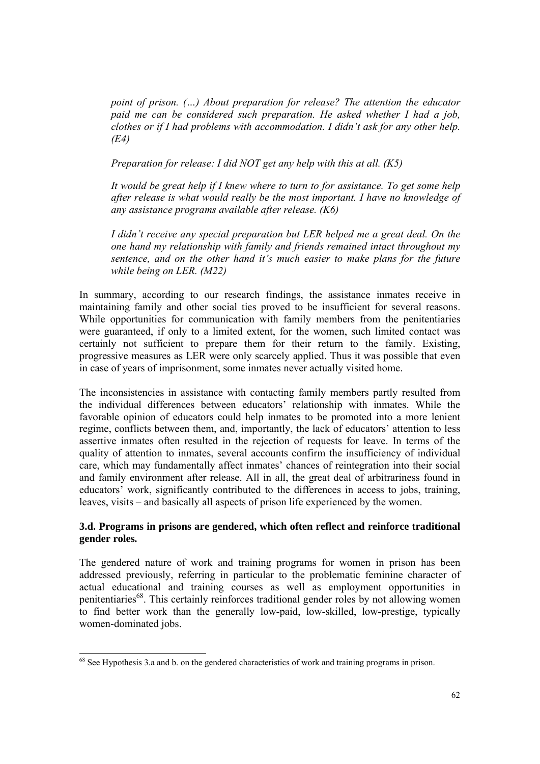*point of prison. (…) About preparation for release? The attention the educator paid me can be considered such preparation. He asked whether I had a job, clothes or if I had problems with accommodation. I didn't ask for any other help. (E4)* 

 *Preparation for release: I did NOT get any help with this at all. (K5)* 

*It would be great help if I knew where to turn to for assistance. To get some help after release is what would really be the most important. I have no knowledge of any assistance programs available after release. (K6)* 

*I didn't receive any special preparation but LER helped me a great deal. On the one hand my relationship with family and friends remained intact throughout my sentence, and on the other hand it's much easier to make plans for the future while being on LER. (M22)* 

In summary, according to our research findings, the assistance inmates receive in maintaining family and other social ties proved to be insufficient for several reasons. While opportunities for communication with family members from the penitentiaries were guaranteed, if only to a limited extent, for the women, such limited contact was certainly not sufficient to prepare them for their return to the family. Existing, progressive measures as LER were only scarcely applied. Thus it was possible that even in case of years of imprisonment, some inmates never actually visited home.

The inconsistencies in assistance with contacting family members partly resulted from the individual differences between educators' relationship with inmates. While the favorable opinion of educators could help inmates to be promoted into a more lenient regime, conflicts between them, and, importantly, the lack of educators' attention to less assertive inmates often resulted in the rejection of requests for leave. In terms of the quality of attention to inmates, several accounts confirm the insufficiency of individual care, which may fundamentally affect inmates' chances of reintegration into their social and family environment after release. All in all, the great deal of arbitrariness found in educators' work, significantly contributed to the differences in access to jobs, training, leaves, visits – and basically all aspects of prison life experienced by the women.

# **3.d. Programs in prisons are gendered, which often reflect and reinforce traditional gender roles***.*

The gendered nature of work and training programs for women in prison has been addressed previously, referring in particular to the problematic feminine character of actual educational and training courses as well as employment opportunities in penitentiaries<sup>68</sup>. This certainly reinforces traditional gender roles by not allowing women to find better work than the generally low-paid, low-skilled, low-prestige, typically women-dominated jobs.

 $^{68}$  See Hypothesis 3.a and b. on the gendered characteristics of work and training programs in prison.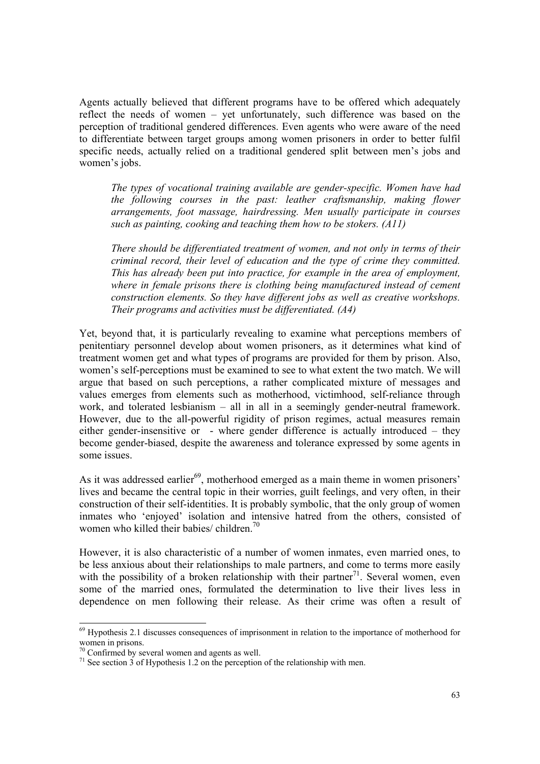Agents actually believed that different programs have to be offered which adequately reflect the needs of women – yet unfortunately, such difference was based on the perception of traditional gendered differences. Even agents who were aware of the need to differentiate between target groups among women prisoners in order to better fulfil specific needs, actually relied on a traditional gendered split between men's jobs and women's jobs.

*The types of vocational training available are gender-specific. Women have had the following courses in the past: leather craftsmanship, making flower arrangements, foot massage, hairdressing. Men usually participate in courses such as painting, cooking and teaching them how to be stokers. (A11)* 

*There should be differentiated treatment of women, and not only in terms of their criminal record, their level of education and the type of crime they committed. This has already been put into practice, for example in the area of employment, where in female prisons there is clothing being manufactured instead of cement construction elements. So they have different jobs as well as creative workshops. Their programs and activities must be differentiated. (A4)* 

Yet, beyond that, it is particularly revealing to examine what perceptions members of penitentiary personnel develop about women prisoners, as it determines what kind of treatment women get and what types of programs are provided for them by prison. Also, women's self-perceptions must be examined to see to what extent the two match. We will argue that based on such perceptions, a rather complicated mixture of messages and values emerges from elements such as motherhood, victimhood, self-reliance through work, and tolerated lesbianism – all in all in a seemingly gender-neutral framework. However, due to the all-powerful rigidity of prison regimes, actual measures remain either gender-insensitive or - where gender difference is actually introduced – they become gender-biased, despite the awareness and tolerance expressed by some agents in some issues.

As it was addressed earlier $^{69}$ , motherhood emerged as a main theme in women prisoners' lives and became the central topic in their worries, guilt feelings, and very often, in their construction of their self-identities. It is probably symbolic, that the only group of women inmates who 'enjoyed' isolation and intensive hatred from the others, consisted of women who killed their babies/ children.<sup>70</sup>

However, it is also characteristic of a number of women inmates, even married ones, to be less anxious about their relationships to male partners, and come to terms more easily with the possibility of a broken relationship with their partner<sup>71</sup>. Several women, even some of the married ones, formulated the determination to live their lives less in dependence on men following their release. As their crime was often a result of

<sup>69</sup> Hypothesis 2.1 discusses consequences of imprisonment in relation to the importance of motherhood for women in prisons.

 $70$  Confirmed by several women and agents as well.

 $71$  See section 3 of Hypothesis 1.2 on the perception of the relationship with men.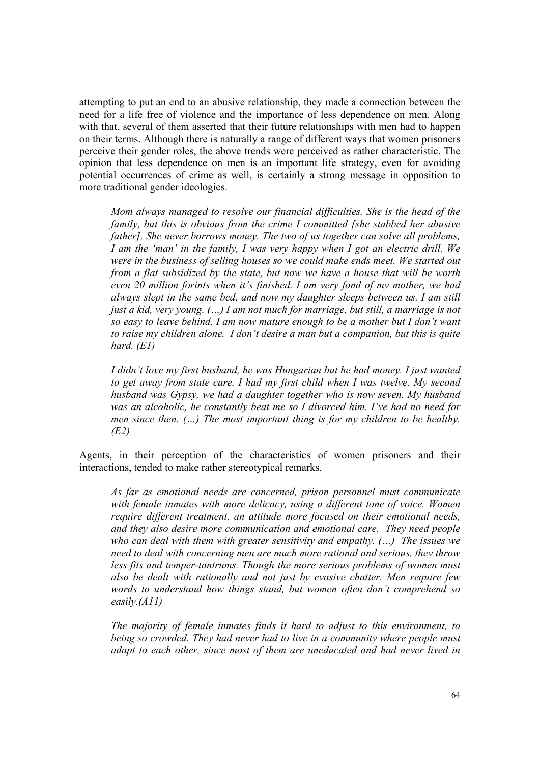attempting to put an end to an abusive relationship, they made a connection between the need for a life free of violence and the importance of less dependence on men. Along with that, several of them asserted that their future relationships with men had to happen on their terms. Although there is naturally a range of different ways that women prisoners perceive their gender roles, the above trends were perceived as rather characteristic. The opinion that less dependence on men is an important life strategy, even for avoiding potential occurrences of crime as well, is certainly a strong message in opposition to more traditional gender ideologies.

*Mom always managed to resolve our financial difficulties. She is the head of the family, but this is obvious from the crime I committed [she stabbed her abusive father]. She never borrows money. The two of us together can solve all problems, I am the 'man' in the family, I was very happy when I got an electric drill. We were in the business of selling houses so we could make ends meet. We started out from a flat subsidized by the state, but now we have a house that will be worth even 20 million forints when it's finished. I am very fond of my mother, we had always slept in the same bed, and now my daughter sleeps between us. I am still just a kid, very young. (…) I am not much for marriage, but still, a marriage is not so easy to leave behind. I am now mature enough to be a mother but I don't want to raise my children alone. I don't desire a man but a companion, but this is quite hard. (E1)* 

*I didn't love my first husband, he was Hungarian but he had money. I just wanted to get away from state care. I had my first child when I was twelve. My second husband was Gypsy, we had a daughter together who is now seven. My husband was an alcoholic, he constantly beat me so I divorced him. I've had no need for men since then. (…) The most important thing is for my children to be healthy. (E2)* 

Agents, in their perception of the characteristics of women prisoners and their interactions, tended to make rather stereotypical remarks.

*As far as emotional needs are concerned, prison personnel must communicate with female inmates with more delicacy, using a different tone of voice. Women require different treatment, an attitude more focused on their emotional needs, and they also desire more communication and emotional care. They need people who can deal with them with greater sensitivity and empathy. (…) The issues we need to deal with concerning men are much more rational and serious, they throw less fits and temper-tantrums. Though the more serious problems of women must also be dealt with rationally and not just by evasive chatter. Men require few words to understand how things stand, but women often don't comprehend so easily.(A11)* 

*The majority of female inmates finds it hard to adjust to this environment, to being so crowded. They had never had to live in a community where people must adapt to each other, since most of them are uneducated and had never lived in*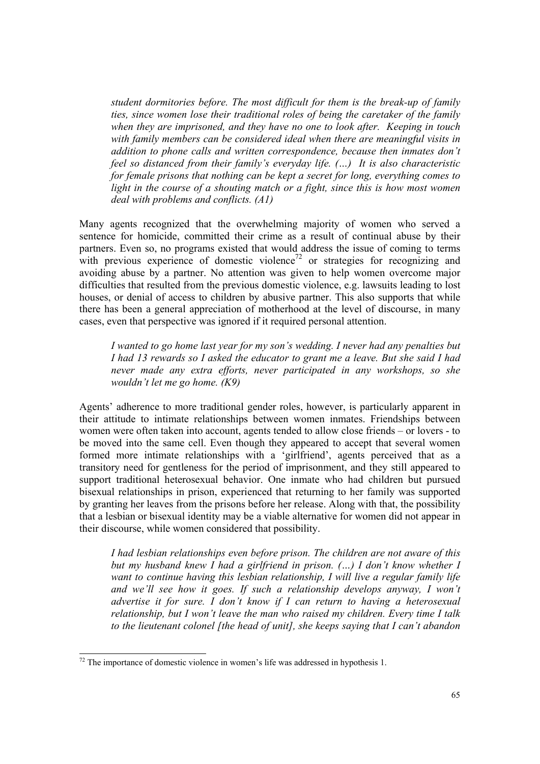*student dormitories before. The most difficult for them is the break-up of family ties, since women lose their traditional roles of being the caretaker of the family when they are imprisoned, and they have no one to look after. Keeping in touch with family members can be considered ideal when there are meaningful visits in addition to phone calls and written correspondence, because then inmates don't feel so distanced from their family's everyday life. (…) It is also characteristic for female prisons that nothing can be kept a secret for long, everything comes to light in the course of a shouting match or a fight, since this is how most women deal with problems and conflicts. (A1)*

Many agents recognized that the overwhelming majority of women who served a sentence for homicide, committed their crime as a result of continual abuse by their partners. Even so, no programs existed that would address the issue of coming to terms with previous experience of domestic violence<sup>72</sup> or strategies for recognizing and avoiding abuse by a partner. No attention was given to help women overcome major difficulties that resulted from the previous domestic violence, e.g. lawsuits leading to lost houses, or denial of access to children by abusive partner. This also supports that while there has been a general appreciation of motherhood at the level of discourse, in many cases, even that perspective was ignored if it required personal attention.

*I wanted to go home last year for my son's wedding. I never had any penalties but I had 13 rewards so I asked the educator to grant me a leave. But she said I had never made any extra efforts, never participated in any workshops, so she wouldn't let me go home. (K9)* 

Agents' adherence to more traditional gender roles, however, is particularly apparent in their attitude to intimate relationships between women inmates. Friendships between women were often taken into account, agents tended to allow close friends – or lovers - to be moved into the same cell. Even though they appeared to accept that several women formed more intimate relationships with a 'girlfriend', agents perceived that as a transitory need for gentleness for the period of imprisonment, and they still appeared to support traditional heterosexual behavior. One inmate who had children but pursued bisexual relationships in prison, experienced that returning to her family was supported by granting her leaves from the prisons before her release. Along with that, the possibility that a lesbian or bisexual identity may be a viable alternative for women did not appear in their discourse, while women considered that possibility.

*I had lesbian relationships even before prison. The children are not aware of this but my husband knew I had a girlfriend in prison. (…) I don't know whether I want to continue having this lesbian relationship, I will live a regular family life and we'll see how it goes. If such a relationship develops anyway, I won't advertise it for sure. I don't know if I can return to having a heterosexual relationship, but I won't leave the man who raised my children. Every time I talk to the lieutenant colonel [the head of unit], she keeps saying that I can't abandon* 

 $72$  The importance of domestic violence in women's life was addressed in hypothesis 1.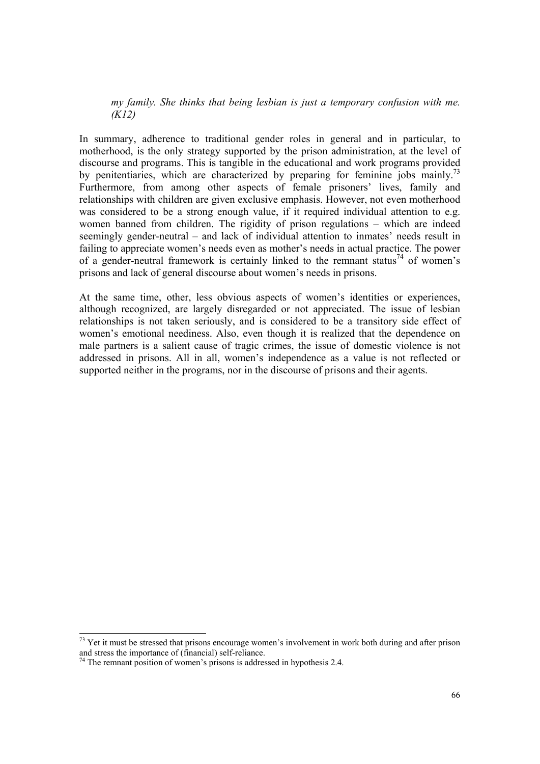*my family. She thinks that being lesbian is just a temporary confusion with me. (K12)* 

In summary, adherence to traditional gender roles in general and in particular, to motherhood, is the only strategy supported by the prison administration, at the level of discourse and programs. This is tangible in the educational and work programs provided by penitentiaries, which are characterized by preparing for feminine jobs mainly.<sup>73</sup> Furthermore, from among other aspects of female prisoners' lives, family and relationships with children are given exclusive emphasis. However, not even motherhood was considered to be a strong enough value, if it required individual attention to e.g. women banned from children. The rigidity of prison regulations – which are indeed seemingly gender-neutral – and lack of individual attention to inmates' needs result in failing to appreciate women's needs even as mother's needs in actual practice. The power of a gender-neutral framework is certainly linked to the remnant status<sup>74</sup> of women's prisons and lack of general discourse about women's needs in prisons.

At the same time, other, less obvious aspects of women's identities or experiences, although recognized, are largely disregarded or not appreciated. The issue of lesbian relationships is not taken seriously, and is considered to be a transitory side effect of women's emotional neediness. Also, even though it is realized that the dependence on male partners is a salient cause of tragic crimes, the issue of domestic violence is not addressed in prisons. All in all, women's independence as a value is not reflected or supported neither in the programs, nor in the discourse of prisons and their agents.

 $73$  Yet it must be stressed that prisons encourage women's involvement in work both during and after prison and stress the importance of (financial) self-reliance.

 $74$  The remnant position of women's prisons is addressed in hypothesis 2.4.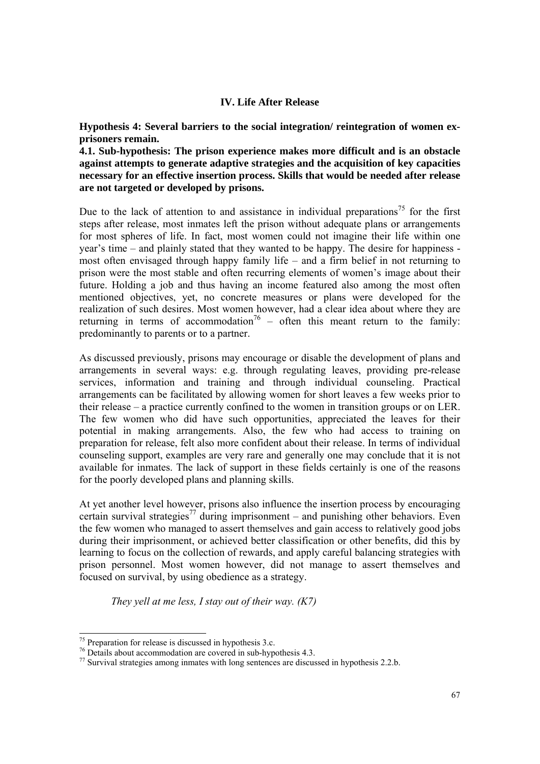### **IV. Life After Release**

**Hypothesis 4: Several barriers to the social integration/ reintegration of women exprisoners remain.** 

**4.1. Sub-hypothesis: The prison experience makes more difficult and is an obstacle against attempts to generate adaptive strategies and the acquisition of key capacities necessary for an effective insertion process. Skills that would be needed after release are not targeted or developed by prisons.** 

Due to the lack of attention to and assistance in individual preparations<sup>75</sup> for the first steps after release, most inmates left the prison without adequate plans or arrangements for most spheres of life. In fact, most women could not imagine their life within one year's time – and plainly stated that they wanted to be happy. The desire for happiness most often envisaged through happy family life – and a firm belief in not returning to prison were the most stable and often recurring elements of women's image about their future. Holding a job and thus having an income featured also among the most often mentioned objectives, yet, no concrete measures or plans were developed for the realization of such desires. Most women however, had a clear idea about where they are returning in terms of accommodation<sup>76</sup> – often this meant return to the family: predominantly to parents or to a partner.

As discussed previously, prisons may encourage or disable the development of plans and arrangements in several ways: e.g. through regulating leaves, providing pre-release services, information and training and through individual counseling. Practical arrangements can be facilitated by allowing women for short leaves a few weeks prior to their release – a practice currently confined to the women in transition groups or on LER. The few women who did have such opportunities, appreciated the leaves for their potential in making arrangements. Also, the few who had access to training on preparation for release, felt also more confident about their release. In terms of individual counseling support, examples are very rare and generally one may conclude that it is not available for inmates. The lack of support in these fields certainly is one of the reasons for the poorly developed plans and planning skills.

At yet another level however, prisons also influence the insertion process by encouraging certain survival strategies<sup>77</sup> during imprisonment – and punishing other behaviors. Even the few women who managed to assert themselves and gain access to relatively good jobs during their imprisonment, or achieved better classification or other benefits, did this by learning to focus on the collection of rewards, and apply careful balancing strategies with prison personnel. Most women however, did not manage to assert themselves and focused on survival, by using obedience as a strategy.

*They yell at me less, I stay out of their way. (K7)* 

<sup>75</sup> Preparation for release is discussed in hypothesis 3.c.

 $76$  Details about accommodation are covered in sub-hypothesis 4.3.

 $77$  Survival strategies among inmates with long sentences are discussed in hypothesis 2.2.b.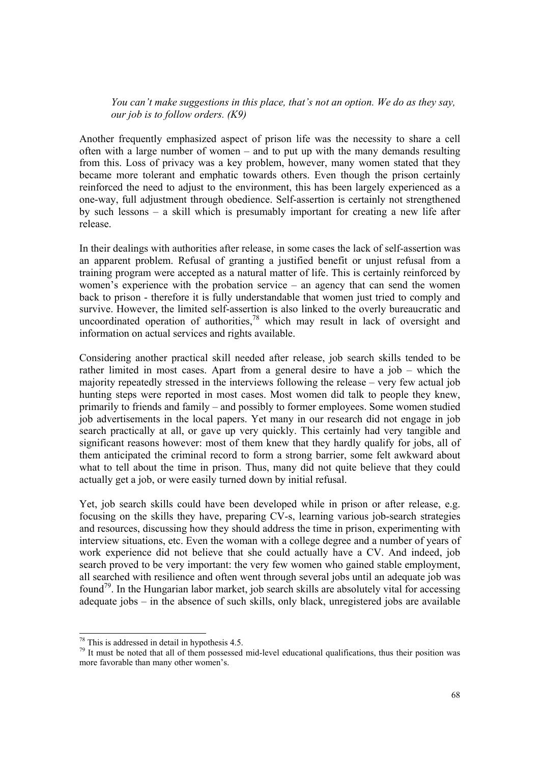*You can't make suggestions in this place, that's not an option. We do as they say, our job is to follow orders. (K9)* 

Another frequently emphasized aspect of prison life was the necessity to share a cell often with a large number of women – and to put up with the many demands resulting from this. Loss of privacy was a key problem, however, many women stated that they became more tolerant and emphatic towards others. Even though the prison certainly reinforced the need to adjust to the environment, this has been largely experienced as a one-way, full adjustment through obedience. Self-assertion is certainly not strengthened by such lessons – a skill which is presumably important for creating a new life after release.

In their dealings with authorities after release, in some cases the lack of self-assertion was an apparent problem. Refusal of granting a justified benefit or unjust refusal from a training program were accepted as a natural matter of life. This is certainly reinforced by women's experience with the probation service – an agency that can send the women back to prison - therefore it is fully understandable that women just tried to comply and survive. However, the limited self-assertion is also linked to the overly bureaucratic and uncoordinated operation of authorities, $78$  which may result in lack of oversight and information on actual services and rights available.

Considering another practical skill needed after release, job search skills tended to be rather limited in most cases. Apart from a general desire to have a job – which the majority repeatedly stressed in the interviews following the release – very few actual job hunting steps were reported in most cases. Most women did talk to people they knew, primarily to friends and family – and possibly to former employees. Some women studied job advertisements in the local papers. Yet many in our research did not engage in job search practically at all, or gave up very quickly. This certainly had very tangible and significant reasons however: most of them knew that they hardly qualify for jobs, all of them anticipated the criminal record to form a strong barrier, some felt awkward about what to tell about the time in prison. Thus, many did not quite believe that they could actually get a job, or were easily turned down by initial refusal.

Yet, job search skills could have been developed while in prison or after release, e.g. focusing on the skills they have, preparing CV-s, learning various job-search strategies and resources, discussing how they should address the time in prison, experimenting with interview situations, etc. Even the woman with a college degree and a number of years of work experience did not believe that she could actually have a CV. And indeed, job search proved to be very important: the very few women who gained stable employment, all searched with resilience and often went through several jobs until an adequate job was found<sup>79</sup>. In the Hungarian labor market, job search skills are absolutely vital for accessing adequate jobs – in the absence of such skills, only black, unregistered jobs are available

 $78$  This is addressed in detail in hypothesis 4.5.

<sup>&</sup>lt;sup>79</sup> It must be noted that all of them possessed mid-level educational qualifications, thus their position was more favorable than many other women's.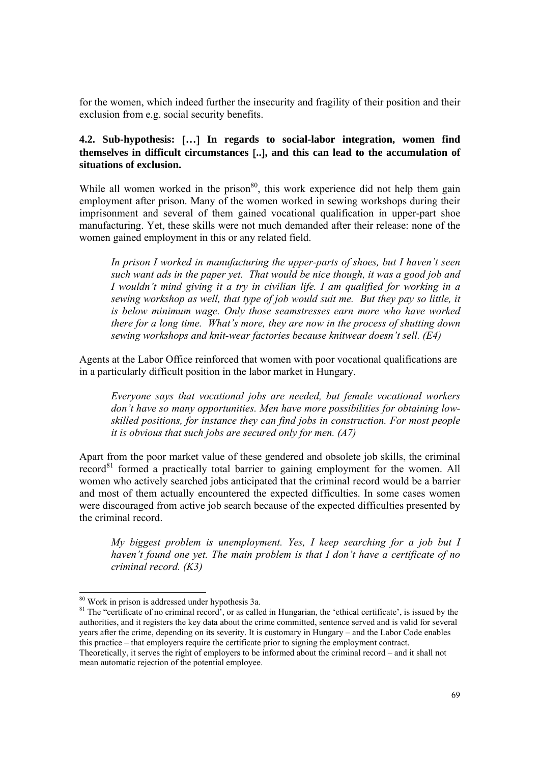for the women, which indeed further the insecurity and fragility of their position and their exclusion from e.g. social security benefits.

# **4.2. Sub-hypothesis:** [**…**] **In regards to social-labor integration, women find themselves in difficult circumstances** [**..**]**, and this can lead to the accumulation of situations of exclusion.**

While all women worked in the prison $80$ , this work experience did not help them gain employment after prison. Many of the women worked in sewing workshops during their imprisonment and several of them gained vocational qualification in upper-part shoe manufacturing. Yet, these skills were not much demanded after their release: none of the women gained employment in this or any related field.

*In prison I worked in manufacturing the upper-parts of shoes, but I haven't seen such want ads in the paper yet. That would be nice though, it was a good job and I wouldn't mind giving it a try in civilian life. I am qualified for working in a sewing workshop as well, that type of job would suit me. But they pay so little, it is below minimum wage. Only those seamstresses earn more who have worked there for a long time. What's more, they are now in the process of shutting down sewing workshops and knit-wear factories because knitwear doesn't sell. (E4)* 

Agents at the Labor Office reinforced that women with poor vocational qualifications are in a particularly difficult position in the labor market in Hungary.

*Everyone says that vocational jobs are needed, but female vocational workers don't have so many opportunities. Men have more possibilities for obtaining lowskilled positions, for instance they can find jobs in construction. For most people it is obvious that such jobs are secured only for men. (A7)* 

Apart from the poor market value of these gendered and obsolete job skills, the criminal  $record<sup>81</sup>$  formed a practically total barrier to gaining employment for the women. All women who actively searched jobs anticipated that the criminal record would be a barrier and most of them actually encountered the expected difficulties. In some cases women were discouraged from active job search because of the expected difficulties presented by the criminal record.

*My biggest problem is unemployment. Yes, I keep searching for a job but I haven't found one yet. The main problem is that I don't have a certificate of no criminal record. (K3)* 

<sup>80</sup> Work in prison is addressed under hypothesis 3a.

 $81$  The "certificate of no criminal record', or as called in Hungarian, the 'ethical certificate', is issued by the authorities, and it registers the key data about the crime committed, sentence served and is valid for several years after the crime, depending on its severity. It is customary in Hungary – and the Labor Code enables this practice – that employers require the certificate prior to signing the employment contract. Theoretically, it serves the right of employers to be informed about the criminal record – and it shall not mean automatic rejection of the potential employee.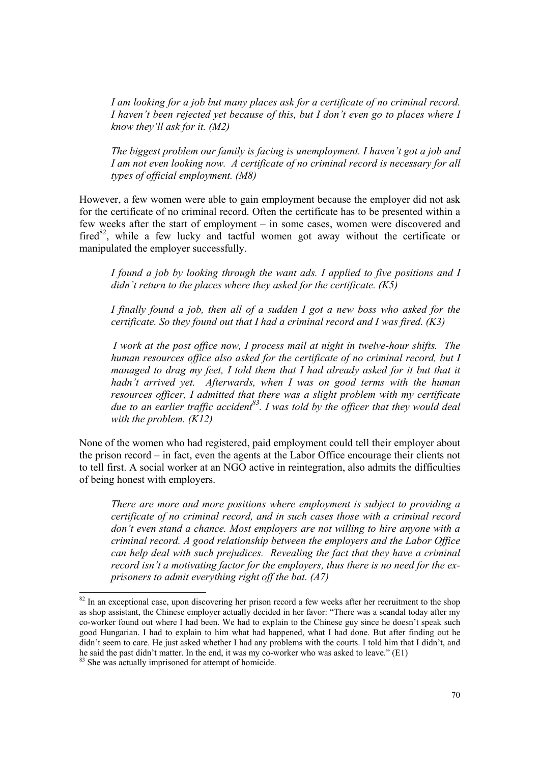*I am looking for a job but many places ask for a certificate of no criminal record. I haven't been rejected yet because of this, but I don't even go to places where I know they'll ask for it. (M2)* 

*The biggest problem our family is facing is unemployment. I haven't got a job and I am not even looking now. A certificate of no criminal record is necessary for all types of official employment. (M8)* 

However, a few women were able to gain employment because the employer did not ask for the certificate of no criminal record. Often the certificate has to be presented within a few weeks after the start of employment – in some cases, women were discovered and fired $82$ , while a few lucky and tactful women got away without the certificate or manipulated the employer successfully.

*I found a job by looking through the want ads. I applied to five positions and I didn't return to the places where they asked for the certificate. (K5)* 

*I finally found a job, then all of a sudden I got a new boss who asked for the certificate. So they found out that I had a criminal record and I was fired. (K3)*

*I work at the post office now, I process mail at night in twelve-hour shifts. The human resources office also asked for the certificate of no criminal record, but I managed to drag my feet, I told them that I had already asked for it but that it hadn't arrived yet. Afterwards, when I was on good terms with the human resources officer, I admitted that there was a slight problem with my certificate due to an earlier traffic accident*<sup>83</sup>. I was told by the officer that they would deal *with the problem. (K12)* 

None of the women who had registered, paid employment could tell their employer about the prison record – in fact, even the agents at the Labor Office encourage their clients not to tell first. A social worker at an NGO active in reintegration, also admits the difficulties of being honest with employers.

*There are more and more positions where employment is subject to providing a certificate of no criminal record, and in such cases those with a criminal record don't even stand a chance. Most employers are not willing to hire anyone with a criminal record. A good relationship between the employers and the Labor Office can help deal with such prejudices. Revealing the fact that they have a criminal record isn't a motivating factor for the employers, thus there is no need for the exprisoners to admit everything right off the bat. (A7)* 

 $82$  In an exceptional case, upon discovering her prison record a few weeks after her recruitment to the shop as shop assistant, the Chinese employer actually decided in her favor: "There was a scandal today after my co-worker found out where I had been. We had to explain to the Chinese guy since he doesn't speak such good Hungarian. I had to explain to him what had happened, what I had done. But after finding out he didn't seem to care. He just asked whether I had any problems with the courts. I told him that I didn't, and he said the past didn't matter. In the end, it was my co-worker who was asked to leave." (E1)

<sup>&</sup>lt;sup>83</sup> She was actually imprisoned for attempt of homicide.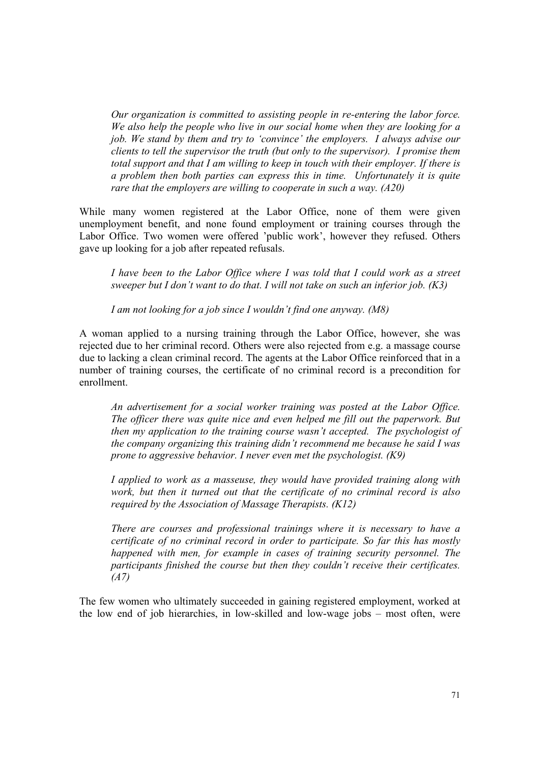*Our organization is committed to assisting people in re-entering the labor force. We also help the people who live in our social home when they are looking for a job. We stand by them and try to 'convince' the employers. I always advise our clients to tell the supervisor the truth (but only to the supervisor). I promise them total support and that I am willing to keep in touch with their employer. If there is a problem then both parties can express this in time. Unfortunately it is quite rare that the employers are willing to cooperate in such a way. (A20)* 

While many women registered at the Labor Office, none of them were given unemployment benefit, and none found employment or training courses through the Labor Office. Two women were offered 'public work', however they refused. Others gave up looking for a job after repeated refusals.

*I have been to the Labor Office where I was told that I could work as a street sweeper but I don't want to do that. I will not take on such an inferior job. (K3)* 

*I am not looking for a job since I wouldn't find one anyway. (M8)* 

A woman applied to a nursing training through the Labor Office, however, she was rejected due to her criminal record. Others were also rejected from e.g. a massage course due to lacking a clean criminal record. The agents at the Labor Office reinforced that in a number of training courses, the certificate of no criminal record is a precondition for enrollment.

*An advertisement for a social worker training was posted at the Labor Office. The officer there was quite nice and even helped me fill out the paperwork. But then my application to the training course wasn't accepted. The psychologist of the company organizing this training didn't recommend me because he said I was prone to aggressive behavior. I never even met the psychologist. (K9)* 

*I applied to work as a masseuse, they would have provided training along with work, but then it turned out that the certificate of no criminal record is also required by the Association of Massage Therapists. (K12)* 

*There are courses and professional trainings where it is necessary to have a certificate of no criminal record in order to participate. So far this has mostly happened with men, for example in cases of training security personnel. The participants finished the course but then they couldn't receive their certificates. (A7)* 

The few women who ultimately succeeded in gaining registered employment, worked at the low end of job hierarchies, in low-skilled and low-wage jobs – most often, were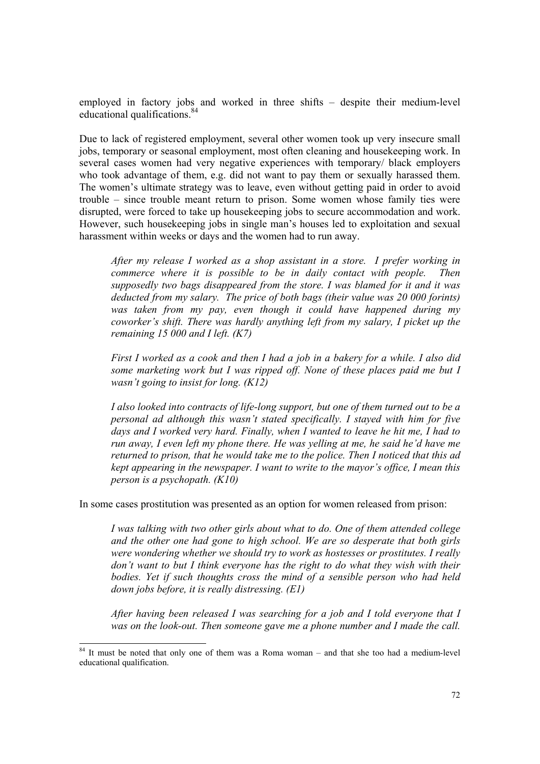employed in factory jobs and worked in three shifts – despite their medium-level educational qualifications.<sup>84</sup>

Due to lack of registered employment, several other women took up very insecure small jobs, temporary or seasonal employment, most often cleaning and housekeeping work. In several cases women had very negative experiences with temporary/ black employers who took advantage of them, e.g. did not want to pay them or sexually harassed them. The women's ultimate strategy was to leave, even without getting paid in order to avoid trouble – since trouble meant return to prison. Some women whose family ties were disrupted, were forced to take up housekeeping jobs to secure accommodation and work. However, such housekeeping jobs in single man's houses led to exploitation and sexual harassment within weeks or days and the women had to run away.

*After my release I worked as a shop assistant in a store. I prefer working in commerce where it is possible to be in daily contact with people. Then supposedly two bags disappeared from the store. I was blamed for it and it was deducted from my salary. The price of both bags (their value was 20 000 forints) was taken from my pay, even though it could have happened during my coworker's shift. There was hardly anything left from my salary, I picket up the remaining 15 000 and I left. (K7)* 

*First I worked as a cook and then I had a job in a bakery for a while. I also did some marketing work but I was ripped off. None of these places paid me but I wasn't going to insist for long. (K12)* 

*I also looked into contracts of life-long support, but one of them turned out to be a personal ad although this wasn't stated specifically. I stayed with him for five days and I worked very hard. Finally, when I wanted to leave he hit me, I had to run away, I even left my phone there. He was yelling at me, he said he'd have me returned to prison, that he would take me to the police. Then I noticed that this ad kept appearing in the newspaper. I want to write to the mayor's office, I mean this person is a psychopath. (K10)* 

In some cases prostitution was presented as an option for women released from prison:

*I was talking with two other girls about what to do. One of them attended college and the other one had gone to high school. We are so desperate that both girls were wondering whether we should try to work as hostesses or prostitutes. I really don't want to but I think everyone has the right to do what they wish with their bodies. Yet if such thoughts cross the mind of a sensible person who had held down jobs before, it is really distressing. (E1)* 

*After having been released I was searching for a job and I told everyone that I was on the look-out. Then someone gave me a phone number and I made the call.* 

<sup>&</sup>lt;sup>84</sup> It must be noted that only one of them was a Roma woman – and that she too had a medium-level educational qualification.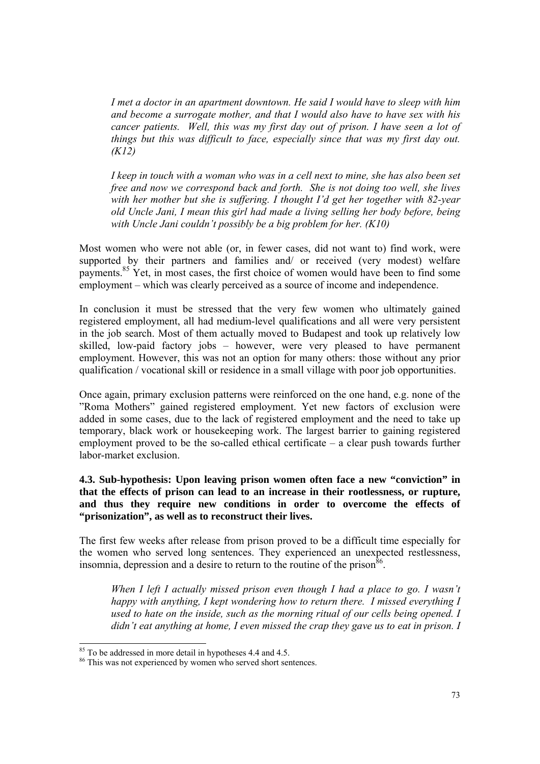*I met a doctor in an apartment downtown. He said I would have to sleep with him and become a surrogate mother, and that I would also have to have sex with his cancer patients. Well, this was my first day out of prison. I have seen a lot of things but this was difficult to face, especially since that was my first day out. (K12)* 

*I keep in touch with a woman who was in a cell next to mine, she has also been set free and now we correspond back and forth. She is not doing too well, she lives with her mother but she is suffering. I thought I'd get her together with 82-year old Uncle Jani, I mean this girl had made a living selling her body before, being with Uncle Jani couldn't possibly be a big problem for her. (K10)*

Most women who were not able (or, in fewer cases, did not want to) find work, were supported by their partners and families and/ or received (very modest) welfare payments.85 Yet, in most cases, the first choice of women would have been to find some employment – which was clearly perceived as a source of income and independence.

In conclusion it must be stressed that the very few women who ultimately gained registered employment, all had medium-level qualifications and all were very persistent in the job search. Most of them actually moved to Budapest and took up relatively low skilled, low-paid factory jobs – however, were very pleased to have permanent employment. However, this was not an option for many others: those without any prior qualification / vocational skill or residence in a small village with poor job opportunities.

Once again, primary exclusion patterns were reinforced on the one hand, e.g. none of the "Roma Mothers" gained registered employment. Yet new factors of exclusion were added in some cases, due to the lack of registered employment and the need to take up temporary, black work or housekeeping work. The largest barrier to gaining registered employment proved to be the so-called ethical certificate – a clear push towards further labor-market exclusion.

**4.3. Sub-hypothesis: Upon leaving prison women often face a new "conviction" in that the effects of prison can lead to an increase in their rootlessness, or rupture, and thus they require new conditions in order to overcome the effects of "prisonization", as well as to reconstruct their lives.** 

The first few weeks after release from prison proved to be a difficult time especially for the women who served long sentences. They experienced an unexpected restlessness, insomnia, depression and a desire to return to the routine of the prison  $86$ .

*When I left I actually missed prison even though I had a place to go. I wasn't happy with anything, I kept wondering how to return there. I missed everything I used to hate on the inside, such as the morning ritual of our cells being opened. I didn't eat anything at home, I even missed the crap they gave us to eat in prison. I* 

<sup>&</sup>lt;sup>85</sup> To be addressed in more detail in hypotheses 4.4 and 4.5.

<sup>&</sup>lt;sup>86</sup> This was not experienced by women who served short sentences.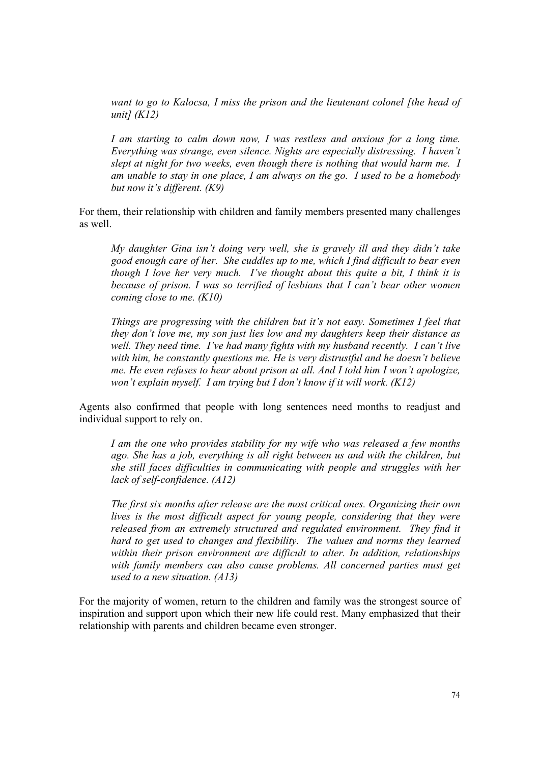*want to go to Kalocsa, I miss the prison and the lieutenant colonel [the head of unit] (K12)* 

*I am starting to calm down now, I was restless and anxious for a long time. Everything was strange, even silence. Nights are especially distressing. I haven't slept at night for two weeks, even though there is nothing that would harm me. I am unable to stay in one place, I am always on the go. I used to be a homebody but now it's different. (K9)*

For them, their relationship with children and family members presented many challenges as well.

*My daughter Gina isn't doing very well, she is gravely ill and they didn't take good enough care of her. She cuddles up to me, which I find difficult to bear even though I love her very much. I've thought about this quite a bit, I think it is because of prison. I was so terrified of lesbians that I can't bear other women coming close to me. (K10)* 

*Things are progressing with the children but it's not easy. Sometimes I feel that they don't love me, my son just lies low and my daughters keep their distance as well. They need time. I've had many fights with my husband recently. I can't live with him, he constantly questions me. He is very distrustful and he doesn't believe me. He even refuses to hear about prison at all. And I told him I won't apologize, won't explain myself. I am trying but I don't know if it will work. (K12)* 

Agents also confirmed that people with long sentences need months to readjust and individual support to rely on.

*I am the one who provides stability for my wife who was released a few months ago. She has a job, everything is all right between us and with the children, but she still faces difficulties in communicating with people and struggles with her lack of self-confidence. (A12)* 

*The first six months after release are the most critical ones. Organizing their own lives is the most difficult aspect for young people, considering that they were released from an extremely structured and regulated environment. They find it hard to get used to changes and flexibility. The values and norms they learned within their prison environment are difficult to alter. In addition, relationships*  with family members can also cause problems. All concerned parties must get *used to a new situation. (A13)* 

For the majority of women, return to the children and family was the strongest source of inspiration and support upon which their new life could rest. Many emphasized that their relationship with parents and children became even stronger.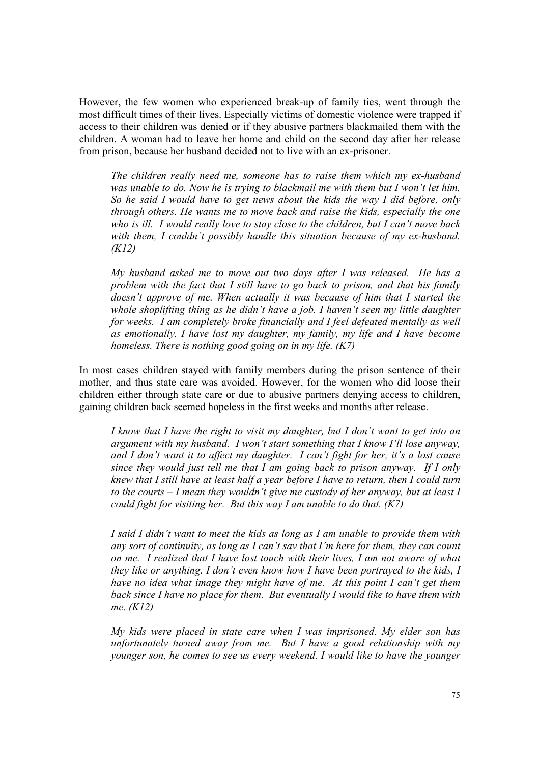However, the few women who experienced break-up of family ties, went through the most difficult times of their lives. Especially victims of domestic violence were trapped if access to their children was denied or if they abusive partners blackmailed them with the children. A woman had to leave her home and child on the second day after her release from prison, because her husband decided not to live with an ex-prisoner.

*The children really need me, someone has to raise them which my ex-husband was unable to do. Now he is trying to blackmail me with them but I won't let him. So he said I would have to get news about the kids the way I did before, only through others. He wants me to move back and raise the kids, especially the one who is ill. I would really love to stay close to the children, but I can't move back*  with them, I couldn't possibly handle this situation because of my ex-husband. *(K12)* 

*My husband asked me to move out two days after I was released. He has a problem with the fact that I still have to go back to prison, and that his family doesn't approve of me. When actually it was because of him that I started the whole shoplifting thing as he didn't have a job. I haven't seen my little daughter for weeks. I am completely broke financially and I feel defeated mentally as well as emotionally. I have lost my daughter, my family, my life and I have become homeless. There is nothing good going on in my life. (K7)* 

In most cases children stayed with family members during the prison sentence of their mother, and thus state care was avoided. However, for the women who did loose their children either through state care or due to abusive partners denying access to children, gaining children back seemed hopeless in the first weeks and months after release.

*I know that I have the right to visit my daughter, but I don't want to get into an argument with my husband. I won't start something that I know I'll lose anyway, and I don't want it to affect my daughter. I can't fight for her, it's a lost cause since they would just tell me that I am going back to prison anyway. If I only knew that I still have at least half a year before I have to return, then I could turn to the courts – I mean they wouldn't give me custody of her anyway, but at least I could fight for visiting her. But this way I am unable to do that. (K7)* 

*I said I didn't want to meet the kids as long as I am unable to provide them with any sort of continuity, as long as I can't say that I'm here for them, they can count on me. I realized that I have lost touch with their lives, I am not aware of what they like or anything. I don't even know how I have been portrayed to the kids, I have no idea what image they might have of me. At this point I can't get them back since I have no place for them. But eventually I would like to have them with me. (K12)* 

*My kids were placed in state care when I was imprisoned. My elder son has unfortunately turned away from me. But I have a good relationship with my younger son, he comes to see us every weekend. I would like to have the younger*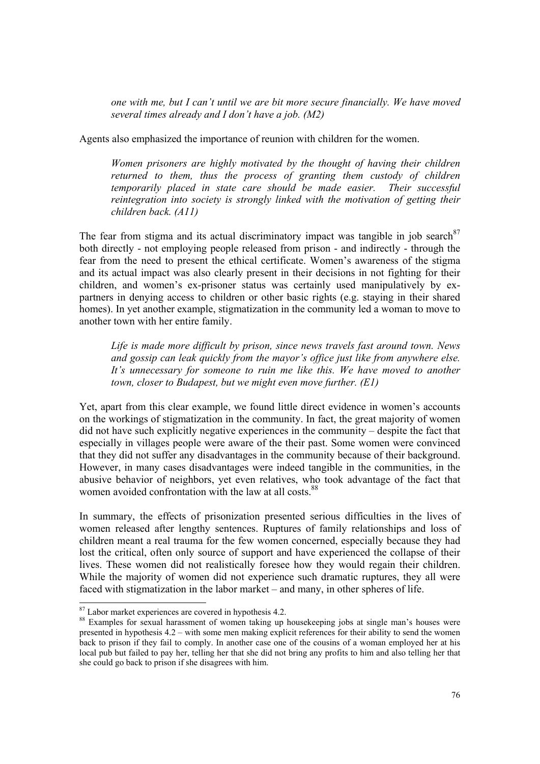*one with me, but I can't until we are bit more secure financially. We have moved several times already and I don't have a job. (M2)*

Agents also emphasized the importance of reunion with children for the women.

*Women prisoners are highly motivated by the thought of having their children returned to them, thus the process of granting them custody of children temporarily placed in state care should be made easier. Their successful reintegration into society is strongly linked with the motivation of getting their children back. (A11)* 

The fear from stigma and its actual discriminatory impact was tangible in job search  $87$ both directly - not employing people released from prison - and indirectly - through the fear from the need to present the ethical certificate. Women's awareness of the stigma and its actual impact was also clearly present in their decisions in not fighting for their children, and women's ex-prisoner status was certainly used manipulatively by expartners in denying access to children or other basic rights (e.g. staying in their shared homes). In yet another example, stigmatization in the community led a woman to move to another town with her entire family.

*Life is made more difficult by prison, since news travels fast around town. News and gossip can leak quickly from the mayor's office just like from anywhere else. It's unnecessary for someone to ruin me like this. We have moved to another town, closer to Budapest, but we might even move further. (E1)* 

Yet, apart from this clear example, we found little direct evidence in women's accounts on the workings of stigmatization in the community. In fact, the great majority of women did not have such explicitly negative experiences in the community – despite the fact that especially in villages people were aware of the their past. Some women were convinced that they did not suffer any disadvantages in the community because of their background. However, in many cases disadvantages were indeed tangible in the communities, in the abusive behavior of neighbors, yet even relatives, who took advantage of the fact that women avoided confrontation with the law at all costs.<sup>88</sup>

In summary, the effects of prisonization presented serious difficulties in the lives of women released after lengthy sentences. Ruptures of family relationships and loss of children meant a real trauma for the few women concerned, especially because they had lost the critical, often only source of support and have experienced the collapse of their lives. These women did not realistically foresee how they would regain their children. While the majority of women did not experience such dramatic ruptures, they all were faced with stigmatization in the labor market – and many, in other spheres of life.

 $87$  Labor market experiences are covered in hypothesis 4.2.

<sup>&</sup>lt;sup>88</sup> Examples for sexual harassment of women taking up housekeeping jobs at single man's houses were presented in hypothesis 4.2 – with some men making explicit references for their ability to send the women back to prison if they fail to comply. In another case one of the cousins of a woman employed her at his local pub but failed to pay her, telling her that she did not bring any profits to him and also telling her that she could go back to prison if she disagrees with him.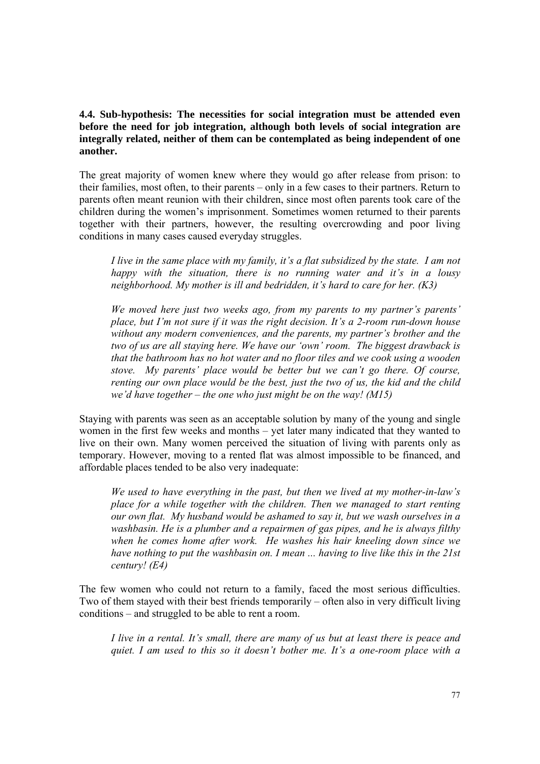**4.4. Sub-hypothesis: The necessities for social integration must be attended even before the need for job integration, although both levels of social integration are integrally related, neither of them can be contemplated as being independent of one another.** 

The great majority of women knew where they would go after release from prison: to their families, most often, to their parents – only in a few cases to their partners. Return to parents often meant reunion with their children, since most often parents took care of the children during the women's imprisonment. Sometimes women returned to their parents together with their partners, however, the resulting overcrowding and poor living conditions in many cases caused everyday struggles.

*I live in the same place with my family, it's a flat subsidized by the state. I am not happy with the situation, there is no running water and it's in a lousy neighborhood. My mother is ill and bedridden, it's hard to care for her. (K3)* 

*We moved here just two weeks ago, from my parents to my partner's parents' place, but I'm not sure if it was the right decision. It's a 2-room run-down house without any modern conveniences, and the parents, my partner's brother and the two of us are all staying here. We have our 'own' room. The biggest drawback is that the bathroom has no hot water and no floor tiles and we cook using a wooden stove. My parents' place would be better but we can't go there. Of course, renting our own place would be the best, just the two of us, the kid and the child we'd have together – the one who just might be on the way! (M15)* 

Staying with parents was seen as an acceptable solution by many of the young and single women in the first few weeks and months – yet later many indicated that they wanted to live on their own. Many women perceived the situation of living with parents only as temporary. However, moving to a rented flat was almost impossible to be financed, and affordable places tended to be also very inadequate:

*We used to have everything in the past, but then we lived at my mother-in-law's place for a while together with the children. Then we managed to start renting our own flat. My husband would be ashamed to say it, but we wash ourselves in a washbasin. He is a plumber and a repairmen of gas pipes, and he is always filthy when he comes home after work. He washes his hair kneeling down since we have nothing to put the washbasin on. I mean ... having to live like this in the 21st century! (E4)* 

The few women who could not return to a family, faced the most serious difficulties. Two of them stayed with their best friends temporarily – often also in very difficult living conditions – and struggled to be able to rent a room.

*I live in a rental. It's small, there are many of us but at least there is peace and quiet. I am used to this so it doesn't bother me. It's a one-room place with a*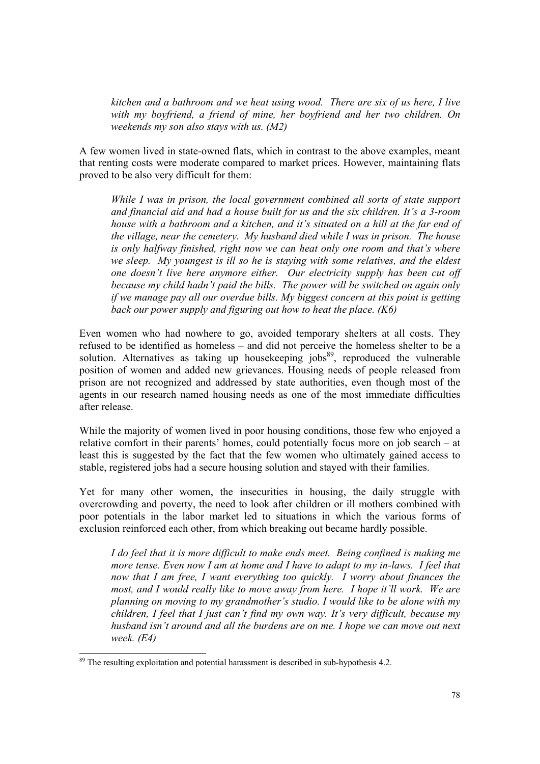*kitchen and a bathroom and we heat using wood. There are six of us here, I live with my boyfriend, a friend of mine, her boyfriend and her two children. On weekends my son also stays with us. (M2)* 

A few women lived in state-owned flats, which in contrast to the above examples, meant that renting costs were moderate compared to market prices. However, maintaining flats proved to be also very difficult for them:

*While I was in prison, the local government combined all sorts of state support and financial aid and had a house built for us and the six children. It's a 3-room house with a bathroom and a kitchen, and it's situated on a hill at the far end of the village, near the cemetery. My husband died while I was in prison. The house is only halfway finished, right now we can heat only one room and that's where we sleep. My youngest is ill so he is staying with some relatives, and the eldest one doesn't live here anymore either. Our electricity supply has been cut off because my child hadn't paid the bills. The power will be switched on again only if we manage pay all our overdue bills. My biggest concern at this point is getting back our power supply and figuring out how to heat the place. (K6)* 

Even women who had nowhere to go, avoided temporary shelters at all costs. They refused to be identified as homeless – and did not perceive the homeless shelter to be a solution. Alternatives as taking up housekeeping jobs $89$ , reproduced the vulnerable position of women and added new grievances. Housing needs of people released from prison are not recognized and addressed by state authorities, even though most of the agents in our research named housing needs as one of the most immediate difficulties after release.

While the majority of women lived in poor housing conditions, those few who enjoyed a relative comfort in their parents' homes, could potentially focus more on job search – at least this is suggested by the fact that the few women who ultimately gained access to stable, registered jobs had a secure housing solution and stayed with their families.

Yet for many other women, the insecurities in housing, the daily struggle with overcrowding and poverty, the need to look after children or ill mothers combined with poor potentials in the labor market led to situations in which the various forms of exclusion reinforced each other, from which breaking out became hardly possible.

*I do feel that it is more difficult to make ends meet. Being confined is making me more tense. Even now I am at home and I have to adapt to my in-laws. I feel that now that I am free, I want everything too quickly. I worry about finances the most, and I would really like to move away from here. I hope it'll work. We are planning on moving to my grandmother's studio. I would like to be alone with my children, I feel that I just can't find my own way. It's very difficult, because my husband isn't around and all the burdens are on me. I hope we can move out next week. (E4)* 

 $89$  The resulting exploitation and potential harassment is described in sub-hypothesis 4.2.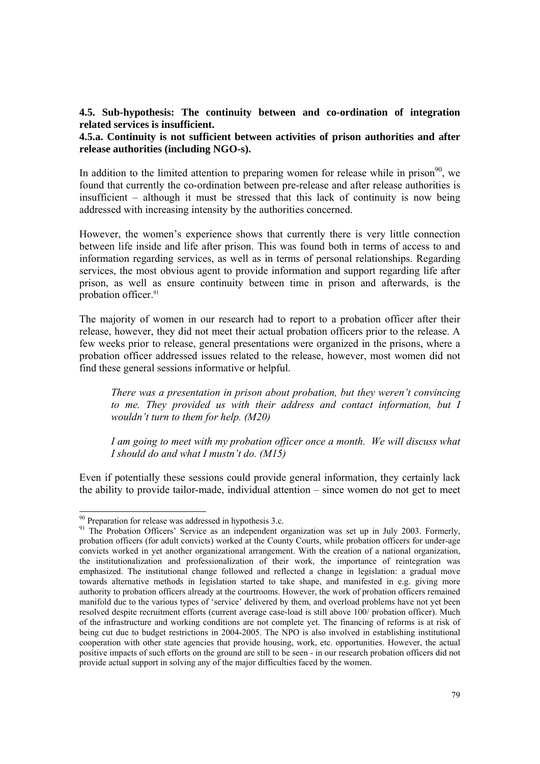## **4.5. Sub-hypothesis: The continuity between and co-ordination of integration related services is insufficient.**

### **4.5.a. Continuity is not sufficient between activities of prison authorities and after release authorities (including NGO-s).**

In addition to the limited attention to preparing women for release while in prison<sup>90</sup>, we found that currently the co-ordination between pre-release and after release authorities is insufficient – although it must be stressed that this lack of continuity is now being addressed with increasing intensity by the authorities concerned.

However, the women's experience shows that currently there is very little connection between life inside and life after prison. This was found both in terms of access to and information regarding services, as well as in terms of personal relationships. Regarding services, the most obvious agent to provide information and support regarding life after prison, as well as ensure continuity between time in prison and afterwards, is the probation officer.<sup>91</sup>

The majority of women in our research had to report to a probation officer after their release, however, they did not meet their actual probation officers prior to the release. A few weeks prior to release, general presentations were organized in the prisons, where a probation officer addressed issues related to the release, however, most women did not find these general sessions informative or helpful.

*There was a presentation in prison about probation, but they weren't convincing to me. They provided us with their address and contact information, but I wouldn't turn to them for help. (M20)* 

*I am going to meet with my probation officer once a month. We will discuss what I should do and what I mustn't do. (M15)* 

Even if potentially these sessions could provide general information, they certainly lack the ability to provide tailor-made, individual attention – since women do not get to meet

 $90$  Preparation for release was addressed in hypothesis 3.c.

<sup>&</sup>lt;sup>91</sup> The Probation Officers' Service as an independent organization was set up in July 2003. Formerly, probation officers (for adult convicts) worked at the County Courts, while probation officers for under-age convicts worked in yet another organizational arrangement. With the creation of a national organization, the institutionalization and professionalization of their work, the importance of reintegration was emphasized. The institutional change followed and reflected a change in legislation: a gradual move towards alternative methods in legislation started to take shape, and manifested in e.g. giving more authority to probation officers already at the courtrooms. However, the work of probation officers remained manifold due to the various types of 'service' delivered by them, and overload problems have not yet been resolved despite recruitment efforts (current average case-load is still above 100/ probation officer). Much of the infrastructure and working conditions are not complete yet. The financing of reforms is at risk of being cut due to budget restrictions in 2004-2005. The NPO is also involved in establishing institutional cooperation with other state agencies that provide housing, work, etc. opportunities. However, the actual positive impacts of such efforts on the ground are still to be seen - in our research probation officers did not provide actual support in solving any of the major difficulties faced by the women.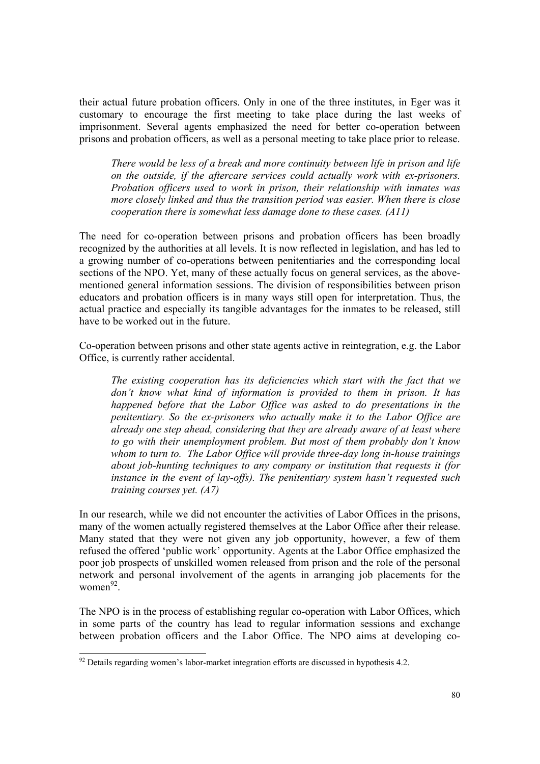their actual future probation officers. Only in one of the three institutes, in Eger was it customary to encourage the first meeting to take place during the last weeks of imprisonment. Several agents emphasized the need for better co-operation between prisons and probation officers, as well as a personal meeting to take place prior to release.

*There would be less of a break and more continuity between life in prison and life on the outside, if the aftercare services could actually work with ex-prisoners. Probation officers used to work in prison, their relationship with inmates was more closely linked and thus the transition period was easier. When there is close cooperation there is somewhat less damage done to these cases. (A11)* 

The need for co-operation between prisons and probation officers has been broadly recognized by the authorities at all levels. It is now reflected in legislation, and has led to a growing number of co-operations between penitentiaries and the corresponding local sections of the NPO. Yet, many of these actually focus on general services, as the abovementioned general information sessions. The division of responsibilities between prison educators and probation officers is in many ways still open for interpretation. Thus, the actual practice and especially its tangible advantages for the inmates to be released, still have to be worked out in the future.

Co-operation between prisons and other state agents active in reintegration, e.g. the Labor Office, is currently rather accidental.

*The existing cooperation has its deficiencies which start with the fact that we don't know what kind of information is provided to them in prison. It has happened before that the Labor Office was asked to do presentations in the penitentiary. So the ex-prisoners who actually make it to the Labor Office are already one step ahead, considering that they are already aware of at least where to go with their unemployment problem. But most of them probably don't know whom to turn to. The Labor Office will provide three-day long in-house trainings about job-hunting techniques to any company or institution that requests it (for instance in the event of lay-offs). The penitentiary system hasn't requested such training courses yet. (A7)* 

In our research, while we did not encounter the activities of Labor Offices in the prisons, many of the women actually registered themselves at the Labor Office after their release. Many stated that they were not given any job opportunity, however, a few of them refused the offered 'public work' opportunity. Agents at the Labor Office emphasized the poor job prospects of unskilled women released from prison and the role of the personal network and personal involvement of the agents in arranging job placements for the women $^{92}$ 

The NPO is in the process of establishing regular co-operation with Labor Offices, which in some parts of the country has lead to regular information sessions and exchange between probation officers and the Labor Office. The NPO aims at developing co-

 $92$  Details regarding women's labor-market integration efforts are discussed in hypothesis 4.2.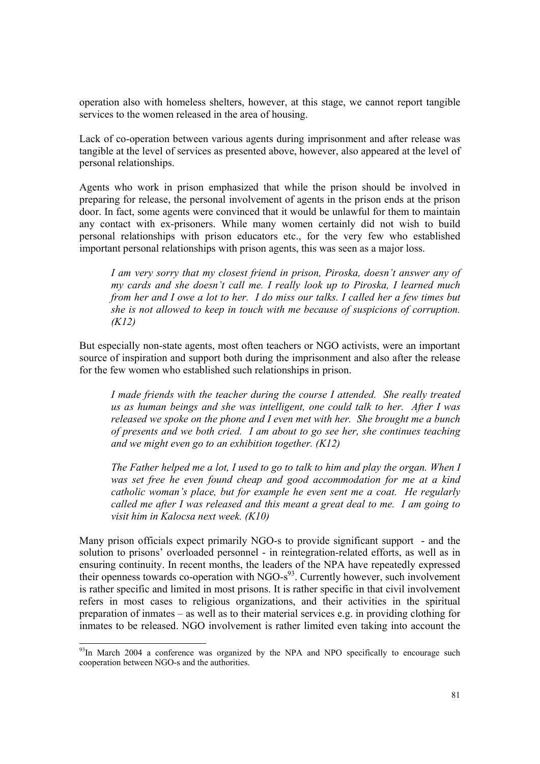operation also with homeless shelters, however, at this stage, we cannot report tangible services to the women released in the area of housing.

Lack of co-operation between various agents during imprisonment and after release was tangible at the level of services as presented above, however, also appeared at the level of personal relationships.

Agents who work in prison emphasized that while the prison should be involved in preparing for release, the personal involvement of agents in the prison ends at the prison door. In fact, some agents were convinced that it would be unlawful for them to maintain any contact with ex-prisoners. While many women certainly did not wish to build personal relationships with prison educators etc., for the very few who established important personal relationships with prison agents, this was seen as a major loss.

*I am very sorry that my closest friend in prison, Piroska, doesn't answer any of my cards and she doesn't call me. I really look up to Piroska, I learned much from her and I owe a lot to her. I do miss our talks. I called her a few times but she is not allowed to keep in touch with me because of suspicions of corruption. (K12)* 

But especially non-state agents, most often teachers or NGO activists, were an important source of inspiration and support both during the imprisonment and also after the release for the few women who established such relationships in prison.

*I made friends with the teacher during the course I attended. She really treated us as human beings and she was intelligent, one could talk to her. After I was released we spoke on the phone and I even met with her. She brought me a bunch of presents and we both cried. I am about to go see her, she continues teaching and we might even go to an exhibition together. (K12)* 

*The Father helped me a lot, I used to go to talk to him and play the organ. When I was set free he even found cheap and good accommodation for me at a kind catholic woman's place, but for example he even sent me a coat. He regularly called me after I was released and this meant a great deal to me. I am going to visit him in Kalocsa next week. (K10)* 

Many prison officials expect primarily NGO-s to provide significant support - and the solution to prisons' overloaded personnel - in reintegration-related efforts, as well as in ensuring continuity. In recent months, the leaders of the NPA have repeatedly expressed their openness towards co-operation with NGO-s<sup>93</sup>. Currently however, such involvement is rather specific and limited in most prisons. It is rather specific in that civil involvement refers in most cases to religious organizations, and their activities in the spiritual preparation of inmates – as well as to their material services e.g. in providing clothing for inmates to be released. NGO involvement is rather limited even taking into account the

 $93$ In March 2004 a conference was organized by the NPA and NPO specifically to encourage such cooperation between NGO-s and the authorities.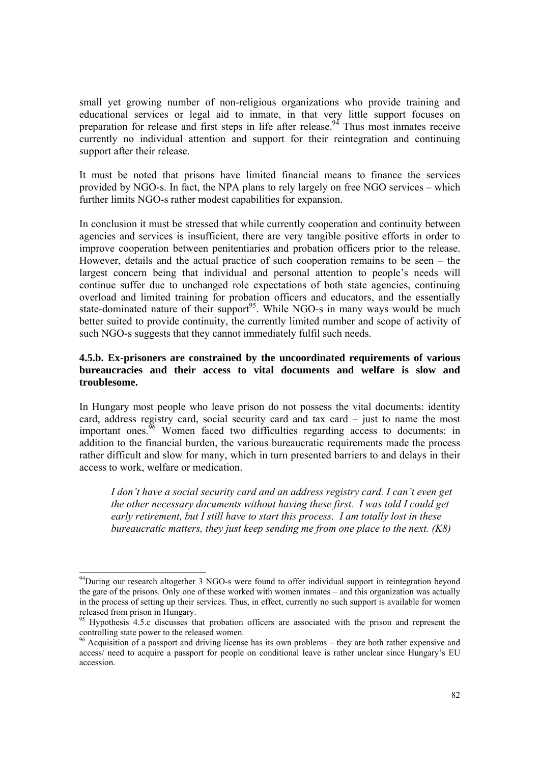small yet growing number of non-religious organizations who provide training and educational services or legal aid to inmate, in that very little support focuses on preparation for release and first steps in life after release.<sup>94</sup> Thus most inmates receive currently no individual attention and support for their reintegration and continuing support after their release.

It must be noted that prisons have limited financial means to finance the services provided by NGO-s. In fact, the NPA plans to rely largely on free NGO services – which further limits NGO-s rather modest capabilities for expansion.

In conclusion it must be stressed that while currently cooperation and continuity between agencies and services is insufficient, there are very tangible positive efforts in order to improve cooperation between penitentiaries and probation officers prior to the release. However, details and the actual practice of such cooperation remains to be seen – the largest concern being that individual and personal attention to people's needs will continue suffer due to unchanged role expectations of both state agencies, continuing overload and limited training for probation officers and educators, and the essentially state-dominated nature of their support<sup>95</sup>. While NGO-s in many ways would be much better suited to provide continuity, the currently limited number and scope of activity of such NGO-s suggests that they cannot immediately fulfil such needs.

# **4.5.b. Ex-prisoners are constrained by the uncoordinated requirements of various bureaucracies and their access to vital documents and welfare is slow and troublesome.**

In Hungary most people who leave prison do not possess the vital documents: identity card, address registry card, social security card and tax card – just to name the most important ones.<sup>96</sup> Women faced two difficulties regarding access to documents: in addition to the financial burden, the various bureaucratic requirements made the process rather difficult and slow for many, which in turn presented barriers to and delays in their access to work, welfare or medication.

*I don't have a social security card and an address registry card. I can't even get the other necessary documents without having these first. I was told I could get early retirement, but I still have to start this process. I am totally lost in these bureaucratic matters, they just keep sending me from one place to the next. (K8)* 

<sup>&</sup>lt;sup>94</sup>During our research altogether 3 NGO-s were found to offer individual support in reintegration beyond the gate of the prisons. Only one of these worked with women inmates – and this organization was actually in the process of setting up their services. Thus, in effect, currently no such support is available for women released from prison in Hungary.

<sup>95</sup> Hypothesis 4.5.c discusses that probation officers are associated with the prison and represent the controlling state power to the released women.

<sup>&</sup>lt;sup>96</sup> Acquisition of a passport and driving license has its own problems – they are both rather expensive and access/ need to acquire a passport for people on conditional leave is rather unclear since Hungary's EU accession.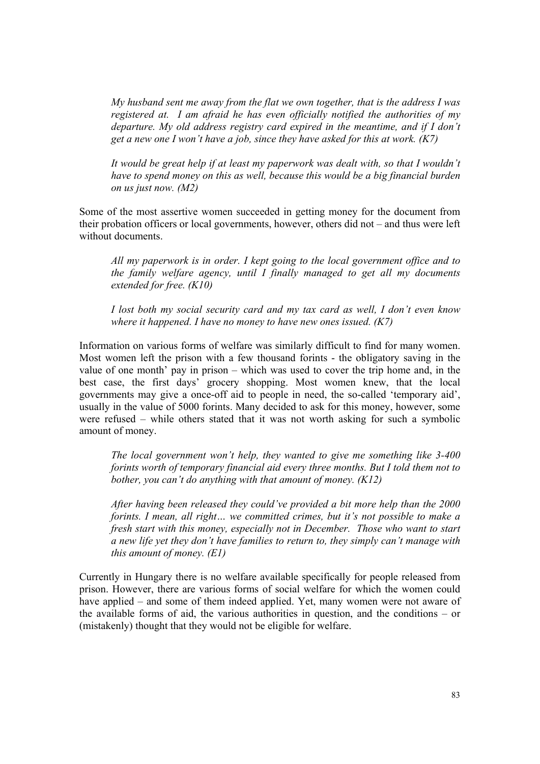*My husband sent me away from the flat we own together, that is the address I was registered at. I am afraid he has even officially notified the authorities of my departure. My old address registry card expired in the meantime, and if I don't get a new one I won't have a job, since they have asked for this at work. (K7)* 

*It would be great help if at least my paperwork was dealt with, so that I wouldn't have to spend money on this as well, because this would be a big financial burden on us just now. (M2)*

Some of the most assertive women succeeded in getting money for the document from their probation officers or local governments, however, others did not – and thus were left without documents.

*All my paperwork is in order. I kept going to the local government office and to the family welfare agency, until I finally managed to get all my documents extended for free. (K10)* 

*I lost both my social security card and my tax card as well, I don't even know where it happened. I have no money to have new ones issued. (K7)*

Information on various forms of welfare was similarly difficult to find for many women. Most women left the prison with a few thousand forints - the obligatory saving in the value of one month' pay in prison – which was used to cover the trip home and, in the best case, the first days' grocery shopping. Most women knew, that the local governments may give a once-off aid to people in need, the so-called 'temporary aid', usually in the value of 5000 forints. Many decided to ask for this money, however, some were refused – while others stated that it was not worth asking for such a symbolic amount of money.

*The local government won't help, they wanted to give me something like 3-400 forints worth of temporary financial aid every three months. But I told them not to bother, you can't do anything with that amount of money. (K12)* 

*After having been released they could've provided a bit more help than the 2000 forints. I mean, all right… we committed crimes, but it's not possible to make a fresh start with this money, especially not in December. Those who want to start a new life yet they don't have families to return to, they simply can't manage with this amount of money. (E1)* 

Currently in Hungary there is no welfare available specifically for people released from prison. However, there are various forms of social welfare for which the women could have applied – and some of them indeed applied. Yet, many women were not aware of the available forms of aid, the various authorities in question, and the conditions – or (mistakenly) thought that they would not be eligible for welfare.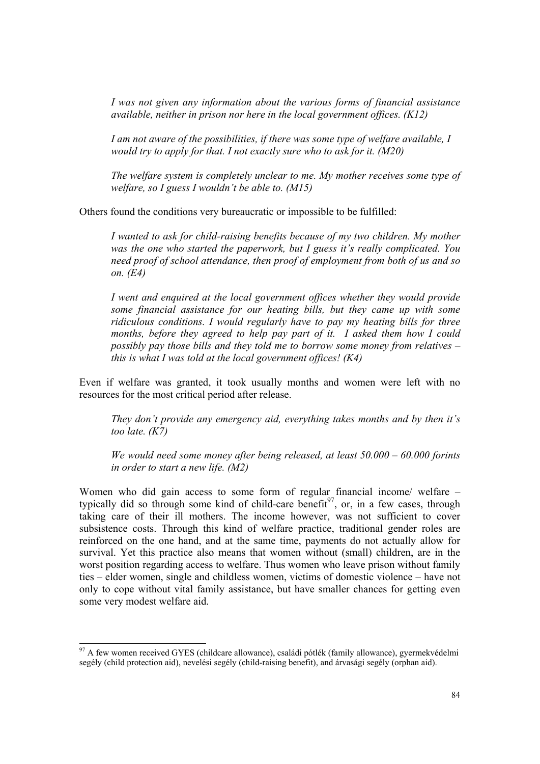*I was not given any information about the various forms of financial assistance available, neither in prison nor here in the local government offices. (K12)* 

*I am not aware of the possibilities, if there was some type of welfare available, I would try to apply for that. I not exactly sure who to ask for it. (M20)* 

*The welfare system is completely unclear to me. My mother receives some type of welfare, so I guess I wouldn't be able to. (M15)* 

Others found the conditions very bureaucratic or impossible to be fulfilled:

*I wanted to ask for child-raising benefits because of my two children. My mother was the one who started the paperwork, but I guess it's really complicated. You need proof of school attendance, then proof of employment from both of us and so on. (E4)* 

*I went and enquired at the local government offices whether they would provide some financial assistance for our heating bills, but they came up with some ridiculous conditions. I would regularly have to pay my heating bills for three months, before they agreed to help pay part of it. I asked them how I could possibly pay those bills and they told me to borrow some money from relatives – this is what I was told at the local government offices! (K4)* 

Even if welfare was granted, it took usually months and women were left with no resources for the most critical period after release.

*They don't provide any emergency aid, everything takes months and by then it's too late. (K7)* 

*We would need some money after being released, at least 50.000 – 60.000 forints in order to start a new life. (M2)*

Women who did gain access to some form of regular financial income/ welfare – typically did so through some kind of child-care benefit<sup>97</sup>, or, in a few cases, through taking care of their ill mothers. The income however, was not sufficient to cover subsistence costs. Through this kind of welfare practice, traditional gender roles are reinforced on the one hand, and at the same time, payments do not actually allow for survival. Yet this practice also means that women without (small) children, are in the worst position regarding access to welfare. Thus women who leave prison without family ties – elder women, single and childless women, victims of domestic violence – have not only to cope without vital family assistance, but have smaller chances for getting even some very modest welfare aid.

 $97$  A few women received GYES (childcare allowance), családi pótlék (family allowance), gyermekvédelmi segély (child protection aid), nevelési segély (child-raising benefit), and árvasági segély (orphan aid).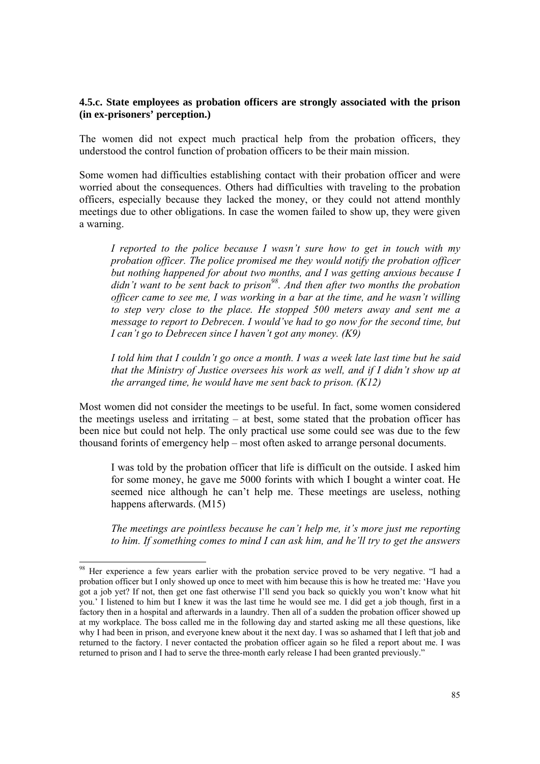## **4.5.c. State employees as probation officers are strongly associated with the prison (in ex-prisoners' perception.)**

The women did not expect much practical help from the probation officers, they understood the control function of probation officers to be their main mission.

Some women had difficulties establishing contact with their probation officer and were worried about the consequences. Others had difficulties with traveling to the probation officers, especially because they lacked the money, or they could not attend monthly meetings due to other obligations. In case the women failed to show up, they were given a warning.

*I reported to the police because I wasn't sure how to get in touch with my probation officer. The police promised me they would notify the probation officer but nothing happened for about two months, and I was getting anxious because I*  didn't want to be sent back to prison<sup>98</sup>. And then after two months the probation *officer came to see me, I was working in a bar at the time, and he wasn't willing to step very close to the place. He stopped 500 meters away and sent me a message to report to Debrecen. I would've had to go now for the second time, but I can't go to Debrecen since I haven't got any money. (K9)* 

*I told him that I couldn't go once a month. I was a week late last time but he said that the Ministry of Justice oversees his work as well, and if I didn't show up at the arranged time, he would have me sent back to prison. (K12)* 

Most women did not consider the meetings to be useful. In fact, some women considered the meetings useless and irritating – at best, some stated that the probation officer has been nice but could not help. The only practical use some could see was due to the few thousand forints of emergency help – most often asked to arrange personal documents.

I was told by the probation officer that life is difficult on the outside. I asked him for some money, he gave me 5000 forints with which I bought a winter coat. He seemed nice although he can't help me. These meetings are useless, nothing happens afterwards. (M15)

*The meetings are pointless because he can't help me, it's more just me reporting to him. If something comes to mind I can ask him, and he'll try to get the answers* 

l

<sup>&</sup>lt;sup>98</sup> Her experience a few years earlier with the probation service proved to be very negative. "I had a probation officer but I only showed up once to meet with him because this is how he treated me: 'Have you got a job yet? If not, then get one fast otherwise I'll send you back so quickly you won't know what hit you.' I listened to him but I knew it was the last time he would see me. I did get a job though, first in a factory then in a hospital and afterwards in a laundry. Then all of a sudden the probation officer showed up at my workplace. The boss called me in the following day and started asking me all these questions, like why I had been in prison, and everyone knew about it the next day. I was so ashamed that I left that job and returned to the factory. I never contacted the probation officer again so he filed a report about me. I was returned to prison and I had to serve the three-month early release I had been granted previously."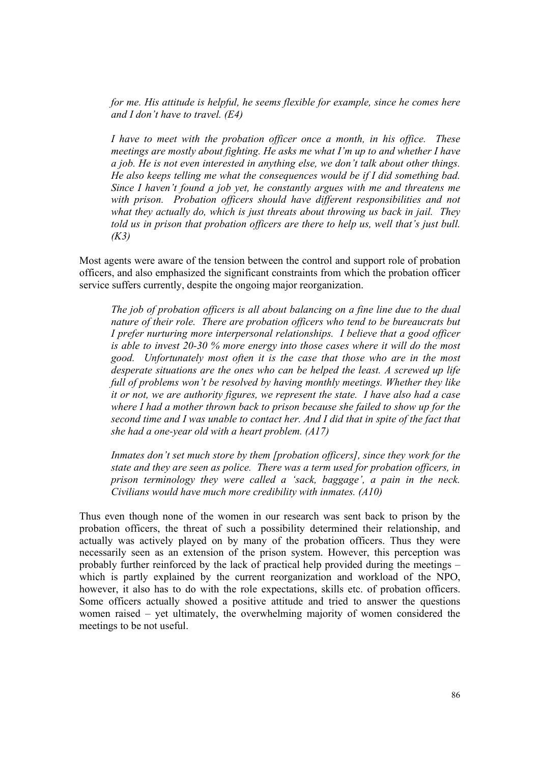*for me. His attitude is helpful, he seems flexible for example, since he comes here and I don't have to travel. (E4)* 

*I have to meet with the probation officer once a month, in his office. These meetings are mostly about fighting. He asks me what I'm up to and whether I have a job. He is not even interested in anything else, we don't talk about other things. He also keeps telling me what the consequences would be if I did something bad. Since I haven't found a job yet, he constantly argues with me and threatens me with prison. Probation officers should have different responsibilities and not what they actually do, which is just threats about throwing us back in jail. They told us in prison that probation officers are there to help us, well that's just bull. (K3)* 

Most agents were aware of the tension between the control and support role of probation officers, and also emphasized the significant constraints from which the probation officer service suffers currently, despite the ongoing major reorganization.

*The job of probation officers is all about balancing on a fine line due to the dual nature of their role. There are probation officers who tend to be bureaucrats but I prefer nurturing more interpersonal relationships. I believe that a good officer is able to invest 20-30 % more energy into those cases where it will do the most good. Unfortunately most often it is the case that those who are in the most desperate situations are the ones who can be helped the least. A screwed up life full of problems won't be resolved by having monthly meetings. Whether they like it or not, we are authority figures, we represent the state. I have also had a case where I had a mother thrown back to prison because she failed to show up for the second time and I was unable to contact her. And I did that in spite of the fact that she had a one-year old with a heart problem. (A17)* 

*Inmates don't set much store by them [probation officers], since they work for the state and they are seen as police. There was a term used for probation officers, in prison terminology they were called a 'sack, baggage', a pain in the neck. Civilians would have much more credibility with inmates. (A10)* 

Thus even though none of the women in our research was sent back to prison by the probation officers, the threat of such a possibility determined their relationship, and actually was actively played on by many of the probation officers. Thus they were necessarily seen as an extension of the prison system. However, this perception was probably further reinforced by the lack of practical help provided during the meetings – which is partly explained by the current reorganization and workload of the NPO, however, it also has to do with the role expectations, skills etc. of probation officers. Some officers actually showed a positive attitude and tried to answer the questions women raised – yet ultimately, the overwhelming majority of women considered the meetings to be not useful.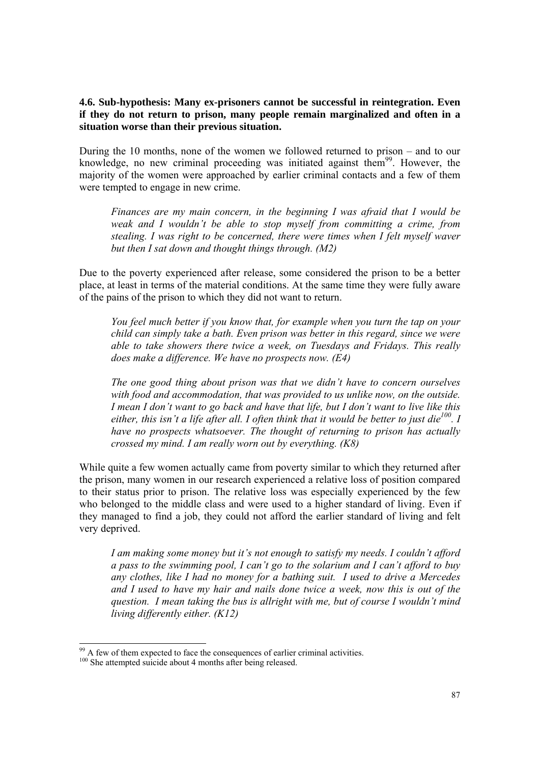## **4.6. Sub-hypothesis: Many ex-prisoners cannot be successful in reintegration. Even if they do not return to prison, many people remain marginalized and often in a situation worse than their previous situation.**

During the 10 months, none of the women we followed returned to prison – and to our knowledge, no new criminal proceeding was initiated against them $99$ . However, the majority of the women were approached by earlier criminal contacts and a few of them were tempted to engage in new crime.

*Finances are my main concern, in the beginning I was afraid that I would be weak and I wouldn't be able to stop myself from committing a crime, from stealing. I was right to be concerned, there were times when I felt myself waver but then I sat down and thought things through. (M2)* 

Due to the poverty experienced after release, some considered the prison to be a better place, at least in terms of the material conditions. At the same time they were fully aware of the pains of the prison to which they did not want to return.

*You feel much better if you know that, for example when you turn the tap on your child can simply take a bath. Even prison was better in this regard, since we were able to take showers there twice a week, on Tuesdays and Fridays. This really does make a difference. We have no prospects now. (E4)* 

*The one good thing about prison was that we didn't have to concern ourselves with food and accommodation, that was provided to us unlike now, on the outside. I mean I don't want to go back and have that life, but I don't want to live like this*  either, this isn't a life after all. I often think that it would be better to just die<sup>100</sup>. I *have no prospects whatsoever. The thought of returning to prison has actually crossed my mind. I am really worn out by everything. (K8)* 

While quite a few women actually came from poverty similar to which they returned after the prison, many women in our research experienced a relative loss of position compared to their status prior to prison. The relative loss was especially experienced by the few who belonged to the middle class and were used to a higher standard of living. Even if they managed to find a job, they could not afford the earlier standard of living and felt very deprived.

*I am making some money but it's not enough to satisfy my needs. I couldn't afford a pass to the swimming pool, I can't go to the solarium and I can't afford to buy any clothes, like I had no money for a bathing suit. I used to drive a Mercedes and I used to have my hair and nails done twice a week, now this is out of the question. I mean taking the bus is allright with me, but of course I wouldn't mind living differently either. (K12)* 

 $99$  A few of them expected to face the consequences of earlier criminal activities.

<sup>&</sup>lt;sup>100</sup> She attempted suicide about 4 months after being released.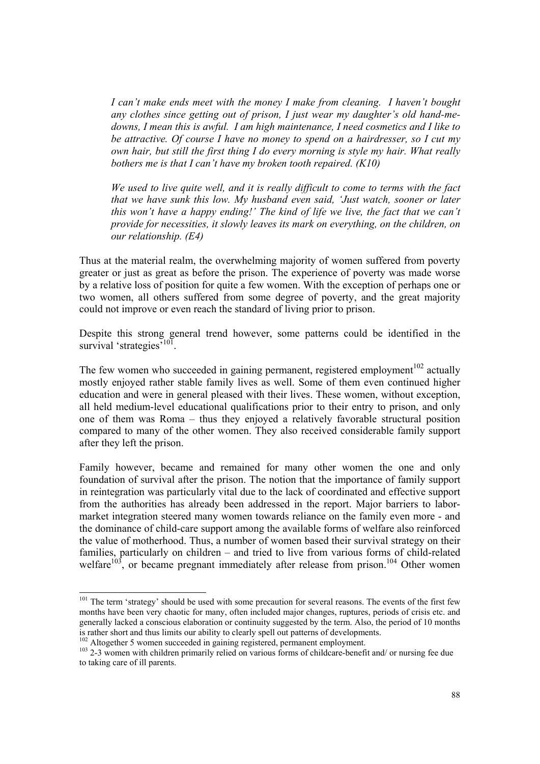*I can't make ends meet with the money I make from cleaning. I haven't bought any clothes since getting out of prison, I just wear my daughter's old hand-medowns, I mean this is awful. I am high maintenance, I need cosmetics and I like to be attractive. Of course I have no money to spend on a hairdresser, so I cut my own hair, but still the first thing I do every morning is style my hair. What really bothers me is that I can't have my broken tooth repaired. (K10)*

*We used to live quite well, and it is really difficult to come to terms with the fact that we have sunk this low. My husband even said, 'Just watch, sooner or later this won't have a happy ending!' The kind of life we live, the fact that we can't provide for necessities, it slowly leaves its mark on everything, on the children, on our relationship. (E4)* 

Thus at the material realm, the overwhelming majority of women suffered from poverty greater or just as great as before the prison. The experience of poverty was made worse by a relative loss of position for quite a few women. With the exception of perhaps one or two women, all others suffered from some degree of poverty, and the great majority could not improve or even reach the standard of living prior to prison.

Despite this strong general trend however, some patterns could be identified in the survival 'strategies'<sup>101</sup>.

The few women who succeeded in gaining permanent, registered employment<sup>102</sup> actually mostly enjoyed rather stable family lives as well. Some of them even continued higher education and were in general pleased with their lives. These women, without exception, all held medium-level educational qualifications prior to their entry to prison, and only one of them was Roma – thus they enjoyed a relatively favorable structural position compared to many of the other women. They also received considerable family support after they left the prison.

Family however, became and remained for many other women the one and only foundation of survival after the prison. The notion that the importance of family support in reintegration was particularly vital due to the lack of coordinated and effective support from the authorities has already been addressed in the report. Major barriers to labormarket integration steered many women towards reliance on the family even more - and the dominance of child-care support among the available forms of welfare also reinforced the value of motherhood. Thus, a number of women based their survival strategy on their families, particularly on children – and tried to live from various forms of child-related welfare<sup>103</sup>, or became pregnant immediately after release from prison.<sup>104</sup> Other women

<sup>&</sup>lt;sup>101</sup> The term 'strategy' should be used with some precaution for several reasons. The events of the first few months have been very chaotic for many, often included major changes, ruptures, periods of crisis etc. and generally lacked a conscious elaboration or continuity suggested by the term. Also, the period of 10 months is rather short and thus limits our ability to clearly spell out patterns of developments.<br><sup>102</sup> Altogether 5 women succeeded in gaining registered, permanent employment.

<sup>&</sup>lt;sup>103</sup> 2-3 women with children primarily relied on various forms of childcare-benefit and/ or nursing fee due to taking care of ill parents.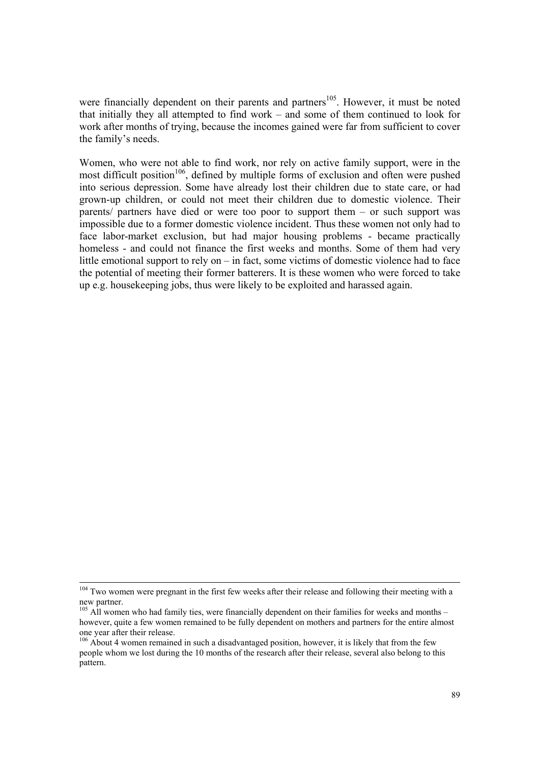were financially dependent on their parents and partners<sup>105</sup>. However, it must be noted that initially they all attempted to find work – and some of them continued to look for work after months of trying, because the incomes gained were far from sufficient to cover the family's needs.

Women, who were not able to find work, nor rely on active family support, were in the most difficult position<sup>106</sup>, defined by multiple forms of exclusion and often were pushed into serious depression. Some have already lost their children due to state care, or had grown-up children, or could not meet their children due to domestic violence. Their parents/ partners have died or were too poor to support them – or such support was impossible due to a former domestic violence incident. Thus these women not only had to face labor-market exclusion, but had major housing problems - became practically homeless - and could not finance the first weeks and months. Some of them had very little emotional support to rely on – in fact, some victims of domestic violence had to face the potential of meeting their former batterers. It is these women who were forced to take up e.g. housekeeping jobs, thus were likely to be exploited and harassed again.

<sup>&</sup>lt;sup>104</sup> Two women were pregnant in the first few weeks after their release and following their meeting with a new partner.

 $105$  All women who had family ties, were financially dependent on their families for weeks and months – however, quite a few women remained to be fully dependent on mothers and partners for the entire almost one year after their release.

<sup>&</sup>lt;sup>106</sup> About 4 women remained in such a disadvantaged position, however, it is likely that from the few people whom we lost during the 10 months of the research after their release, several also belong to this pattern.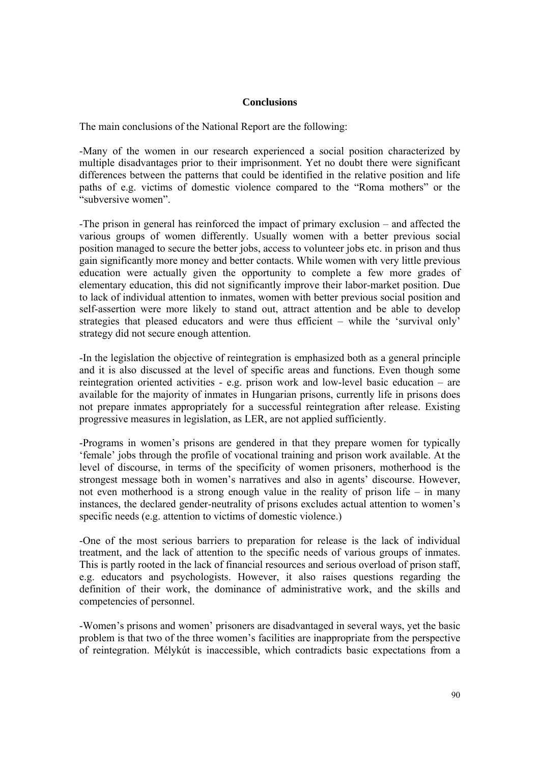### **Conclusions**

The main conclusions of the National Report are the following:

-Many of the women in our research experienced a social position characterized by multiple disadvantages prior to their imprisonment. Yet no doubt there were significant differences between the patterns that could be identified in the relative position and life paths of e.g. victims of domestic violence compared to the "Roma mothers" or the "subversive women".

-The prison in general has reinforced the impact of primary exclusion – and affected the various groups of women differently. Usually women with a better previous social position managed to secure the better jobs, access to volunteer jobs etc. in prison and thus gain significantly more money and better contacts. While women with very little previous education were actually given the opportunity to complete a few more grades of elementary education, this did not significantly improve their labor-market position. Due to lack of individual attention to inmates, women with better previous social position and self-assertion were more likely to stand out, attract attention and be able to develop strategies that pleased educators and were thus efficient – while the 'survival only' strategy did not secure enough attention.

-In the legislation the objective of reintegration is emphasized both as a general principle and it is also discussed at the level of specific areas and functions. Even though some reintegration oriented activities - e.g. prison work and low-level basic education – are available for the majority of inmates in Hungarian prisons, currently life in prisons does not prepare inmates appropriately for a successful reintegration after release. Existing progressive measures in legislation, as LER, are not applied sufficiently.

-Programs in women's prisons are gendered in that they prepare women for typically 'female' jobs through the profile of vocational training and prison work available. At the level of discourse, in terms of the specificity of women prisoners, motherhood is the strongest message both in women's narratives and also in agents' discourse. However, not even motherhood is a strong enough value in the reality of prison life – in many instances, the declared gender-neutrality of prisons excludes actual attention to women's specific needs (e.g. attention to victims of domestic violence.)

-One of the most serious barriers to preparation for release is the lack of individual treatment, and the lack of attention to the specific needs of various groups of inmates. This is partly rooted in the lack of financial resources and serious overload of prison staff, e.g. educators and psychologists. However, it also raises questions regarding the definition of their work, the dominance of administrative work, and the skills and competencies of personnel.

-Women's prisons and women' prisoners are disadvantaged in several ways, yet the basic problem is that two of the three women's facilities are inappropriate from the perspective of reintegration. Mélykút is inaccessible, which contradicts basic expectations from a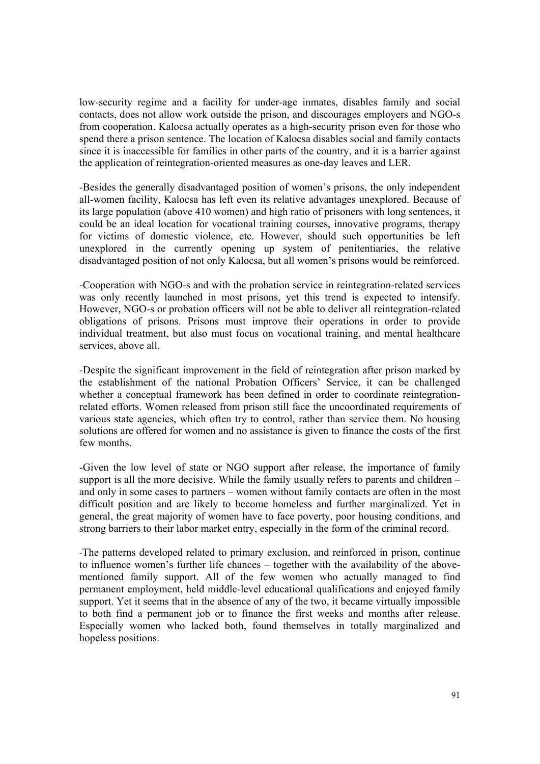low-security regime and a facility for under-age inmates, disables family and social contacts, does not allow work outside the prison, and discourages employers and NGO-s from cooperation. Kalocsa actually operates as a high-security prison even for those who spend there a prison sentence. The location of Kalocsa disables social and family contacts since it is inaccessible for families in other parts of the country, and it is a barrier against the application of reintegration-oriented measures as one-day leaves and LER.

-Besides the generally disadvantaged position of women's prisons, the only independent all-women facility, Kalocsa has left even its relative advantages unexplored. Because of its large population (above 410 women) and high ratio of prisoners with long sentences, it could be an ideal location for vocational training courses, innovative programs, therapy for victims of domestic violence, etc. However, should such opportunities be left unexplored in the currently opening up system of penitentiaries, the relative disadvantaged position of not only Kalocsa, but all women's prisons would be reinforced.

-Cooperation with NGO-s and with the probation service in reintegration-related services was only recently launched in most prisons, yet this trend is expected to intensify. However, NGO-s or probation officers will not be able to deliver all reintegration-related obligations of prisons. Prisons must improve their operations in order to provide individual treatment, but also must focus on vocational training, and mental healthcare services, above all.

-Despite the significant improvement in the field of reintegration after prison marked by the establishment of the national Probation Officers' Service, it can be challenged whether a conceptual framework has been defined in order to coordinate reintegrationrelated efforts. Women released from prison still face the uncoordinated requirements of various state agencies, which often try to control, rather than service them. No housing solutions are offered for women and no assistance is given to finance the costs of the first few months.

-Given the low level of state or NGO support after release, the importance of family support is all the more decisive. While the family usually refers to parents and children – and only in some cases to partners – women without family contacts are often in the most difficult position and are likely to become homeless and further marginalized. Yet in general, the great majority of women have to face poverty, poor housing conditions, and strong barriers to their labor market entry, especially in the form of the criminal record.

-The patterns developed related to primary exclusion, and reinforced in prison, continue to influence women's further life chances – together with the availability of the abovementioned family support. All of the few women who actually managed to find permanent employment, held middle-level educational qualifications and enjoyed family support. Yet it seems that in the absence of any of the two, it became virtually impossible to both find a permanent job or to finance the first weeks and months after release. Especially women who lacked both, found themselves in totally marginalized and hopeless positions.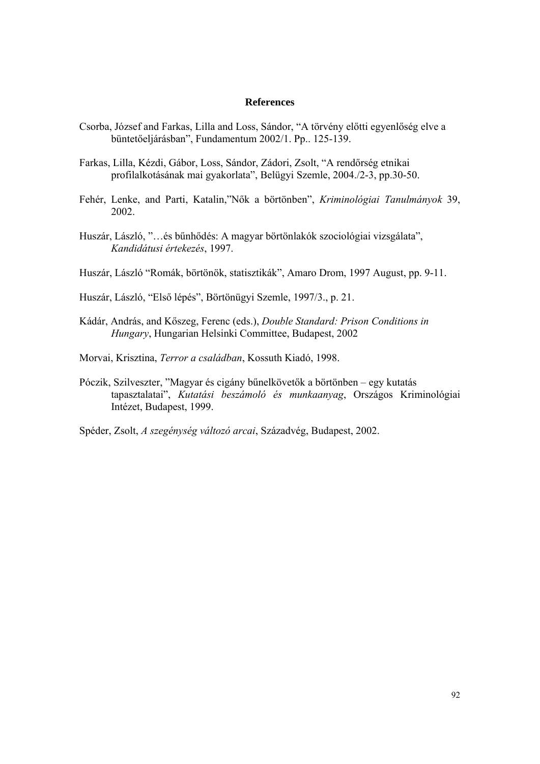#### **References**

- Csorba, József and Farkas, Lilla and Loss, Sándor, "A törvény előtti egyenlőség elve a büntetőeljárásban", Fundamentum 2002/1. Pp.. 125-139.
- Farkas, Lilla, Kézdi, Gábor, Loss, Sándor, Zádori, Zsolt, "A rendőrség etnikai profilalkotásának mai gyakorlata", Belügyi Szemle, 2004./2-3, pp.30-50.
- Fehér, Lenke, and Parti, Katalin,"Nők a börtönben", *Kriminológiai Tanulmányok* 39, 2002.
- Huszár, László, "…és bűnhődés: A magyar börtönlakók szociológiai vizsgálata", *Kandidátusi értekezés*, 1997.
- Huszár, László "Romák, börtönök, statisztikák", Amaro Drom, 1997 August, pp. 9-11.
- Huszár, László, "Első lépés", Börtönügyi Szemle, 1997/3., p. 21.
- Kádár, András, and Kőszeg, Ferenc (eds.), *Double Standard: Prison Conditions in Hungary*, Hungarian Helsinki Committee, Budapest, 2002
- Morvai, Krisztina, *Terror a családban*, Kossuth Kiadó, 1998.
- Póczik, Szilveszter, "Magyar és cigány bűnelkövetők a börtönben egy kutatás tapasztalatai", *Kutatási beszámoló és munkaanyag*, Országos Kriminológiai Intézet, Budapest, 1999.
- Spéder, Zsolt, *A szegénység változó arcai*, Századvég, Budapest, 2002.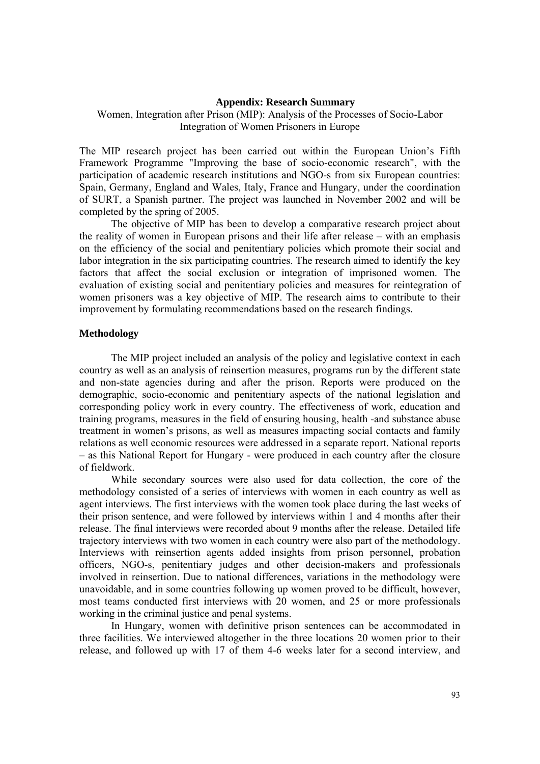#### **Appendix: Research Summary**

# Women, Integration after Prison (MIP): Analysis of the Processes of Socio-Labor Integration of Women Prisoners in Europe

The MIP research project has been carried out within the European Union's Fifth Framework Programme "Improving the base of socio-economic research", with the participation of academic research institutions and NGO-s from six European countries: Spain, Germany, England and Wales, Italy, France and Hungary, under the coordination of SURT, a Spanish partner. The project was launched in November 2002 and will be completed by the spring of 2005.

The objective of MIP has been to develop a comparative research project about the reality of women in European prisons and their life after release – with an emphasis on the efficiency of the social and penitentiary policies which promote their social and labor integration in the six participating countries. The research aimed to identify the key factors that affect the social exclusion or integration of imprisoned women. The evaluation of existing social and penitentiary policies and measures for reintegration of women prisoners was a key objective of MIP. The research aims to contribute to their improvement by formulating recommendations based on the research findings.

### **Methodology**

The MIP project included an analysis of the policy and legislative context in each country as well as an analysis of reinsertion measures, programs run by the different state and non-state agencies during and after the prison. Reports were produced on the demographic, socio-economic and penitentiary aspects of the national legislation and corresponding policy work in every country. The effectiveness of work, education and training programs, measures in the field of ensuring housing, health -and substance abuse treatment in women's prisons, as well as measures impacting social contacts and family relations as well economic resources were addressed in a separate report. National reports – as this National Report for Hungary - were produced in each country after the closure of fieldwork.

While secondary sources were also used for data collection, the core of the methodology consisted of a series of interviews with women in each country as well as agent interviews. The first interviews with the women took place during the last weeks of their prison sentence, and were followed by interviews within 1 and 4 months after their release. The final interviews were recorded about 9 months after the release. Detailed life trajectory interviews with two women in each country were also part of the methodology. Interviews with reinsertion agents added insights from prison personnel, probation officers, NGO-s, penitentiary judges and other decision-makers and professionals involved in reinsertion. Due to national differences, variations in the methodology were unavoidable, and in some countries following up women proved to be difficult, however, most teams conducted first interviews with 20 women, and 25 or more professionals working in the criminal justice and penal systems.

In Hungary, women with definitive prison sentences can be accommodated in three facilities. We interviewed altogether in the three locations 20 women prior to their release, and followed up with 17 of them 4-6 weeks later for a second interview, and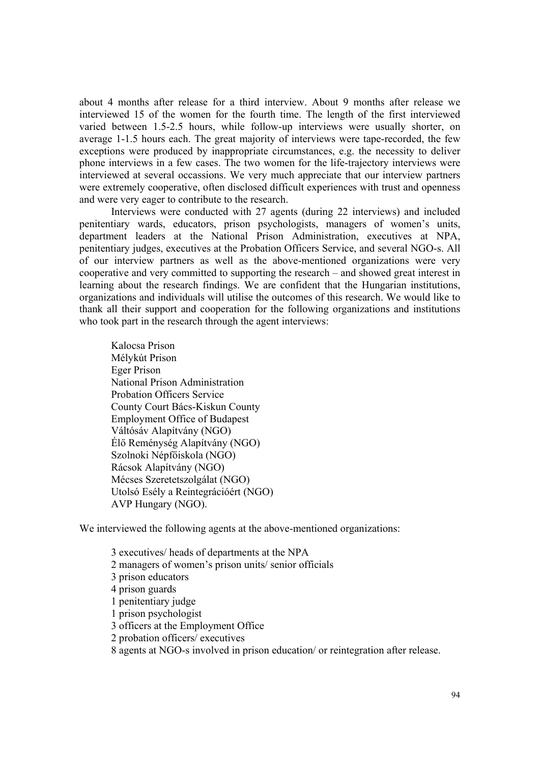about 4 months after release for a third interview. About 9 months after release we interviewed 15 of the women for the fourth time. The length of the first interviewed varied between 1.5-2.5 hours, while follow-up interviews were usually shorter, on average 1-1.5 hours each. The great majority of interviews were tape-recorded, the few exceptions were produced by inappropriate circumstances, e.g. the necessity to deliver phone interviews in a few cases. The two women for the life-trajectory interviews were interviewed at several occassions. We very much appreciate that our interview partners were extremely cooperative, often disclosed difficult experiences with trust and openness and were very eager to contribute to the research.

Interviews were conducted with 27 agents (during 22 interviews) and included penitentiary wards, educators, prison psychologists, managers of women's units, department leaders at the National Prison Administration, executives at NPA, penitentiary judges, executives at the Probation Officers Service, and several NGO-s. All of our interview partners as well as the above-mentioned organizations were very cooperative and very committed to supporting the research – and showed great interest in learning about the research findings. We are confident that the Hungarian institutions, organizations and individuals will utilise the outcomes of this research. We would like to thank all their support and cooperation for the following organizations and institutions who took part in the research through the agent interviews:

Kalocsa Prison Mélykút Prison Eger Prison National Prison Administration Probation Officers Service County Court Bács-Kiskun County Employment Office of Budapest Váltósáv Alapítvány (NGO) Élő Reménység Alapítvány (NGO) Szolnoki Népfőiskola (NGO) Rácsok Alapítvány (NGO) Mécses Szeretetszolgálat (NGO) Utolsó Esély a Reintegrációért (NGO) AVP Hungary (NGO).

We interviewed the following agents at the above-mentioned organizations:

 3 executives/ heads of departments at the NPA 2 managers of women's prison units/ senior officials 3 prison educators 4 prison guards 1 penitentiary judge 1 prison psychologist 3 officers at the Employment Office 2 probation officers/ executives

8 agents at NGO-s involved in prison education/ or reintegration after release.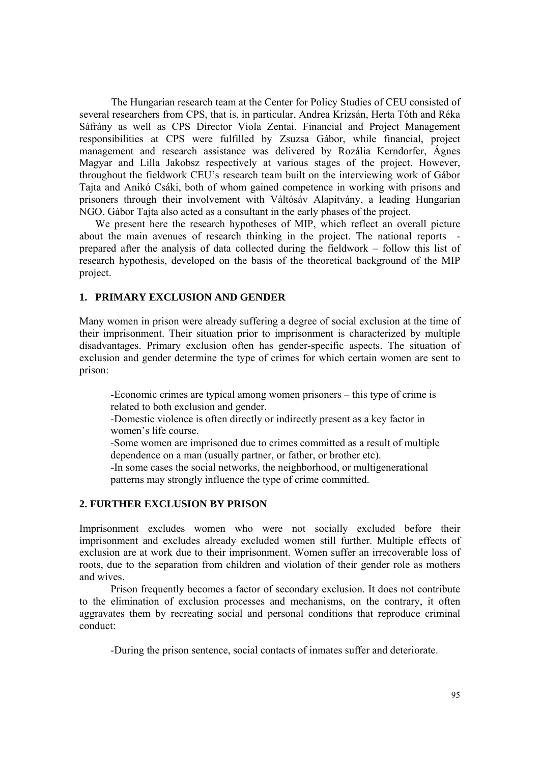The Hungarian research team at the Center for Policy Studies of CEU consisted of several researchers from CPS, that is, in particular, Andrea Krizsán, Herta Tóth and Réka Sáfrány as well as CPS Director Viola Zentai. Financial and Project Management responsibilities at CPS were fulfilled by Zsuzsa Gábor, while financial, project management and research assistance was delivered by Rozália Kerndorfer, Ágnes Magyar and Lilla Jakobsz respectively at various stages of the project. However, throughout the fieldwork CEU's research team built on the interviewing work of Gábor Tajta and Anikó Csáki, both of whom gained competence in working with prisons and prisoners through their involvement with Váltósáv Alapítvány, a leading Hungarian NGO. Gábor Tajta also acted as a consultant in the early phases of the project.

We present here the research hypotheses of MIP, which reflect an overall picture about the main avenues of research thinking in the project. The national reports prepared after the analysis of data collected during the fieldwork – follow this list of research hypothesis, developed on the basis of the theoretical background of the MIP project.

### **1. PRIMARY EXCLUSION AND GENDER**

Many women in prison were already suffering a degree of social exclusion at the time of their imprisonment. Their situation prior to imprisonment is characterized by multiple disadvantages. Primary exclusion often has gender-specific aspects. The situation of exclusion and gender determine the type of crimes for which certain women are sent to prison:

-Economic crimes are typical among women prisoners – this type of crime is related to both exclusion and gender.

-Domestic violence is often directly or indirectly present as a key factor in women's life course.

-Some women are imprisoned due to crimes committed as a result of multiple dependence on a man (usually partner, or father, or brother etc).

-In some cases the social networks, the neighborhood, or multigenerational patterns may strongly influence the type of crime committed.

## **2. FURTHER EXCLUSION BY PRISON**

Imprisonment excludes women who were not socially excluded before their imprisonment and excludes already excluded women still further. Multiple effects of exclusion are at work due to their imprisonment. Women suffer an irrecoverable loss of roots, due to the separation from children and violation of their gender role as mothers and wives.

Prison frequently becomes a factor of secondary exclusion. It does not contribute to the elimination of exclusion processes and mechanisms, on the contrary, it often aggravates them by recreating social and personal conditions that reproduce criminal conduct:

-During the prison sentence, social contacts of inmates suffer and deteriorate.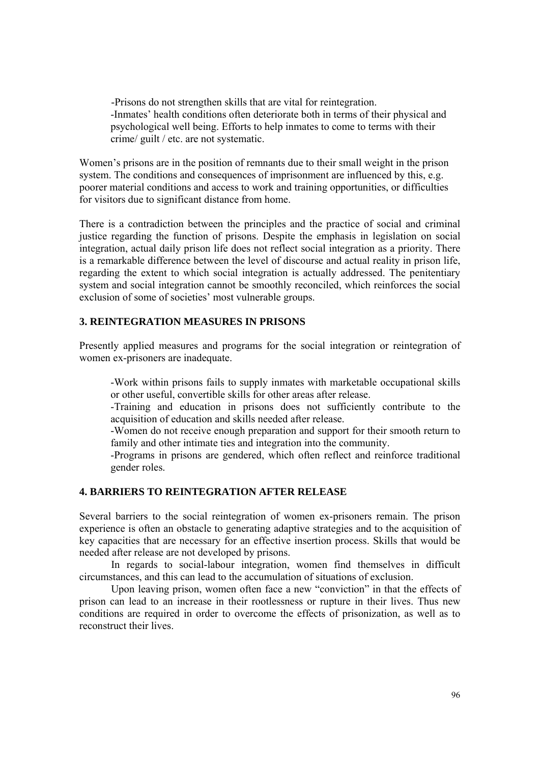-Prisons do not strengthen skills that are vital for reintegration. -Inmates' health conditions often deteriorate both in terms of their physical and psychological well being. Efforts to help inmates to come to terms with their crime/ guilt / etc. are not systematic.

Women's prisons are in the position of remnants due to their small weight in the prison system. The conditions and consequences of imprisonment are influenced by this, e.g. poorer material conditions and access to work and training opportunities, or difficulties for visitors due to significant distance from home.

There is a contradiction between the principles and the practice of social and criminal justice regarding the function of prisons. Despite the emphasis in legislation on social integration, actual daily prison life does not reflect social integration as a priority. There is a remarkable difference between the level of discourse and actual reality in prison life, regarding the extent to which social integration is actually addressed. The penitentiary system and social integration cannot be smoothly reconciled, which reinforces the social exclusion of some of societies' most vulnerable groups.

# **3. REINTEGRATION MEASURES IN PRISONS**

Presently applied measures and programs for the social integration or reintegration of women ex-prisoners are inadequate.

-Work within prisons fails to supply inmates with marketable occupational skills or other useful, convertible skills for other areas after release.

-Training and education in prisons does not sufficiently contribute to the acquisition of education and skills needed after release.

-Women do not receive enough preparation and support for their smooth return to family and other intimate ties and integration into the community.

-Programs in prisons are gendered, which often reflect and reinforce traditional gender roles.

# **4. BARRIERS TO REINTEGRATION AFTER RELEASE**

Several barriers to the social reintegration of women ex-prisoners remain. The prison experience is often an obstacle to generating adaptive strategies and to the acquisition of key capacities that are necessary for an effective insertion process. Skills that would be needed after release are not developed by prisons.

 In regards to social-labour integration, women find themselves in difficult circumstances, and this can lead to the accumulation of situations of exclusion.

Upon leaving prison, women often face a new "conviction" in that the effects of prison can lead to an increase in their rootlessness or rupture in their lives. Thus new conditions are required in order to overcome the effects of prisonization, as well as to reconstruct their lives.